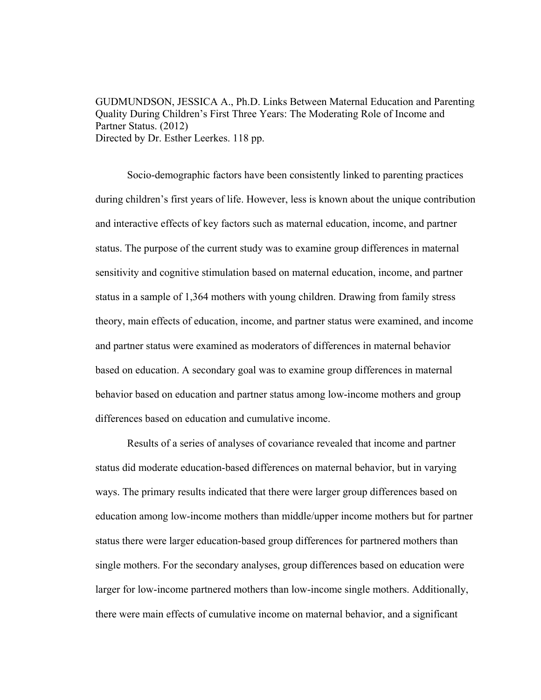GUDMUNDSON, JESSICA A., Ph.D. Links Between Maternal Education and Parenting Quality During Children's First Three Years: The Moderating Role of Income and Partner Status. (2012) Directed by Dr. Esther Leerkes. 118 pp.

Socio-demographic factors have been consistently linked to parenting practices during children's first years of life. However, less is known about the unique contribution and interactive effects of key factors such as maternal education, income, and partner status. The purpose of the current study was to examine group differences in maternal sensitivity and cognitive stimulation based on maternal education, income, and partner status in a sample of 1,364 mothers with young children. Drawing from family stress theory, main effects of education, income, and partner status were examined, and income and partner status were examined as moderators of differences in maternal behavior based on education. A secondary goal was to examine group differences in maternal behavior based on education and partner status among low-income mothers and group differences based on education and cumulative income.

Results of a series of analyses of covariance revealed that income and partner status did moderate education-based differences on maternal behavior, but in varying ways. The primary results indicated that there were larger group differences based on education among low-income mothers than middle/upper income mothers but for partner status there were larger education-based group differences for partnered mothers than single mothers. For the secondary analyses, group differences based on education were larger for low-income partnered mothers than low-income single mothers. Additionally, there were main effects of cumulative income on maternal behavior, and a significant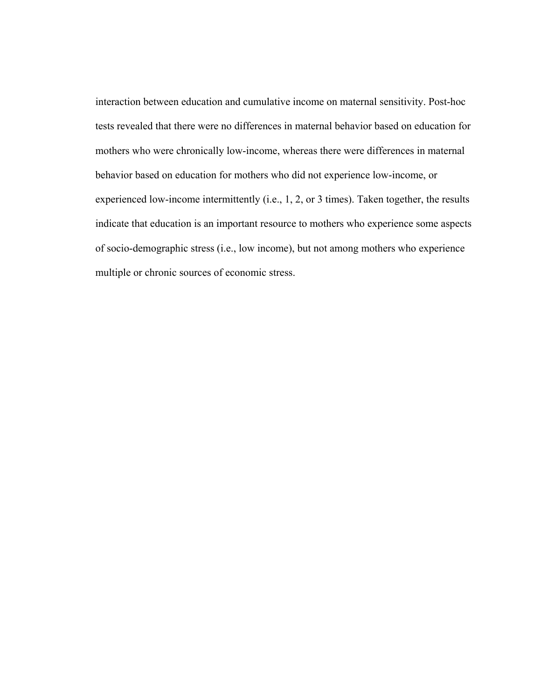interaction between education and cumulative income on maternal sensitivity. Post-hoc tests revealed that there were no differences in maternal behavior based on education for mothers who were chronically low-income, whereas there were differences in maternal behavior based on education for mothers who did not experience low-income, or experienced low-income intermittently (i.e., 1, 2, or 3 times). Taken together, the results indicate that education is an important resource to mothers who experience some aspects of socio-demographic stress (i.e., low income), but not among mothers who experience multiple or chronic sources of economic stress.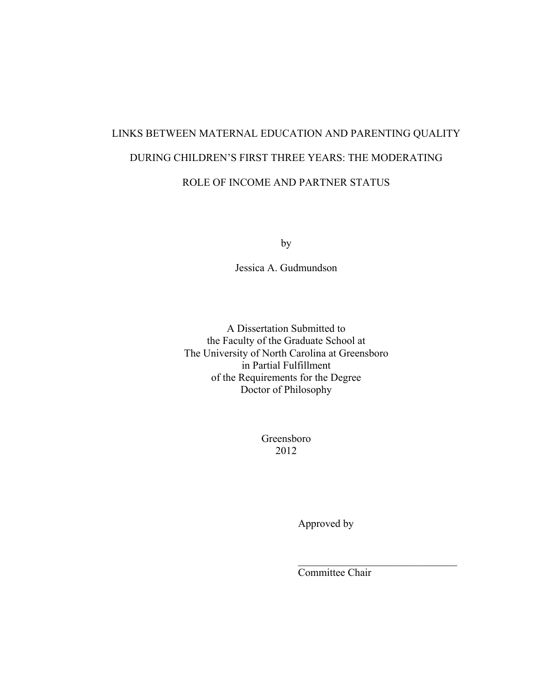# LINKS BETWEEN MATERNAL EDUCATION AND PARENTING QUALITY DURING CHILDREN'S FIRST THREE YEARS: THE MODERATING ROLE OF INCOME AND PARTNER STATUS

by

Jessica A. Gudmundson

A Dissertation Submitted to the Faculty of the Graduate School at The University of North Carolina at Greensboro in Partial Fulfillment of the Requirements for the Degree Doctor of Philosophy

> Greensboro 2012

> > Approved by

Committee Chair

 $\mathcal{L}_\text{max}$  , where  $\mathcal{L}_\text{max}$  and  $\mathcal{L}_\text{max}$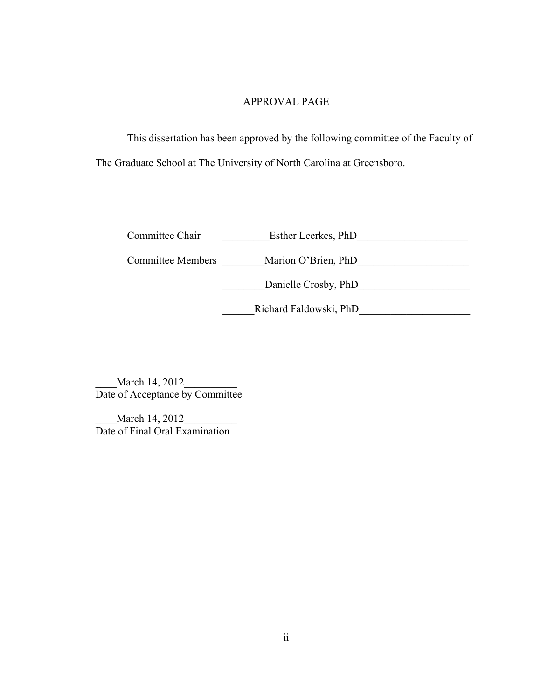#### APPROVAL PAGE

This dissertation has been approved by the following committee of the Faculty of The Graduate School at The University of North Carolina at Greensboro.

Committee Chair **Esther Leerkes**, PhD

Committee Members \_\_\_\_\_\_\_\_Marion O'Brien, PhD\_\_\_\_\_\_\_\_\_\_\_\_\_\_\_\_\_\_\_\_\_

\_\_\_\_\_\_\_\_Danielle Crosby, PhD\_\_\_\_\_\_\_\_\_\_\_\_\_\_\_\_\_\_\_\_\_

\_\_\_\_\_\_Richard Faldowski, PhD\_\_\_\_\_\_\_\_\_\_\_\_\_\_\_\_\_\_\_\_\_

March 14, 2012 Date of Acceptance by Committee

March 14, 2012 Date of Final Oral Examination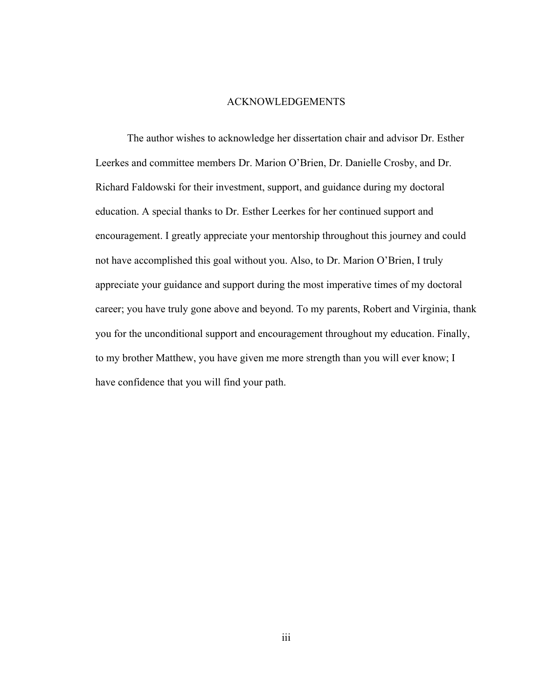#### ACKNOWLEDGEMENTS

The author wishes to acknowledge her dissertation chair and advisor Dr. Esther Leerkes and committee members Dr. Marion O'Brien, Dr. Danielle Crosby, and Dr. Richard Faldowski for their investment, support, and guidance during my doctoral education. A special thanks to Dr. Esther Leerkes for her continued support and encouragement. I greatly appreciate your mentorship throughout this journey and could not have accomplished this goal without you. Also, to Dr. Marion O'Brien, I truly appreciate your guidance and support during the most imperative times of my doctoral career; you have truly gone above and beyond. To my parents, Robert and Virginia, thank you for the unconditional support and encouragement throughout my education. Finally, to my brother Matthew, you have given me more strength than you will ever know; I have confidence that you will find your path.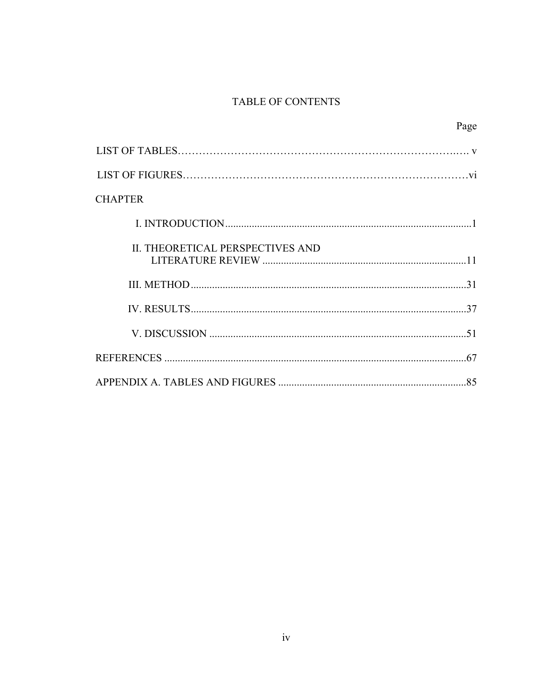## TABLE OF CONTENTS

|                                  | Page |
|----------------------------------|------|
|                                  |      |
|                                  |      |
| <b>CHAPTER</b>                   |      |
|                                  |      |
| II. THEORETICAL PERSPECTIVES AND |      |
|                                  |      |
|                                  |      |
|                                  |      |
|                                  |      |
|                                  |      |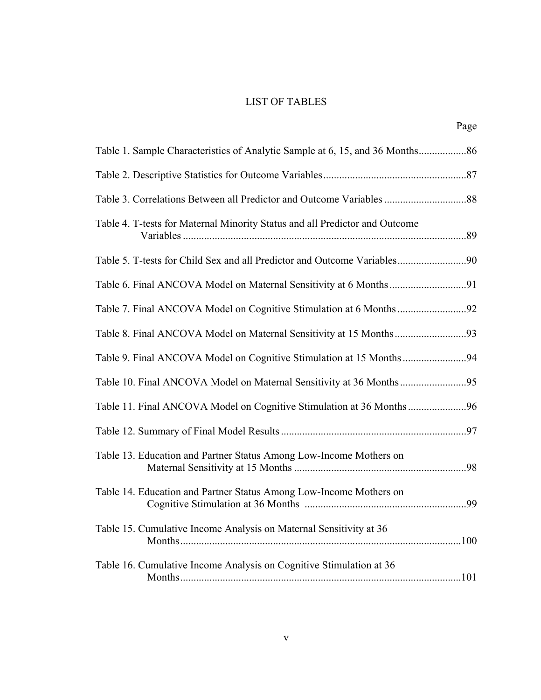## LIST OF TABLES

|                                                                             | Page |
|-----------------------------------------------------------------------------|------|
|                                                                             |      |
|                                                                             |      |
|                                                                             |      |
| Table 4. T-tests for Maternal Minority Status and all Predictor and Outcome |      |
|                                                                             |      |
|                                                                             |      |
|                                                                             |      |
|                                                                             |      |
|                                                                             |      |
|                                                                             |      |
| Table 11. Final ANCOVA Model on Cognitive Stimulation at 36 Months96        |      |
|                                                                             |      |
| Table 13. Education and Partner Status Among Low-Income Mothers on          |      |
| Table 14. Education and Partner Status Among Low-Income Mothers on          |      |
| Table 15. Cumulative Income Analysis on Maternal Sensitivity at 36          |      |
| Table 16. Cumulative Income Analysis on Cognitive Stimulation at 36         |      |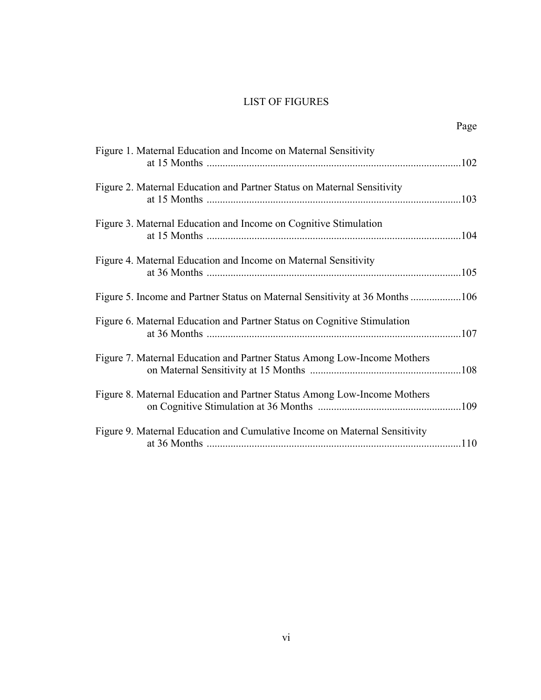## LIST OF FIGURES

|--|

| Figure 1. Maternal Education and Income on Maternal Sensitivity              |  |
|------------------------------------------------------------------------------|--|
| Figure 2. Maternal Education and Partner Status on Maternal Sensitivity      |  |
| Figure 3. Maternal Education and Income on Cognitive Stimulation             |  |
| Figure 4. Maternal Education and Income on Maternal Sensitivity              |  |
| Figure 5. Income and Partner Status on Maternal Sensitivity at 36 Months 106 |  |
| Figure 6. Maternal Education and Partner Status on Cognitive Stimulation     |  |
| Figure 7. Maternal Education and Partner Status Among Low-Income Mothers     |  |
| Figure 8. Maternal Education and Partner Status Among Low-Income Mothers     |  |
| Figure 9. Maternal Education and Cumulative Income on Maternal Sensitivity   |  |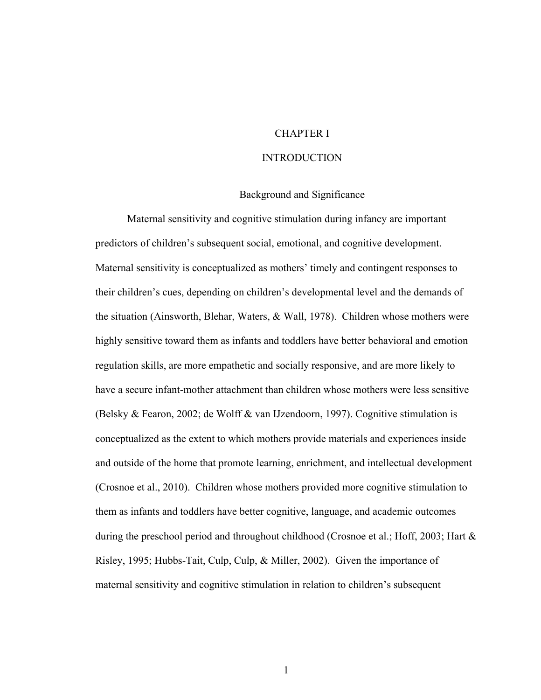#### CHAPTER I

## **INTRODUCTION**

#### Background and Significance

Maternal sensitivity and cognitive stimulation during infancy are important predictors of children's subsequent social, emotional, and cognitive development. Maternal sensitivity is conceptualized as mothers' timely and contingent responses to their children's cues, depending on children's developmental level and the demands of the situation (Ainsworth, Blehar, Waters, & Wall, 1978). Children whose mothers were highly sensitive toward them as infants and toddlers have better behavioral and emotion regulation skills, are more empathetic and socially responsive, and are more likely to have a secure infant-mother attachment than children whose mothers were less sensitive (Belsky & Fearon, 2002; de Wolff & van IJzendoorn, 1997). Cognitive stimulation is conceptualized as the extent to which mothers provide materials and experiences inside and outside of the home that promote learning, enrichment, and intellectual development (Crosnoe et al., 2010). Children whose mothers provided more cognitive stimulation to them as infants and toddlers have better cognitive, language, and academic outcomes during the preschool period and throughout childhood (Crosnoe et al.; Hoff, 2003; Hart & Risley, 1995; Hubbs-Tait, Culp, Culp, & Miller, 2002). Given the importance of maternal sensitivity and cognitive stimulation in relation to children's subsequent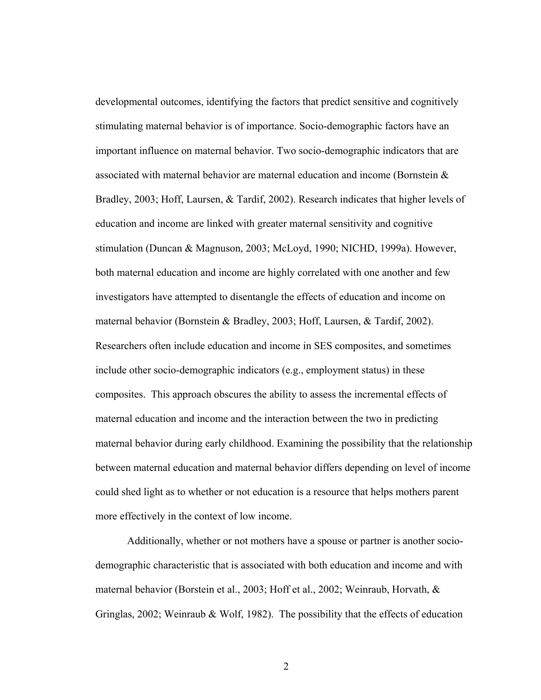developmental outcomes, identifying the factors that predict sensitive and cognitively stimulating maternal behavior is of importance. Socio-demographic factors have an important influence on maternal behavior. Two socio-demographic indicators that are associated with maternal behavior are maternal education and income (Bornstein & Bradley, 2003; Hoff, Laursen, & Tardif, 2002). Research indicates that higher levels of education and income are linked with greater maternal sensitivity and cognitive stimulation (Duncan & Magnuson, 2003; McLoyd, 1990; NICHD, 1999a). However, both maternal education and income are highly correlated with one another and few investigators have attempted to disentangle the effects of education and income on maternal behavior (Bornstein & Bradley, 2003; Hoff, Laursen, & Tardif, 2002). Researchers often include education and income in SES composites, and sometimes include other socio-demographic indicators (e.g., employment status) in these composites. This approach obscures the ability to assess the incremental effects of maternal education and income and the interaction between the two in predicting maternal behavior during early childhood. Examining the possibility that the relationship between maternal education and maternal behavior differs depending on level of income could shed light as to whether or not education is a resource that helps mothers parent more effectively in the context of low income.

Additionally, whether or not mothers have a spouse or partner is another sociodemographic characteristic that is associated with both education and income and with maternal behavior (Borstein et al., 2003; Hoff et al., 2002; Weinraub, Horvath, & Gringlas, 2002; Weinraub & Wolf, 1982). The possibility that the effects of education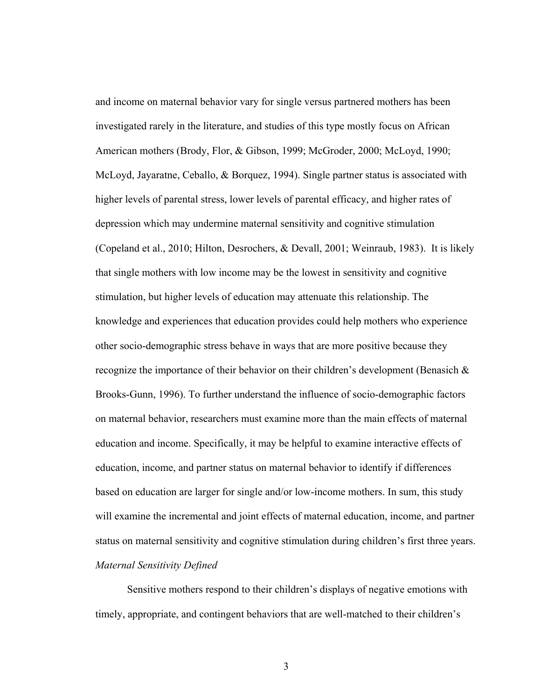and income on maternal behavior vary for single versus partnered mothers has been investigated rarely in the literature, and studies of this type mostly focus on African American mothers (Brody, Flor, & Gibson, 1999; McGroder, 2000; McLoyd, 1990; McLoyd, Jayaratne, Ceballo, & Borquez, 1994). Single partner status is associated with higher levels of parental stress, lower levels of parental efficacy, and higher rates of depression which may undermine maternal sensitivity and cognitive stimulation (Copeland et al., 2010; Hilton, Desrochers, & Devall, 2001; Weinraub, 1983). It is likely that single mothers with low income may be the lowest in sensitivity and cognitive stimulation, but higher levels of education may attenuate this relationship. The knowledge and experiences that education provides could help mothers who experience other socio-demographic stress behave in ways that are more positive because they recognize the importance of their behavior on their children's development (Benasich  $\&$ Brooks-Gunn, 1996). To further understand the influence of socio-demographic factors on maternal behavior, researchers must examine more than the main effects of maternal education and income. Specifically, it may be helpful to examine interactive effects of education, income, and partner status on maternal behavior to identify if differences based on education are larger for single and/or low-income mothers. In sum, this study will examine the incremental and joint effects of maternal education, income, and partner status on maternal sensitivity and cognitive stimulation during children's first three years. *Maternal Sensitivity Defined* 

 Sensitive mothers respond to their children's displays of negative emotions with timely, appropriate, and contingent behaviors that are well-matched to their children's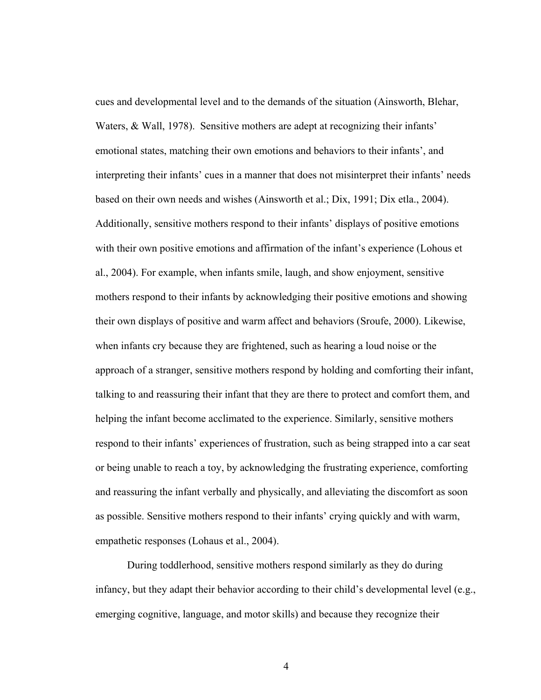cues and developmental level and to the demands of the situation (Ainsworth, Blehar, Waters, & Wall, 1978). Sensitive mothers are adept at recognizing their infants' emotional states, matching their own emotions and behaviors to their infants', and interpreting their infants' cues in a manner that does not misinterpret their infants' needs based on their own needs and wishes (Ainsworth et al.; Dix, 1991; Dix etla., 2004). Additionally, sensitive mothers respond to their infants' displays of positive emotions with their own positive emotions and affirmation of the infant's experience (Lohous et al., 2004). For example, when infants smile, laugh, and show enjoyment, sensitive mothers respond to their infants by acknowledging their positive emotions and showing their own displays of positive and warm affect and behaviors (Sroufe, 2000). Likewise, when infants cry because they are frightened, such as hearing a loud noise or the approach of a stranger, sensitive mothers respond by holding and comforting their infant, talking to and reassuring their infant that they are there to protect and comfort them, and helping the infant become acclimated to the experience. Similarly, sensitive mothers respond to their infants' experiences of frustration, such as being strapped into a car seat or being unable to reach a toy, by acknowledging the frustrating experience, comforting and reassuring the infant verbally and physically, and alleviating the discomfort as soon as possible. Sensitive mothers respond to their infants' crying quickly and with warm, empathetic responses (Lohaus et al., 2004).

During toddlerhood, sensitive mothers respond similarly as they do during infancy, but they adapt their behavior according to their child's developmental level (e.g., emerging cognitive, language, and motor skills) and because they recognize their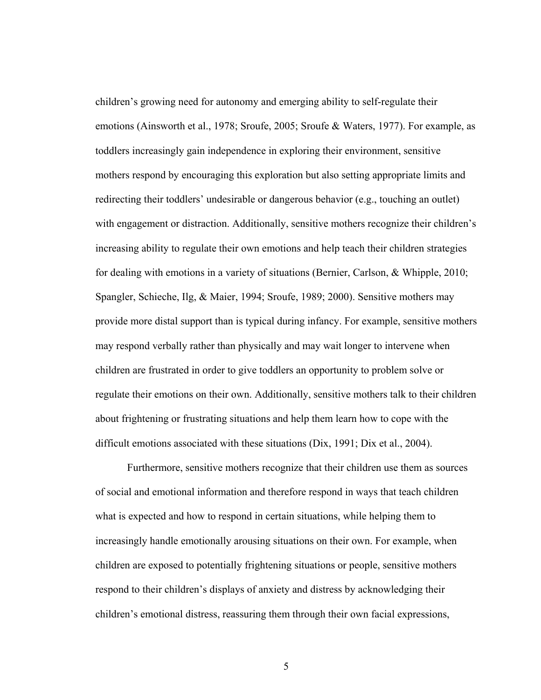children's growing need for autonomy and emerging ability to self-regulate their emotions (Ainsworth et al., 1978; Sroufe, 2005; Sroufe & Waters, 1977). For example, as toddlers increasingly gain independence in exploring their environment, sensitive mothers respond by encouraging this exploration but also setting appropriate limits and redirecting their toddlers' undesirable or dangerous behavior (e.g., touching an outlet) with engagement or distraction. Additionally, sensitive mothers recognize their children's increasing ability to regulate their own emotions and help teach their children strategies for dealing with emotions in a variety of situations (Bernier, Carlson, & Whipple, 2010; Spangler, Schieche, Ilg, & Maier, 1994; Sroufe, 1989; 2000). Sensitive mothers may provide more distal support than is typical during infancy. For example, sensitive mothers may respond verbally rather than physically and may wait longer to intervene when children are frustrated in order to give toddlers an opportunity to problem solve or regulate their emotions on their own. Additionally, sensitive mothers talk to their children about frightening or frustrating situations and help them learn how to cope with the difficult emotions associated with these situations (Dix, 1991; Dix et al., 2004).

Furthermore, sensitive mothers recognize that their children use them as sources of social and emotional information and therefore respond in ways that teach children what is expected and how to respond in certain situations, while helping them to increasingly handle emotionally arousing situations on their own. For example, when children are exposed to potentially frightening situations or people, sensitive mothers respond to their children's displays of anxiety and distress by acknowledging their children's emotional distress, reassuring them through their own facial expressions,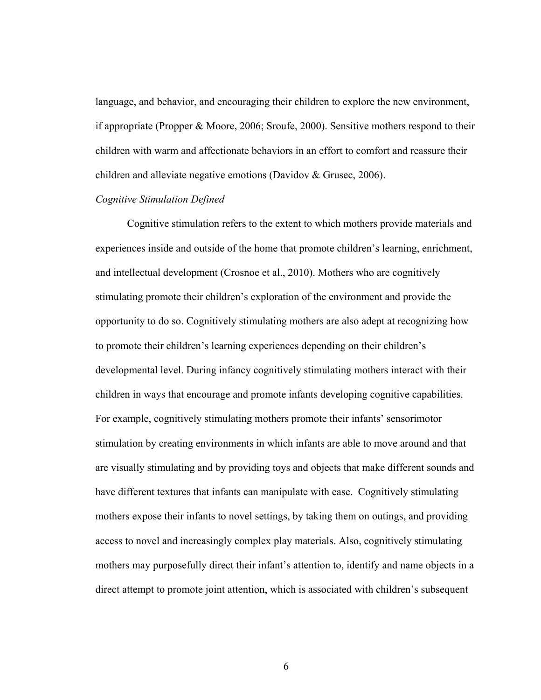language, and behavior, and encouraging their children to explore the new environment, if appropriate (Propper & Moore, 2006; Sroufe, 2000). Sensitive mothers respond to their children with warm and affectionate behaviors in an effort to comfort and reassure their children and alleviate negative emotions (Davidov & Grusec, 2006).

#### *Cognitive Stimulation Defined*

Cognitive stimulation refers to the extent to which mothers provide materials and experiences inside and outside of the home that promote children's learning, enrichment, and intellectual development (Crosnoe et al., 2010). Mothers who are cognitively stimulating promote their children's exploration of the environment and provide the opportunity to do so. Cognitively stimulating mothers are also adept at recognizing how to promote their children's learning experiences depending on their children's developmental level. During infancy cognitively stimulating mothers interact with their children in ways that encourage and promote infants developing cognitive capabilities. For example, cognitively stimulating mothers promote their infants' sensorimotor stimulation by creating environments in which infants are able to move around and that are visually stimulating and by providing toys and objects that make different sounds and have different textures that infants can manipulate with ease. Cognitively stimulating mothers expose their infants to novel settings, by taking them on outings, and providing access to novel and increasingly complex play materials. Also, cognitively stimulating mothers may purposefully direct their infant's attention to, identify and name objects in a direct attempt to promote joint attention, which is associated with children's subsequent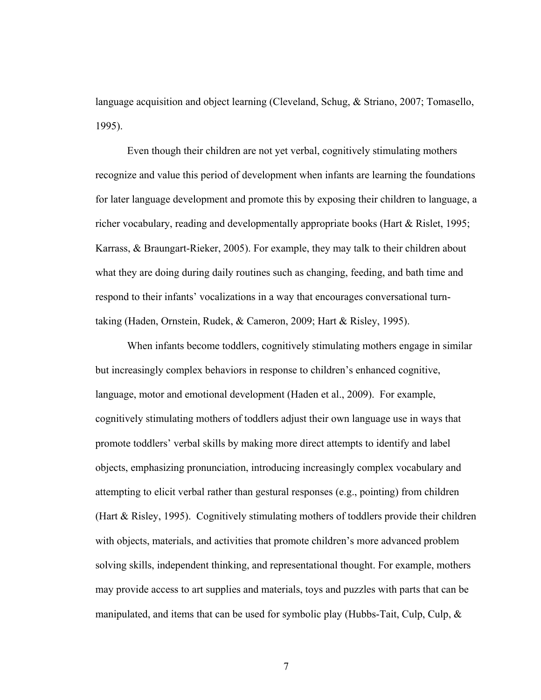language acquisition and object learning (Cleveland, Schug, & Striano, 2007; Tomasello, 1995).

Even though their children are not yet verbal, cognitively stimulating mothers recognize and value this period of development when infants are learning the foundations for later language development and promote this by exposing their children to language, a richer vocabulary, reading and developmentally appropriate books (Hart & Rislet, 1995; Karrass, & Braungart-Rieker, 2005). For example, they may talk to their children about what they are doing during daily routines such as changing, feeding, and bath time and respond to their infants' vocalizations in a way that encourages conversational turntaking (Haden, Ornstein, Rudek, & Cameron, 2009; Hart & Risley, 1995).

When infants become toddlers, cognitively stimulating mothers engage in similar but increasingly complex behaviors in response to children's enhanced cognitive, language, motor and emotional development (Haden et al., 2009). For example, cognitively stimulating mothers of toddlers adjust their own language use in ways that promote toddlers' verbal skills by making more direct attempts to identify and label objects, emphasizing pronunciation, introducing increasingly complex vocabulary and attempting to elicit verbal rather than gestural responses (e.g., pointing) from children (Hart & Risley, 1995). Cognitively stimulating mothers of toddlers provide their children with objects, materials, and activities that promote children's more advanced problem solving skills, independent thinking, and representational thought. For example, mothers may provide access to art supplies and materials, toys and puzzles with parts that can be manipulated, and items that can be used for symbolic play (Hubbs-Tait, Culp, Culp, &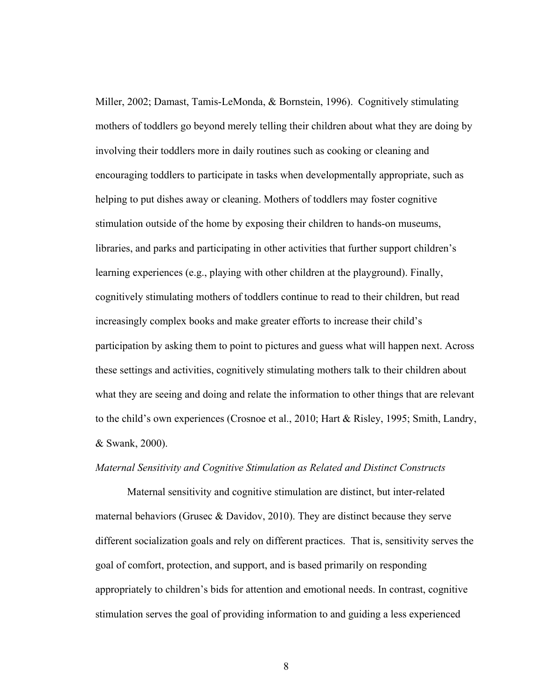Miller, 2002; Damast, Tamis-LeMonda, & Bornstein, 1996). Cognitively stimulating mothers of toddlers go beyond merely telling their children about what they are doing by involving their toddlers more in daily routines such as cooking or cleaning and encouraging toddlers to participate in tasks when developmentally appropriate, such as helping to put dishes away or cleaning. Mothers of toddlers may foster cognitive stimulation outside of the home by exposing their children to hands-on museums, libraries, and parks and participating in other activities that further support children's learning experiences (e.g., playing with other children at the playground). Finally, cognitively stimulating mothers of toddlers continue to read to their children, but read increasingly complex books and make greater efforts to increase their child's participation by asking them to point to pictures and guess what will happen next. Across these settings and activities, cognitively stimulating mothers talk to their children about what they are seeing and doing and relate the information to other things that are relevant to the child's own experiences (Crosnoe et al., 2010; Hart & Risley, 1995; Smith, Landry, & Swank, 2000).

### *Maternal Sensitivity and Cognitive Stimulation as Related and Distinct Constructs*

Maternal sensitivity and cognitive stimulation are distinct, but inter-related maternal behaviors (Grusec & Davidov, 2010). They are distinct because they serve different socialization goals and rely on different practices. That is, sensitivity serves the goal of comfort, protection, and support, and is based primarily on responding appropriately to children's bids for attention and emotional needs. In contrast, cognitive stimulation serves the goal of providing information to and guiding a less experienced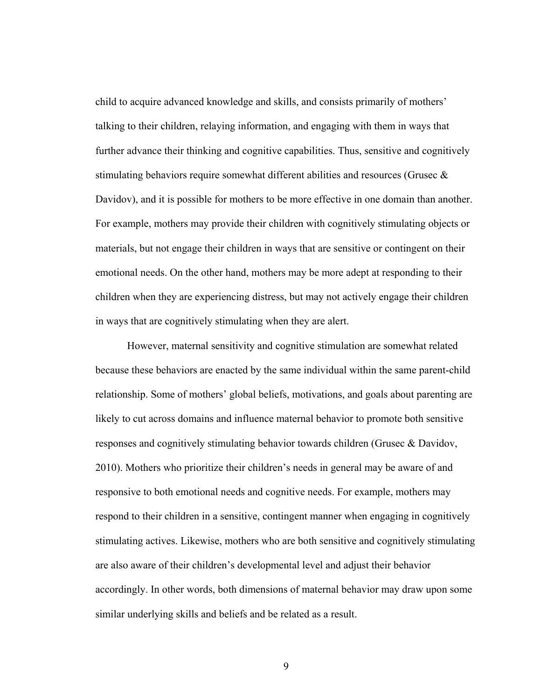child to acquire advanced knowledge and skills, and consists primarily of mothers' talking to their children, relaying information, and engaging with them in ways that further advance their thinking and cognitive capabilities. Thus, sensitive and cognitively stimulating behaviors require somewhat different abilities and resources (Grusec & Davidov), and it is possible for mothers to be more effective in one domain than another. For example, mothers may provide their children with cognitively stimulating objects or materials, but not engage their children in ways that are sensitive or contingent on their emotional needs. On the other hand, mothers may be more adept at responding to their children when they are experiencing distress, but may not actively engage their children in ways that are cognitively stimulating when they are alert.

However, maternal sensitivity and cognitive stimulation are somewhat related because these behaviors are enacted by the same individual within the same parent-child relationship. Some of mothers' global beliefs, motivations, and goals about parenting are likely to cut across domains and influence maternal behavior to promote both sensitive responses and cognitively stimulating behavior towards children (Grusec & Davidov, 2010). Mothers who prioritize their children's needs in general may be aware of and responsive to both emotional needs and cognitive needs. For example, mothers may respond to their children in a sensitive, contingent manner when engaging in cognitively stimulating actives. Likewise, mothers who are both sensitive and cognitively stimulating are also aware of their children's developmental level and adjust their behavior accordingly. In other words, both dimensions of maternal behavior may draw upon some similar underlying skills and beliefs and be related as a result.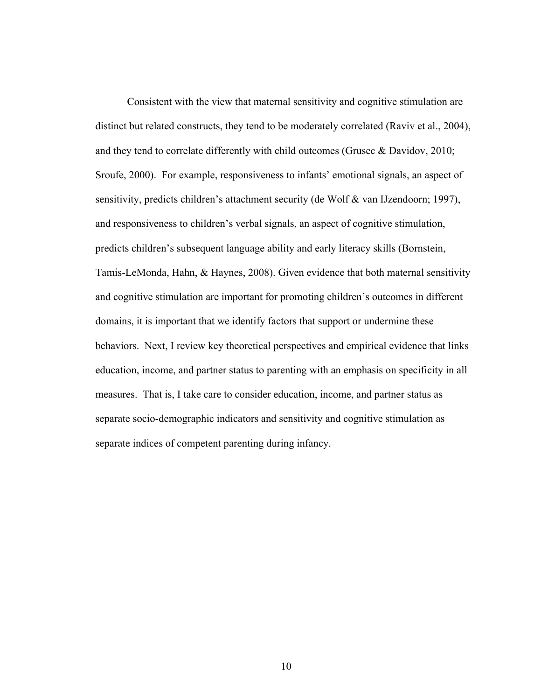Consistent with the view that maternal sensitivity and cognitive stimulation are distinct but related constructs, they tend to be moderately correlated (Raviv et al., 2004), and they tend to correlate differently with child outcomes (Grusec & Davidov, 2010; Sroufe, 2000). For example, responsiveness to infants' emotional signals, an aspect of sensitivity, predicts children's attachment security (de Wolf & van IJzendoorn; 1997), and responsiveness to children's verbal signals, an aspect of cognitive stimulation, predicts children's subsequent language ability and early literacy skills (Bornstein, Tamis-LeMonda, Hahn, & Haynes, 2008). Given evidence that both maternal sensitivity and cognitive stimulation are important for promoting children's outcomes in different domains, it is important that we identify factors that support or undermine these behaviors. Next, I review key theoretical perspectives and empirical evidence that links education, income, and partner status to parenting with an emphasis on specificity in all measures. That is, I take care to consider education, income, and partner status as separate socio-demographic indicators and sensitivity and cognitive stimulation as separate indices of competent parenting during infancy.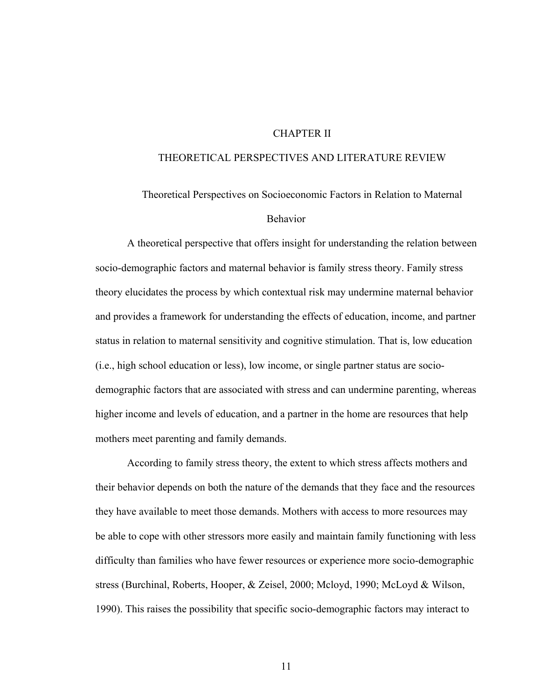#### CHAPTER II

#### THEORETICAL PERSPECTIVES AND LITERATURE REVIEW

## Theoretical Perspectives on Socioeconomic Factors in Relation to Maternal Behavior

A theoretical perspective that offers insight for understanding the relation between socio-demographic factors and maternal behavior is family stress theory. Family stress theory elucidates the process by which contextual risk may undermine maternal behavior and provides a framework for understanding the effects of education, income, and partner status in relation to maternal sensitivity and cognitive stimulation. That is, low education (i.e., high school education or less), low income, or single partner status are sociodemographic factors that are associated with stress and can undermine parenting, whereas higher income and levels of education, and a partner in the home are resources that help mothers meet parenting and family demands.

According to family stress theory, the extent to which stress affects mothers and their behavior depends on both the nature of the demands that they face and the resources they have available to meet those demands. Mothers with access to more resources may be able to cope with other stressors more easily and maintain family functioning with less difficulty than families who have fewer resources or experience more socio-demographic stress (Burchinal, Roberts, Hooper, & Zeisel, 2000; Mcloyd, 1990; McLoyd & Wilson, 1990). This raises the possibility that specific socio-demographic factors may interact to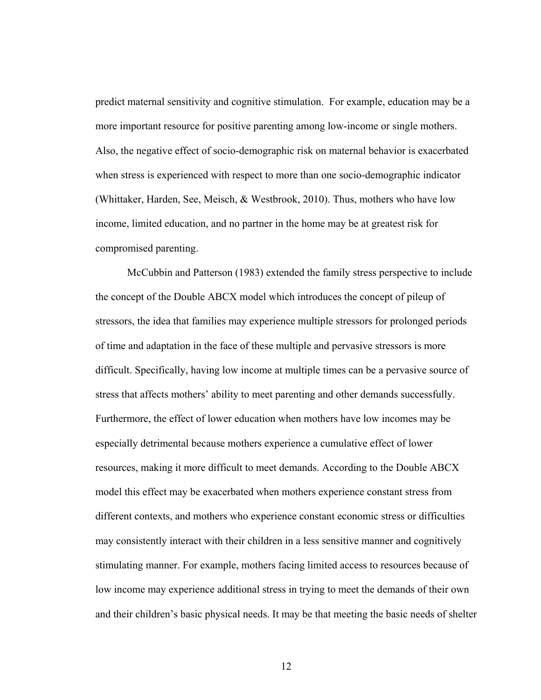predict maternal sensitivity and cognitive stimulation. For example, education may be a more important resource for positive parenting among low-income or single mothers. Also, the negative effect of socio-demographic risk on maternal behavior is exacerbated when stress is experienced with respect to more than one socio-demographic indicator (Whittaker, Harden, See, Meisch, & Westbrook, 2010). Thus, mothers who have low income, limited education, and no partner in the home may be at greatest risk for compromised parenting.

McCubbin and Patterson (1983) extended the family stress perspective to include the concept of the Double ABCX model which introduces the concept of pileup of stressors, the idea that families may experience multiple stressors for prolonged periods of time and adaptation in the face of these multiple and pervasive stressors is more difficult. Specifically, having low income at multiple times can be a pervasive source of stress that affects mothers' ability to meet parenting and other demands successfully. Furthermore, the effect of lower education when mothers have low incomes may be especially detrimental because mothers experience a cumulative effect of lower resources, making it more difficult to meet demands. According to the Double ABCX model this effect may be exacerbated when mothers experience constant stress from different contexts, and mothers who experience constant economic stress or difficulties may consistently interact with their children in a less sensitive manner and cognitively stimulating manner. For example, mothers facing limited access to resources because of low income may experience additional stress in trying to meet the demands of their own and their children's basic physical needs. It may be that meeting the basic needs of shelter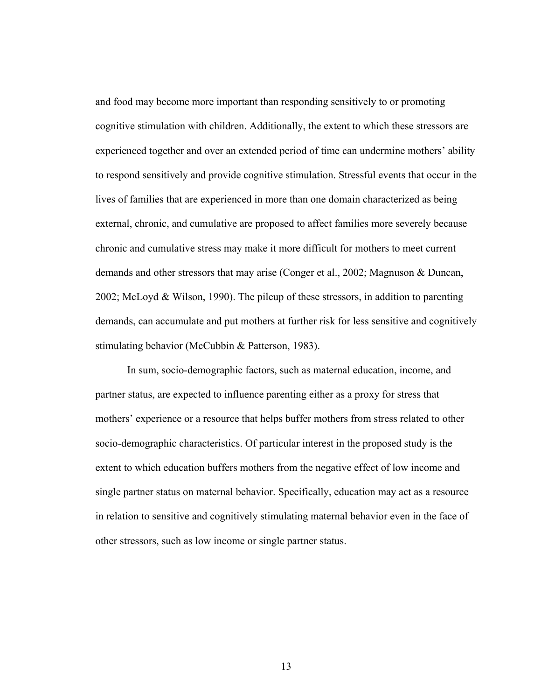and food may become more important than responding sensitively to or promoting cognitive stimulation with children. Additionally, the extent to which these stressors are experienced together and over an extended period of time can undermine mothers' ability to respond sensitively and provide cognitive stimulation. Stressful events that occur in the lives of families that are experienced in more than one domain characterized as being external, chronic, and cumulative are proposed to affect families more severely because chronic and cumulative stress may make it more difficult for mothers to meet current demands and other stressors that may arise (Conger et al., 2002; Magnuson & Duncan, 2002; McLoyd & Wilson, 1990). The pileup of these stressors, in addition to parenting demands, can accumulate and put mothers at further risk for less sensitive and cognitively stimulating behavior (McCubbin & Patterson, 1983).

In sum, socio-demographic factors, such as maternal education, income, and partner status, are expected to influence parenting either as a proxy for stress that mothers' experience or a resource that helps buffer mothers from stress related to other socio-demographic characteristics. Of particular interest in the proposed study is the extent to which education buffers mothers from the negative effect of low income and single partner status on maternal behavior. Specifically, education may act as a resource in relation to sensitive and cognitively stimulating maternal behavior even in the face of other stressors, such as low income or single partner status.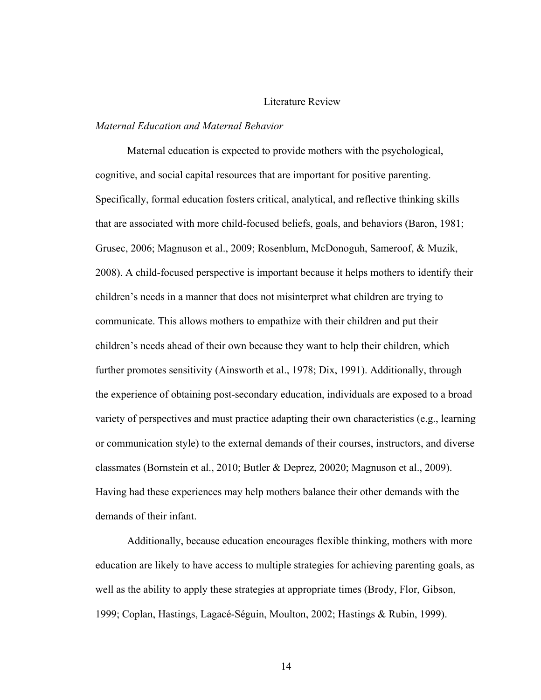#### Literature Review

#### *Maternal Education and Maternal Behavior*

Maternal education is expected to provide mothers with the psychological, cognitive, and social capital resources that are important for positive parenting. Specifically, formal education fosters critical, analytical, and reflective thinking skills that are associated with more child-focused beliefs, goals, and behaviors (Baron, 1981; Grusec, 2006; Magnuson et al., 2009; Rosenblum, McDonoguh, Sameroof, & Muzik, 2008). A child-focused perspective is important because it helps mothers to identify their children's needs in a manner that does not misinterpret what children are trying to communicate. This allows mothers to empathize with their children and put their children's needs ahead of their own because they want to help their children, which further promotes sensitivity (Ainsworth et al., 1978; Dix, 1991). Additionally, through the experience of obtaining post-secondary education, individuals are exposed to a broad variety of perspectives and must practice adapting their own characteristics (e.g., learning or communication style) to the external demands of their courses, instructors, and diverse classmates (Bornstein et al., 2010; Butler & Deprez, 20020; Magnuson et al., 2009). Having had these experiences may help mothers balance their other demands with the demands of their infant.

Additionally, because education encourages flexible thinking, mothers with more education are likely to have access to multiple strategies for achieving parenting goals, as well as the ability to apply these strategies at appropriate times (Brody, Flor, Gibson, 1999; Coplan, Hastings, Lagacé-Séguin, Moulton, 2002; Hastings & Rubin, 1999).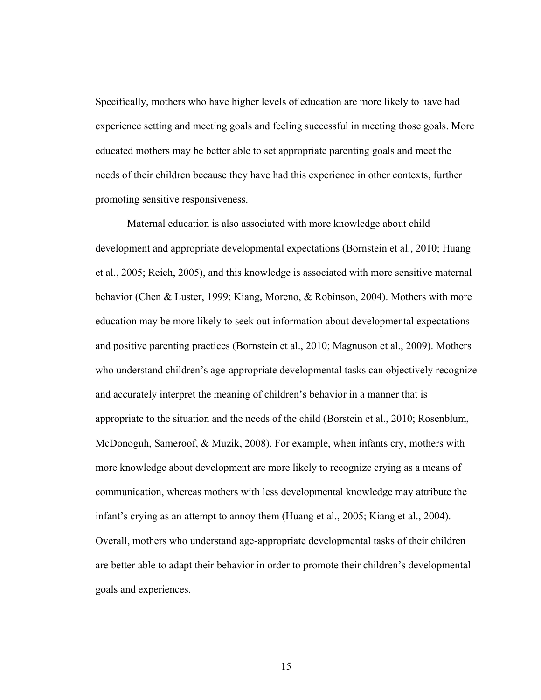Specifically, mothers who have higher levels of education are more likely to have had experience setting and meeting goals and feeling successful in meeting those goals. More educated mothers may be better able to set appropriate parenting goals and meet the needs of their children because they have had this experience in other contexts, further promoting sensitive responsiveness.

Maternal education is also associated with more knowledge about child development and appropriate developmental expectations (Bornstein et al., 2010; Huang et al., 2005; Reich, 2005), and this knowledge is associated with more sensitive maternal behavior (Chen & Luster, 1999; Kiang, Moreno, & Robinson, 2004). Mothers with more education may be more likely to seek out information about developmental expectations and positive parenting practices (Bornstein et al., 2010; Magnuson et al., 2009). Mothers who understand children's age-appropriate developmental tasks can objectively recognize and accurately interpret the meaning of children's behavior in a manner that is appropriate to the situation and the needs of the child (Borstein et al., 2010; Rosenblum, McDonoguh, Sameroof, & Muzik, 2008). For example, when infants cry, mothers with more knowledge about development are more likely to recognize crying as a means of communication, whereas mothers with less developmental knowledge may attribute the infant's crying as an attempt to annoy them (Huang et al., 2005; Kiang et al., 2004). Overall, mothers who understand age-appropriate developmental tasks of their children are better able to adapt their behavior in order to promote their children's developmental goals and experiences.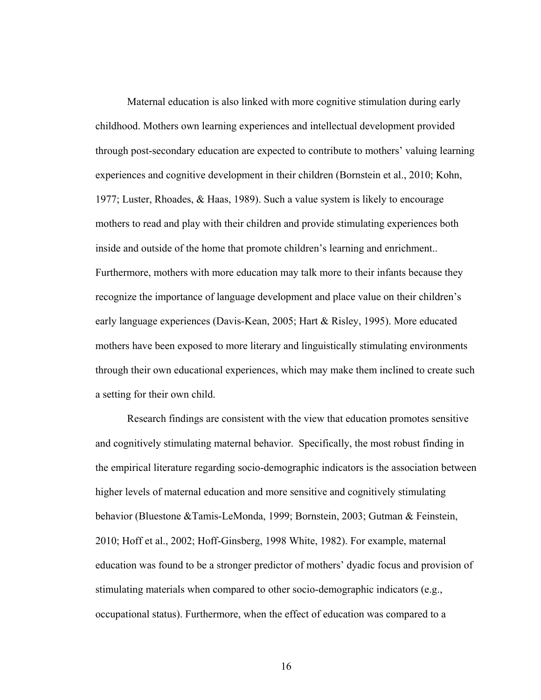Maternal education is also linked with more cognitive stimulation during early childhood. Mothers own learning experiences and intellectual development provided through post-secondary education are expected to contribute to mothers' valuing learning experiences and cognitive development in their children (Bornstein et al., 2010; Kohn, 1977; Luster, Rhoades, & Haas, 1989). Such a value system is likely to encourage mothers to read and play with their children and provide stimulating experiences both inside and outside of the home that promote children's learning and enrichment.. Furthermore, mothers with more education may talk more to their infants because they recognize the importance of language development and place value on their children's early language experiences (Davis-Kean, 2005; Hart & Risley, 1995). More educated mothers have been exposed to more literary and linguistically stimulating environments through their own educational experiences, which may make them inclined to create such a setting for their own child.

Research findings are consistent with the view that education promotes sensitive and cognitively stimulating maternal behavior. Specifically, the most robust finding in the empirical literature regarding socio-demographic indicators is the association between higher levels of maternal education and more sensitive and cognitively stimulating behavior (Bluestone &Tamis-LeMonda, 1999; Bornstein, 2003; Gutman & Feinstein, 2010; Hoff et al., 2002; Hoff-Ginsberg, 1998 White, 1982). For example, maternal education was found to be a stronger predictor of mothers' dyadic focus and provision of stimulating materials when compared to other socio-demographic indicators (e.g., occupational status). Furthermore, when the effect of education was compared to a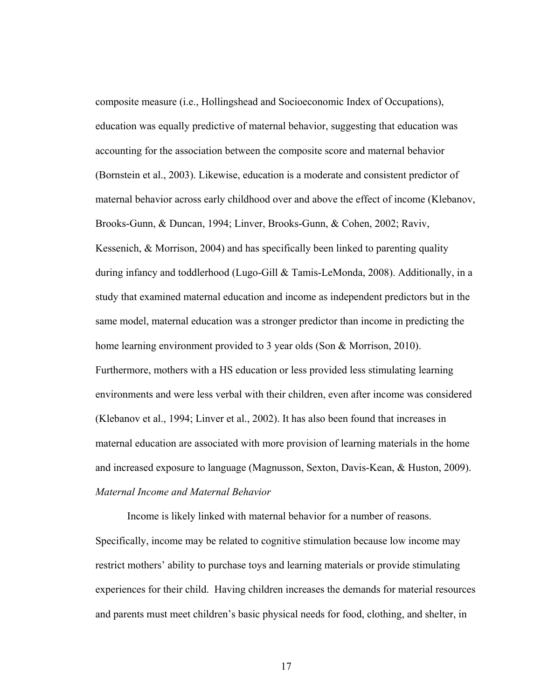composite measure (i.e., Hollingshead and Socioeconomic Index of Occupations), education was equally predictive of maternal behavior, suggesting that education was accounting for the association between the composite score and maternal behavior (Bornstein et al., 2003). Likewise, education is a moderate and consistent predictor of maternal behavior across early childhood over and above the effect of income (Klebanov, Brooks-Gunn, & Duncan, 1994; Linver, Brooks-Gunn, & Cohen, 2002; Raviv, Kessenich, & Morrison, 2004) and has specifically been linked to parenting quality during infancy and toddlerhood (Lugo-Gill & Tamis-LeMonda, 2008). Additionally, in a study that examined maternal education and income as independent predictors but in the same model, maternal education was a stronger predictor than income in predicting the home learning environment provided to 3 year olds (Son & Morrison, 2010). Furthermore, mothers with a HS education or less provided less stimulating learning environments and were less verbal with their children, even after income was considered (Klebanov et al., 1994; Linver et al., 2002). It has also been found that increases in maternal education are associated with more provision of learning materials in the home and increased exposure to language (Magnusson, Sexton, Davis-Kean, & Huston, 2009). *Maternal Income and Maternal Behavior*

Income is likely linked with maternal behavior for a number of reasons. Specifically, income may be related to cognitive stimulation because low income may restrict mothers' ability to purchase toys and learning materials or provide stimulating experiences for their child. Having children increases the demands for material resources and parents must meet children's basic physical needs for food, clothing, and shelter, in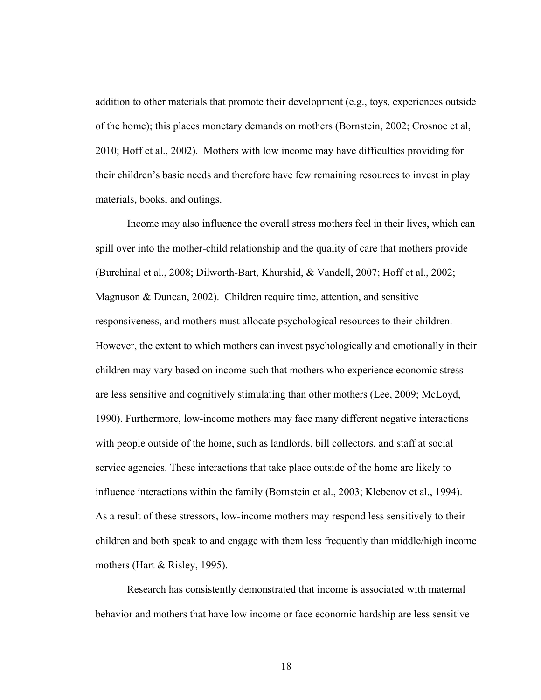addition to other materials that promote their development (e.g., toys, experiences outside of the home); this places monetary demands on mothers (Bornstein, 2002; Crosnoe et al, 2010; Hoff et al., 2002). Mothers with low income may have difficulties providing for their children's basic needs and therefore have few remaining resources to invest in play materials, books, and outings.

Income may also influence the overall stress mothers feel in their lives, which can spill over into the mother-child relationship and the quality of care that mothers provide (Burchinal et al., 2008; Dilworth-Bart, Khurshid, & Vandell, 2007; Hoff et al., 2002; Magnuson & Duncan, 2002). Children require time, attention, and sensitive responsiveness, and mothers must allocate psychological resources to their children. However, the extent to which mothers can invest psychologically and emotionally in their children may vary based on income such that mothers who experience economic stress are less sensitive and cognitively stimulating than other mothers (Lee, 2009; McLoyd, 1990). Furthermore, low-income mothers may face many different negative interactions with people outside of the home, such as landlords, bill collectors, and staff at social service agencies. These interactions that take place outside of the home are likely to influence interactions within the family (Bornstein et al., 2003; Klebenov et al., 1994). As a result of these stressors, low-income mothers may respond less sensitively to their children and both speak to and engage with them less frequently than middle/high income mothers (Hart & Risley, 1995).

Research has consistently demonstrated that income is associated with maternal behavior and mothers that have low income or face economic hardship are less sensitive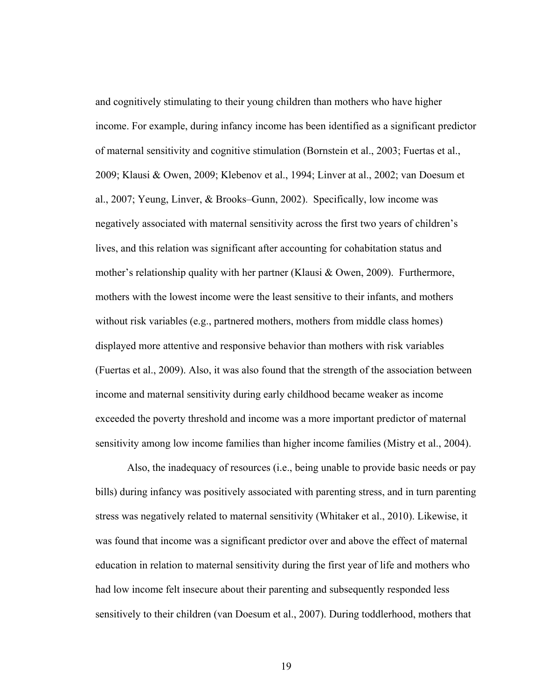and cognitively stimulating to their young children than mothers who have higher income. For example, during infancy income has been identified as a significant predictor of maternal sensitivity and cognitive stimulation (Bornstein et al., 2003; Fuertas et al., 2009; Klausi & Owen, 2009; Klebenov et al., 1994; Linver at al., 2002; van Doesum et al., 2007; Yeung, Linver, & Brooks–Gunn, 2002). Specifically, low income was negatively associated with maternal sensitivity across the first two years of children's lives, and this relation was significant after accounting for cohabitation status and mother's relationship quality with her partner (Klausi & Owen, 2009). Furthermore, mothers with the lowest income were the least sensitive to their infants, and mothers without risk variables (e.g., partnered mothers, mothers from middle class homes) displayed more attentive and responsive behavior than mothers with risk variables (Fuertas et al., 2009). Also, it was also found that the strength of the association between income and maternal sensitivity during early childhood became weaker as income exceeded the poverty threshold and income was a more important predictor of maternal sensitivity among low income families than higher income families (Mistry et al., 2004).

Also, the inadequacy of resources (i.e., being unable to provide basic needs or pay bills) during infancy was positively associated with parenting stress, and in turn parenting stress was negatively related to maternal sensitivity (Whitaker et al., 2010). Likewise, it was found that income was a significant predictor over and above the effect of maternal education in relation to maternal sensitivity during the first year of life and mothers who had low income felt insecure about their parenting and subsequently responded less sensitively to their children (van Doesum et al., 2007). During toddlerhood, mothers that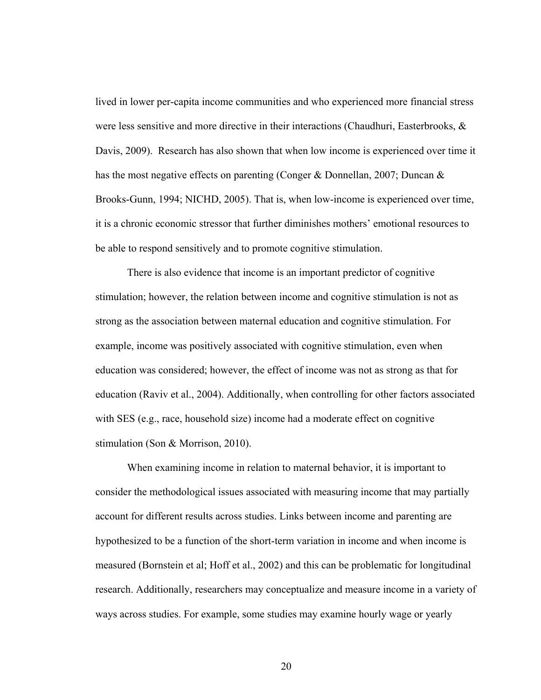lived in lower per-capita income communities and who experienced more financial stress were less sensitive and more directive in their interactions (Chaudhuri, Easterbrooks, & Davis, 2009). Research has also shown that when low income is experienced over time it has the most negative effects on parenting (Conger & Donnellan, 2007; Duncan & Brooks-Gunn, 1994; NICHD, 2005). That is, when low-income is experienced over time, it is a chronic economic stressor that further diminishes mothers' emotional resources to be able to respond sensitively and to promote cognitive stimulation.

There is also evidence that income is an important predictor of cognitive stimulation; however, the relation between income and cognitive stimulation is not as strong as the association between maternal education and cognitive stimulation. For example, income was positively associated with cognitive stimulation, even when education was considered; however, the effect of income was not as strong as that for education (Raviv et al., 2004). Additionally, when controlling for other factors associated with SES (e.g., race, household size) income had a moderate effect on cognitive stimulation (Son & Morrison, 2010).

When examining income in relation to maternal behavior, it is important to consider the methodological issues associated with measuring income that may partially account for different results across studies. Links between income and parenting are hypothesized to be a function of the short-term variation in income and when income is measured (Bornstein et al; Hoff et al., 2002) and this can be problematic for longitudinal research. Additionally, researchers may conceptualize and measure income in a variety of ways across studies. For example, some studies may examine hourly wage or yearly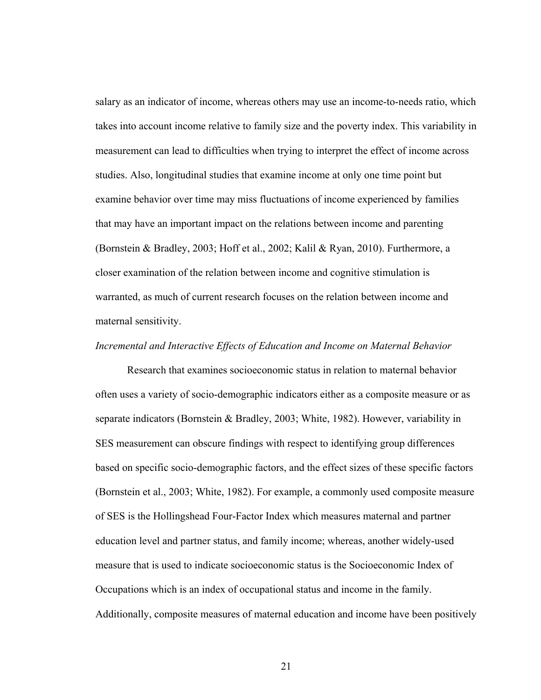salary as an indicator of income, whereas others may use an income-to-needs ratio, which takes into account income relative to family size and the poverty index. This variability in measurement can lead to difficulties when trying to interpret the effect of income across studies. Also, longitudinal studies that examine income at only one time point but examine behavior over time may miss fluctuations of income experienced by families that may have an important impact on the relations between income and parenting (Bornstein & Bradley, 2003; Hoff et al., 2002; Kalil & Ryan, 2010). Furthermore, a closer examination of the relation between income and cognitive stimulation is warranted, as much of current research focuses on the relation between income and maternal sensitivity.

#### *Incremental and Interactive Effects of Education and Income on Maternal Behavior*

Research that examines socioeconomic status in relation to maternal behavior often uses a variety of socio-demographic indicators either as a composite measure or as separate indicators (Bornstein & Bradley, 2003; White, 1982). However, variability in SES measurement can obscure findings with respect to identifying group differences based on specific socio-demographic factors, and the effect sizes of these specific factors (Bornstein et al., 2003; White, 1982). For example, a commonly used composite measure of SES is the Hollingshead Four-Factor Index which measures maternal and partner education level and partner status, and family income; whereas, another widely-used measure that is used to indicate socioeconomic status is the Socioeconomic Index of Occupations which is an index of occupational status and income in the family. Additionally, composite measures of maternal education and income have been positively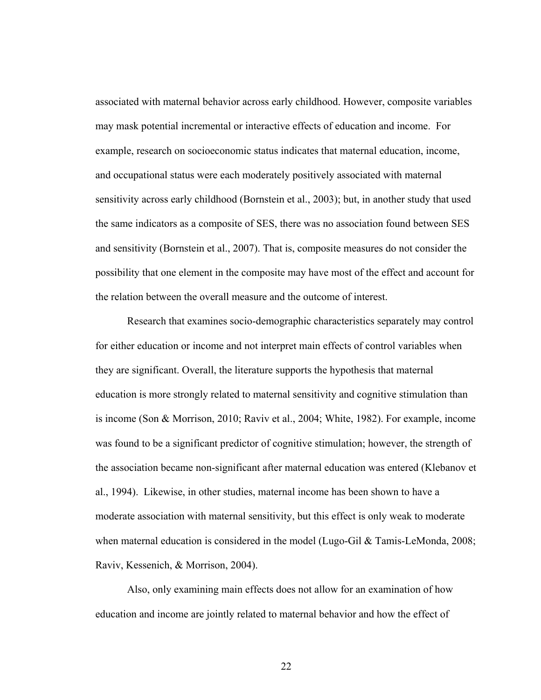associated with maternal behavior across early childhood. However, composite variables may mask potential incremental or interactive effects of education and income. For example, research on socioeconomic status indicates that maternal education, income, and occupational status were each moderately positively associated with maternal sensitivity across early childhood (Bornstein et al., 2003); but, in another study that used the same indicators as a composite of SES, there was no association found between SES and sensitivity (Bornstein et al., 2007). That is, composite measures do not consider the possibility that one element in the composite may have most of the effect and account for the relation between the overall measure and the outcome of interest.

Research that examines socio-demographic characteristics separately may control for either education or income and not interpret main effects of control variables when they are significant. Overall, the literature supports the hypothesis that maternal education is more strongly related to maternal sensitivity and cognitive stimulation than is income (Son & Morrison, 2010; Raviv et al., 2004; White, 1982). For example, income was found to be a significant predictor of cognitive stimulation; however, the strength of the association became non-significant after maternal education was entered (Klebanov et al., 1994). Likewise, in other studies, maternal income has been shown to have a moderate association with maternal sensitivity, but this effect is only weak to moderate when maternal education is considered in the model (Lugo-Gil & Tamis-LeMonda, 2008; Raviv, Kessenich, & Morrison, 2004).

Also, only examining main effects does not allow for an examination of how education and income are jointly related to maternal behavior and how the effect of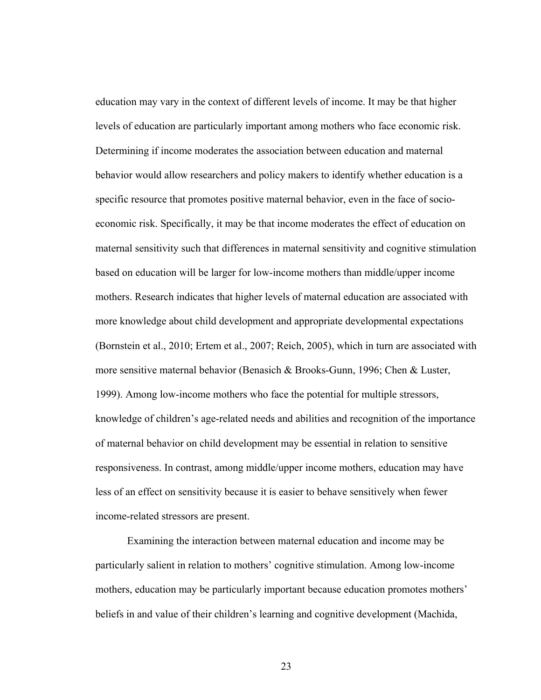education may vary in the context of different levels of income. It may be that higher levels of education are particularly important among mothers who face economic risk. Determining if income moderates the association between education and maternal behavior would allow researchers and policy makers to identify whether education is a specific resource that promotes positive maternal behavior, even in the face of socioeconomic risk. Specifically, it may be that income moderates the effect of education on maternal sensitivity such that differences in maternal sensitivity and cognitive stimulation based on education will be larger for low-income mothers than middle/upper income mothers. Research indicates that higher levels of maternal education are associated with more knowledge about child development and appropriate developmental expectations (Bornstein et al., 2010; Ertem et al., 2007; Reich, 2005), which in turn are associated with more sensitive maternal behavior (Benasich & Brooks-Gunn, 1996; Chen & Luster, 1999). Among low-income mothers who face the potential for multiple stressors, knowledge of children's age-related needs and abilities and recognition of the importance of maternal behavior on child development may be essential in relation to sensitive responsiveness. In contrast, among middle/upper income mothers, education may have less of an effect on sensitivity because it is easier to behave sensitively when fewer income-related stressors are present.

Examining the interaction between maternal education and income may be particularly salient in relation to mothers' cognitive stimulation. Among low-income mothers, education may be particularly important because education promotes mothers' beliefs in and value of their children's learning and cognitive development (Machida,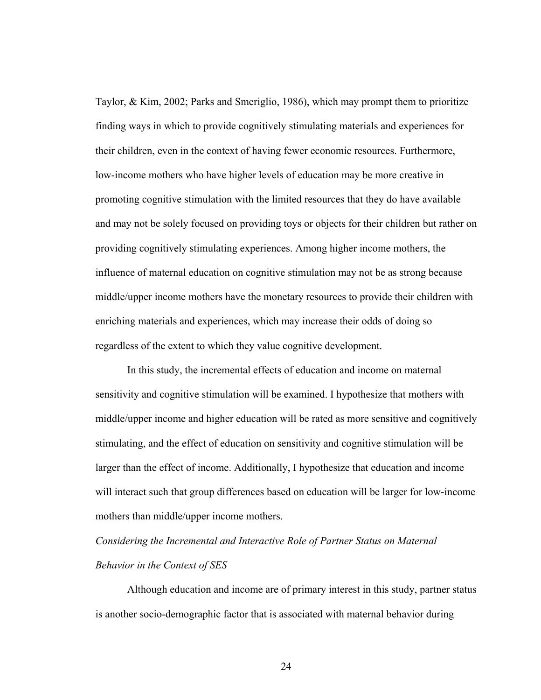Taylor, & Kim, 2002; Parks and Smeriglio, 1986), which may prompt them to prioritize finding ways in which to provide cognitively stimulating materials and experiences for their children, even in the context of having fewer economic resources. Furthermore, low-income mothers who have higher levels of education may be more creative in promoting cognitive stimulation with the limited resources that they do have available and may not be solely focused on providing toys or objects for their children but rather on providing cognitively stimulating experiences. Among higher income mothers, the influence of maternal education on cognitive stimulation may not be as strong because middle/upper income mothers have the monetary resources to provide their children with enriching materials and experiences, which may increase their odds of doing so regardless of the extent to which they value cognitive development.

In this study, the incremental effects of education and income on maternal sensitivity and cognitive stimulation will be examined. I hypothesize that mothers with middle/upper income and higher education will be rated as more sensitive and cognitively stimulating, and the effect of education on sensitivity and cognitive stimulation will be larger than the effect of income. Additionally, I hypothesize that education and income will interact such that group differences based on education will be larger for low-income mothers than middle/upper income mothers.

*Considering the Incremental and Interactive Role of Partner Status on Maternal Behavior in the Context of SES* 

Although education and income are of primary interest in this study, partner status is another socio-demographic factor that is associated with maternal behavior during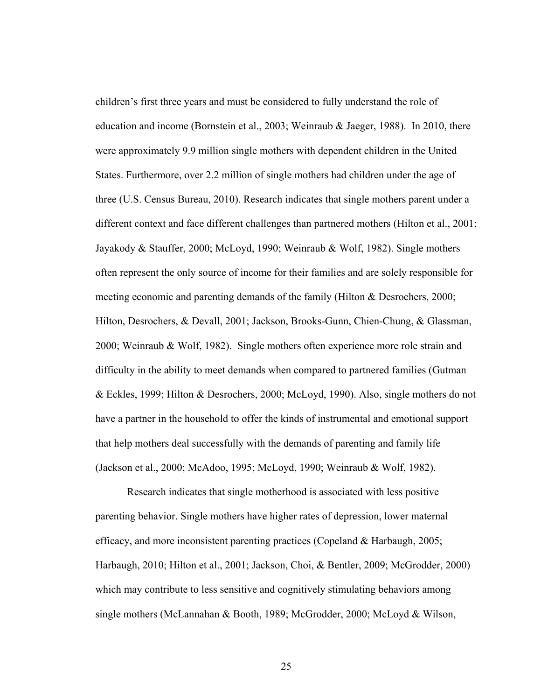children's first three years and must be considered to fully understand the role of education and income (Bornstein et al., 2003; Weinraub & Jaeger, 1988). In 2010, there were approximately 9.9 million single mothers with dependent children in the United States. Furthermore, over 2.2 million of single mothers had children under the age of three (U.S. Census Bureau, 2010). Research indicates that single mothers parent under a different context and face different challenges than partnered mothers (Hilton et al., 2001; Jayakody & Stauffer, 2000; McLoyd, 1990; Weinraub & Wolf, 1982). Single mothers often represent the only source of income for their families and are solely responsible for meeting economic and parenting demands of the family (Hilton & Desrochers, 2000; Hilton, Desrochers, & Devall, 2001; Jackson, Brooks-Gunn, Chien-Chung, & Glassman, 2000; Weinraub & Wolf, 1982). Single mothers often experience more role strain and difficulty in the ability to meet demands when compared to partnered families (Gutman & Eckles, 1999; Hilton & Desrochers, 2000; McLoyd, 1990). Also, single mothers do not have a partner in the household to offer the kinds of instrumental and emotional support that help mothers deal successfully with the demands of parenting and family life (Jackson et al., 2000; McAdoo, 1995; McLoyd, 1990; Weinraub & Wolf, 1982).

Research indicates that single motherhood is associated with less positive parenting behavior. Single mothers have higher rates of depression, lower maternal efficacy, and more inconsistent parenting practices (Copeland & Harbaugh, 2005; Harbaugh, 2010; Hilton et al., 2001; Jackson, Choi, & Bentler, 2009; McGrodder, 2000) which may contribute to less sensitive and cognitively stimulating behaviors among single mothers (McLannahan & Booth, 1989; McGrodder, 2000; McLoyd & Wilson,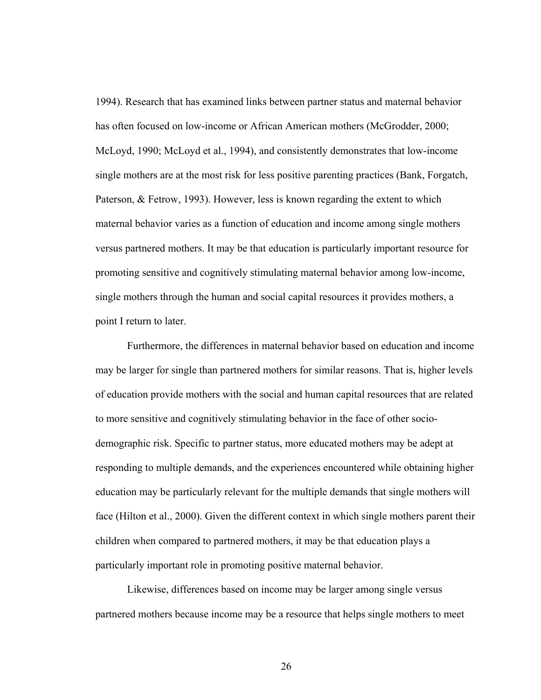1994). Research that has examined links between partner status and maternal behavior has often focused on low-income or African American mothers (McGrodder, 2000; McLoyd, 1990; McLoyd et al., 1994), and consistently demonstrates that low-income single mothers are at the most risk for less positive parenting practices (Bank, Forgatch, Paterson, & Fetrow, 1993). However, less is known regarding the extent to which maternal behavior varies as a function of education and income among single mothers versus partnered mothers. It may be that education is particularly important resource for promoting sensitive and cognitively stimulating maternal behavior among low-income, single mothers through the human and social capital resources it provides mothers, a point I return to later.

Furthermore, the differences in maternal behavior based on education and income may be larger for single than partnered mothers for similar reasons. That is, higher levels of education provide mothers with the social and human capital resources that are related to more sensitive and cognitively stimulating behavior in the face of other sociodemographic risk. Specific to partner status, more educated mothers may be adept at responding to multiple demands, and the experiences encountered while obtaining higher education may be particularly relevant for the multiple demands that single mothers will face (Hilton et al., 2000). Given the different context in which single mothers parent their children when compared to partnered mothers, it may be that education plays a particularly important role in promoting positive maternal behavior.

Likewise, differences based on income may be larger among single versus partnered mothers because income may be a resource that helps single mothers to meet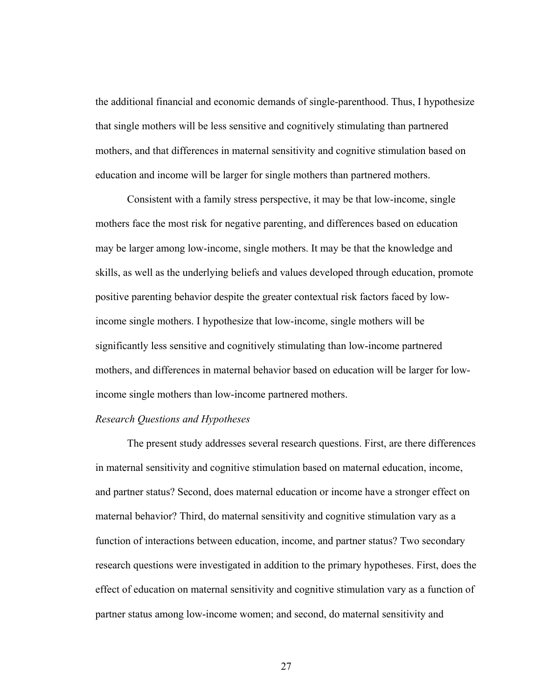the additional financial and economic demands of single-parenthood. Thus, I hypothesize that single mothers will be less sensitive and cognitively stimulating than partnered mothers, and that differences in maternal sensitivity and cognitive stimulation based on education and income will be larger for single mothers than partnered mothers.

Consistent with a family stress perspective, it may be that low-income, single mothers face the most risk for negative parenting, and differences based on education may be larger among low-income, single mothers. It may be that the knowledge and skills, as well as the underlying beliefs and values developed through education, promote positive parenting behavior despite the greater contextual risk factors faced by lowincome single mothers. I hypothesize that low-income, single mothers will be significantly less sensitive and cognitively stimulating than low-income partnered mothers, and differences in maternal behavior based on education will be larger for lowincome single mothers than low-income partnered mothers.

#### *Research Questions and Hypotheses*

The present study addresses several research questions. First, are there differences in maternal sensitivity and cognitive stimulation based on maternal education, income, and partner status? Second, does maternal education or income have a stronger effect on maternal behavior? Third, do maternal sensitivity and cognitive stimulation vary as a function of interactions between education, income, and partner status? Two secondary research questions were investigated in addition to the primary hypotheses. First, does the effect of education on maternal sensitivity and cognitive stimulation vary as a function of partner status among low-income women; and second, do maternal sensitivity and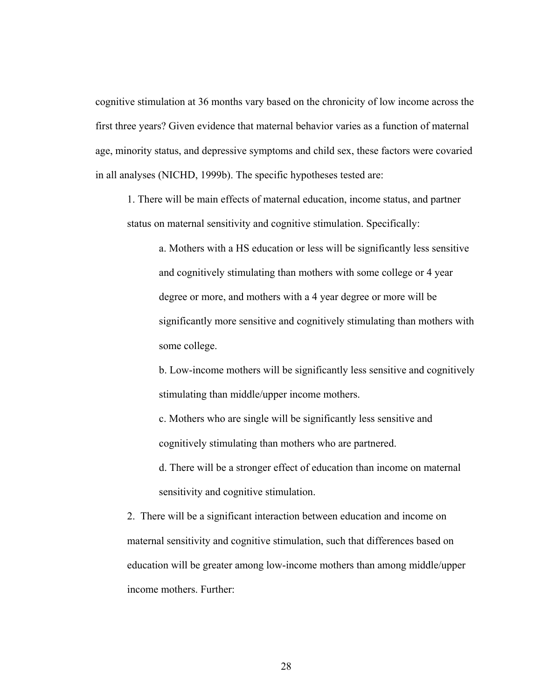cognitive stimulation at 36 months vary based on the chronicity of low income across the first three years? Given evidence that maternal behavior varies as a function of maternal age, minority status, and depressive symptoms and child sex, these factors were covaried in all analyses (NICHD, 1999b). The specific hypotheses tested are:

1. There will be main effects of maternal education, income status, and partner status on maternal sensitivity and cognitive stimulation. Specifically:

> a. Mothers with a HS education or less will be significantly less sensitive and cognitively stimulating than mothers with some college or 4 year degree or more, and mothers with a 4 year degree or more will be significantly more sensitive and cognitively stimulating than mothers with some college.

> b. Low-income mothers will be significantly less sensitive and cognitively stimulating than middle/upper income mothers.

c. Mothers who are single will be significantly less sensitive and cognitively stimulating than mothers who are partnered.

d. There will be a stronger effect of education than income on maternal sensitivity and cognitive stimulation.

2. There will be a significant interaction between education and income on maternal sensitivity and cognitive stimulation, such that differences based on education will be greater among low-income mothers than among middle/upper income mothers. Further: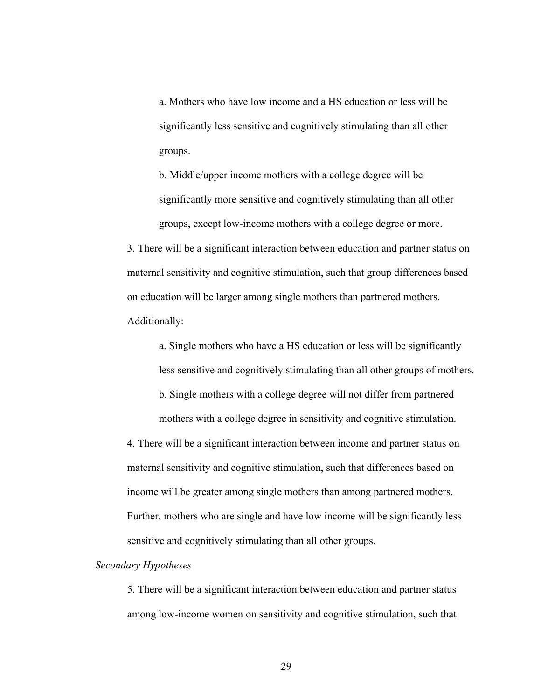a. Mothers who have low income and a HS education or less will be significantly less sensitive and cognitively stimulating than all other groups.

b. Middle/upper income mothers with a college degree will be significantly more sensitive and cognitively stimulating than all other groups, except low-income mothers with a college degree or more.

3. There will be a significant interaction between education and partner status on maternal sensitivity and cognitive stimulation, such that group differences based on education will be larger among single mothers than partnered mothers. Additionally:

a. Single mothers who have a HS education or less will be significantly less sensitive and cognitively stimulating than all other groups of mothers. b. Single mothers with a college degree will not differ from partnered mothers with a college degree in sensitivity and cognitive stimulation.

4. There will be a significant interaction between income and partner status on maternal sensitivity and cognitive stimulation, such that differences based on income will be greater among single mothers than among partnered mothers. Further, mothers who are single and have low income will be significantly less sensitive and cognitively stimulating than all other groups.

## *Secondary Hypotheses*

5. There will be a significant interaction between education and partner status among low-income women on sensitivity and cognitive stimulation, such that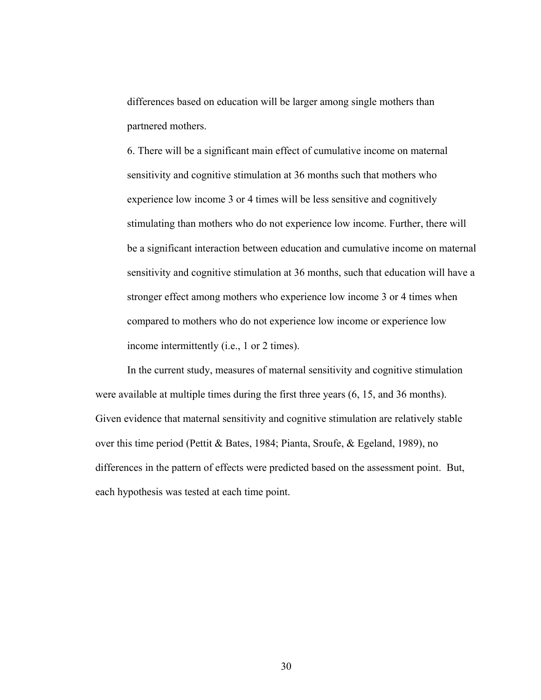differences based on education will be larger among single mothers than partnered mothers.

6. There will be a significant main effect of cumulative income on maternal sensitivity and cognitive stimulation at 36 months such that mothers who experience low income 3 or 4 times will be less sensitive and cognitively stimulating than mothers who do not experience low income. Further, there will be a significant interaction between education and cumulative income on maternal sensitivity and cognitive stimulation at 36 months, such that education will have a stronger effect among mothers who experience low income 3 or 4 times when compared to mothers who do not experience low income or experience low income intermittently (i.e., 1 or 2 times).

 In the current study, measures of maternal sensitivity and cognitive stimulation were available at multiple times during the first three years (6, 15, and 36 months). Given evidence that maternal sensitivity and cognitive stimulation are relatively stable over this time period (Pettit & Bates, 1984; Pianta, Sroufe, & Egeland, 1989), no differences in the pattern of effects were predicted based on the assessment point. But, each hypothesis was tested at each time point.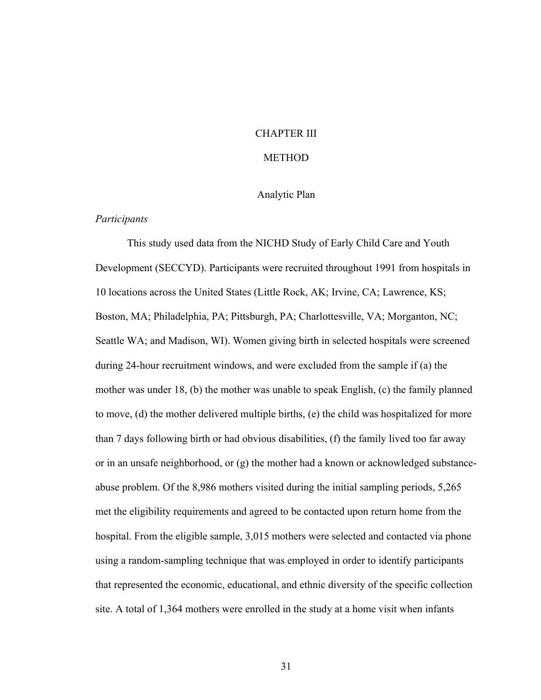## CHAPTER III

## **METHOD**

## Analytic Plan

## *Participants*

This study used data from the NICHD Study of Early Child Care and Youth Development (SECCYD). Participants were recruited throughout 1991 from hospitals in 10 locations across the United States (Little Rock, AK; Irvine, CA; Lawrence, KS; Boston, MA; Philadelphia, PA; Pittsburgh, PA; Charlottesville, VA; Morganton, NC; Seattle WA; and Madison, WI). Women giving birth in selected hospitals were screened during 24-hour recruitment windows, and were excluded from the sample if (a) the mother was under 18, (b) the mother was unable to speak English, (c) the family planned to move, (d) the mother delivered multiple births, (e) the child was hospitalized for more than 7 days following birth or had obvious disabilities, (f) the family lived too far away or in an unsafe neighborhood, or (g) the mother had a known or acknowledged substanceabuse problem. Of the 8,986 mothers visited during the initial sampling periods, 5,265 met the eligibility requirements and agreed to be contacted upon return home from the hospital. From the eligible sample, 3,015 mothers were selected and contacted via phone using a random-sampling technique that was employed in order to identify participants that represented the economic, educational, and ethnic diversity of the specific collection site. A total of 1,364 mothers were enrolled in the study at a home visit when infants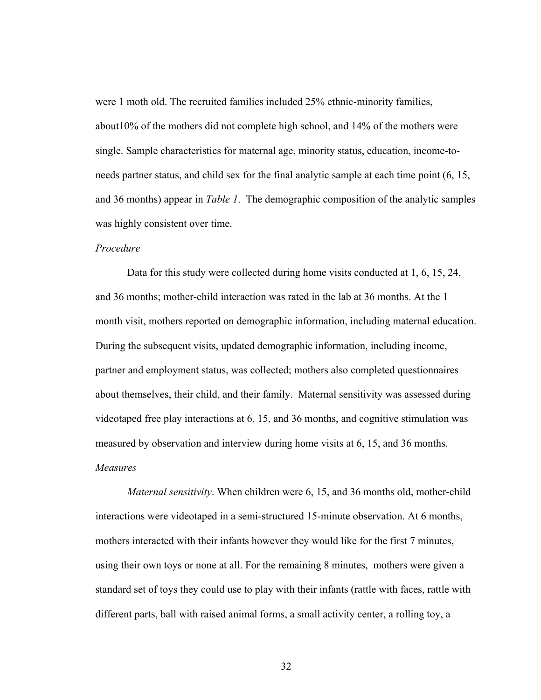were 1 moth old. The recruited families included 25% ethnic-minority families, about10% of the mothers did not complete high school, and 14% of the mothers were single. Sample characteristics for maternal age, minority status, education, income-toneeds partner status, and child sex for the final analytic sample at each time point (6, 15, and 36 months) appear in *Table 1*. The demographic composition of the analytic samples was highly consistent over time.

## *Procedure*

Data for this study were collected during home visits conducted at 1, 6, 15, 24, and 36 months; mother-child interaction was rated in the lab at 36 months. At the 1 month visit, mothers reported on demographic information, including maternal education. During the subsequent visits, updated demographic information, including income, partner and employment status, was collected; mothers also completed questionnaires about themselves, their child, and their family. Maternal sensitivity was assessed during videotaped free play interactions at 6, 15, and 36 months, and cognitive stimulation was measured by observation and interview during home visits at 6, 15, and 36 months. *Measures* 

 *Maternal sensitivity*. When children were 6, 15, and 36 months old, mother-child interactions were videotaped in a semi-structured 15-minute observation. At 6 months, mothers interacted with their infants however they would like for the first 7 minutes, using their own toys or none at all. For the remaining 8 minutes, mothers were given a standard set of toys they could use to play with their infants (rattle with faces, rattle with different parts, ball with raised animal forms, a small activity center, a rolling toy, a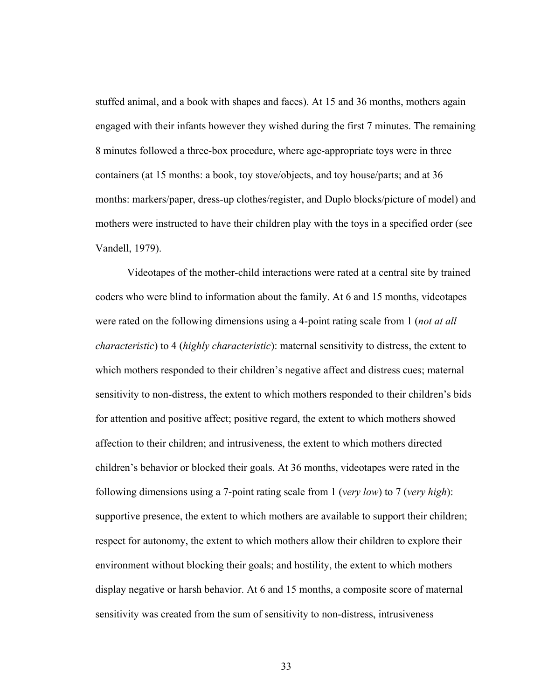stuffed animal, and a book with shapes and faces). At 15 and 36 months, mothers again engaged with their infants however they wished during the first 7 minutes. The remaining 8 minutes followed a three-box procedure, where age-appropriate toys were in three containers (at 15 months: a book, toy stove/objects, and toy house/parts; and at 36 months: markers/paper, dress-up clothes/register, and Duplo blocks/picture of model) and mothers were instructed to have their children play with the toys in a specified order (see Vandell, 1979).

Videotapes of the mother-child interactions were rated at a central site by trained coders who were blind to information about the family. At 6 and 15 months, videotapes were rated on the following dimensions using a 4-point rating scale from 1 (*not at all characteristic*) to 4 (*highly characteristic*): maternal sensitivity to distress, the extent to which mothers responded to their children's negative affect and distress cues; maternal sensitivity to non-distress, the extent to which mothers responded to their children's bids for attention and positive affect; positive regard, the extent to which mothers showed affection to their children; and intrusiveness, the extent to which mothers directed children's behavior or blocked their goals. At 36 months, videotapes were rated in the following dimensions using a 7-point rating scale from 1 (*very low*) to 7 (*very high*): supportive presence, the extent to which mothers are available to support their children; respect for autonomy, the extent to which mothers allow their children to explore their environment without blocking their goals; and hostility, the extent to which mothers display negative or harsh behavior. At 6 and 15 months, a composite score of maternal sensitivity was created from the sum of sensitivity to non-distress, intrusiveness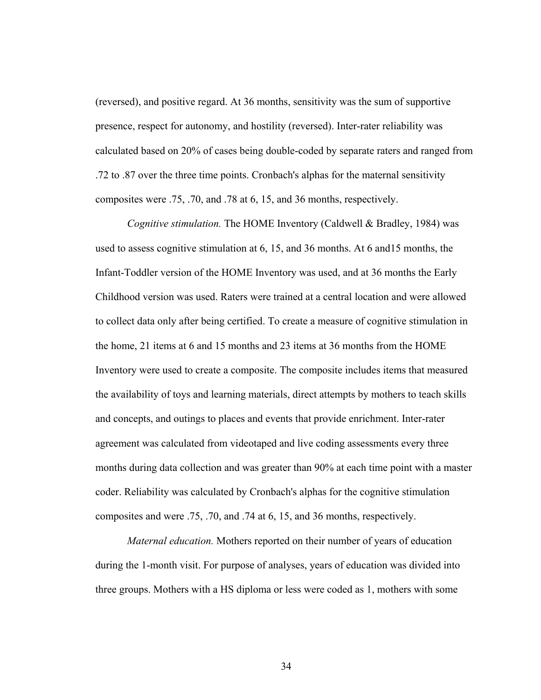(reversed), and positive regard. At 36 months, sensitivity was the sum of supportive presence, respect for autonomy, and hostility (reversed). Inter-rater reliability was calculated based on 20% of cases being double-coded by separate raters and ranged from .72 to .87 over the three time points. Cronbach's alphas for the maternal sensitivity composites were .75, .70, and .78 at 6, 15, and 36 months, respectively.

*Cognitive stimulation.* The HOME Inventory (Caldwell & Bradley, 1984) was used to assess cognitive stimulation at 6, 15, and 36 months. At 6 and15 months, the Infant-Toddler version of the HOME Inventory was used, and at 36 months the Early Childhood version was used. Raters were trained at a central location and were allowed to collect data only after being certified. To create a measure of cognitive stimulation in the home, 21 items at 6 and 15 months and 23 items at 36 months from the HOME Inventory were used to create a composite. The composite includes items that measured the availability of toys and learning materials, direct attempts by mothers to teach skills and concepts, and outings to places and events that provide enrichment. Inter-rater agreement was calculated from videotaped and live coding assessments every three months during data collection and was greater than 90% at each time point with a master coder. Reliability was calculated by Cronbach's alphas for the cognitive stimulation composites and were .75, .70, and .74 at 6, 15, and 36 months, respectively.

*Maternal education.* Mothers reported on their number of years of education during the 1-month visit. For purpose of analyses, years of education was divided into three groups. Mothers with a HS diploma or less were coded as 1, mothers with some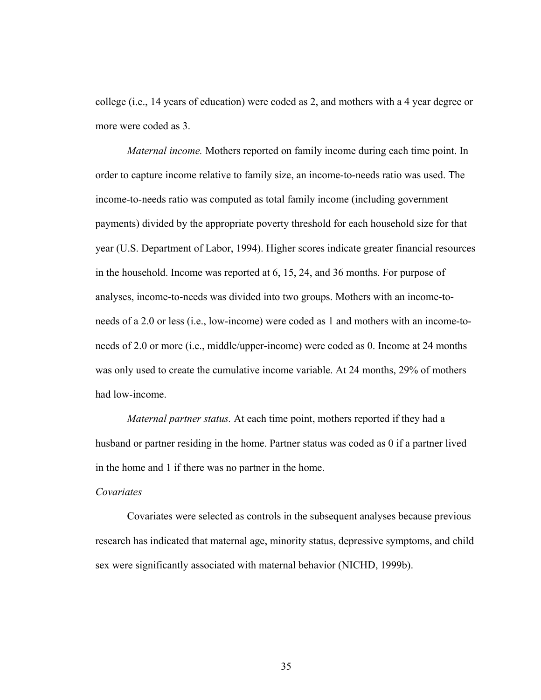college (i.e., 14 years of education) were coded as 2, and mothers with a 4 year degree or more were coded as 3.

*Maternal income.* Mothers reported on family income during each time point. In order to capture income relative to family size, an income-to-needs ratio was used. The income-to-needs ratio was computed as total family income (including government payments) divided by the appropriate poverty threshold for each household size for that year (U.S. Department of Labor, 1994). Higher scores indicate greater financial resources in the household. Income was reported at 6, 15, 24, and 36 months. For purpose of analyses, income-to-needs was divided into two groups. Mothers with an income-toneeds of a 2.0 or less (i.e., low-income) were coded as 1 and mothers with an income-toneeds of 2.0 or more (i.e., middle/upper-income) were coded as 0. Income at 24 months was only used to create the cumulative income variable. At 24 months, 29% of mothers had low-income.

*Maternal partner status.* At each time point, mothers reported if they had a husband or partner residing in the home. Partner status was coded as 0 if a partner lived in the home and 1 if there was no partner in the home.

### *Covariates*

 Covariates were selected as controls in the subsequent analyses because previous research has indicated that maternal age, minority status, depressive symptoms, and child sex were significantly associated with maternal behavior (NICHD, 1999b).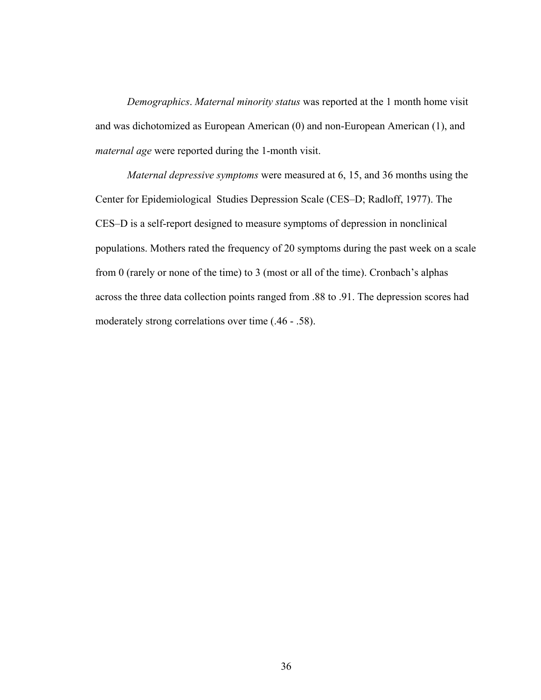*Demographics*. *Maternal minority status* was reported at the 1 month home visit and was dichotomized as European American (0) and non-European American (1), and *maternal age* were reported during the 1-month visit.

*Maternal depressive symptoms* were measured at 6, 15, and 36 months using the Center for Epidemiological Studies Depression Scale (CES–D; Radloff, 1977). The CES–D is a self-report designed to measure symptoms of depression in nonclinical populations. Mothers rated the frequency of 20 symptoms during the past week on a scale from 0 (rarely or none of the time) to 3 (most or all of the time). Cronbach's alphas across the three data collection points ranged from .88 to .91. The depression scores had moderately strong correlations over time (.46 - .58).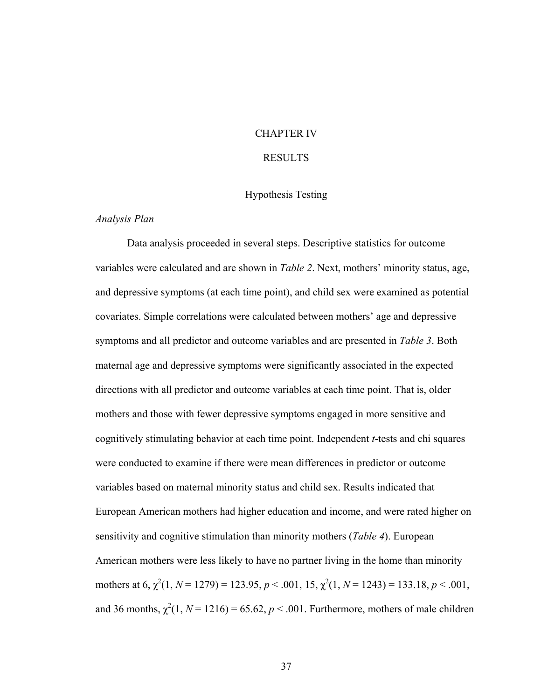## CHAPTER IV

## RESULTS

## Hypothesis Testing

## *Analysis Plan*

 Data analysis proceeded in several steps. Descriptive statistics for outcome variables were calculated and are shown in *Table 2*. Next, mothers' minority status, age, and depressive symptoms (at each time point), and child sex were examined as potential covariates. Simple correlations were calculated between mothers' age and depressive symptoms and all predictor and outcome variables and are presented in *Table 3*. Both maternal age and depressive symptoms were significantly associated in the expected directions with all predictor and outcome variables at each time point. That is, older mothers and those with fewer depressive symptoms engaged in more sensitive and cognitively stimulating behavior at each time point. Independent *t*-tests and chi squares were conducted to examine if there were mean differences in predictor or outcome variables based on maternal minority status and child sex. Results indicated that European American mothers had higher education and income, and were rated higher on sensitivity and cognitive stimulation than minority mothers (*Table 4*). European American mothers were less likely to have no partner living in the home than minority mothers at 6,  $\chi^2(1, N = 1279) = 123.95, p < .001, 15, \chi^2(1, N = 1243) = 133.18, p < .001,$ and 36 months,  $\chi^2(1, N = 1216) = 65.62$ ,  $p < .001$ . Furthermore, mothers of male children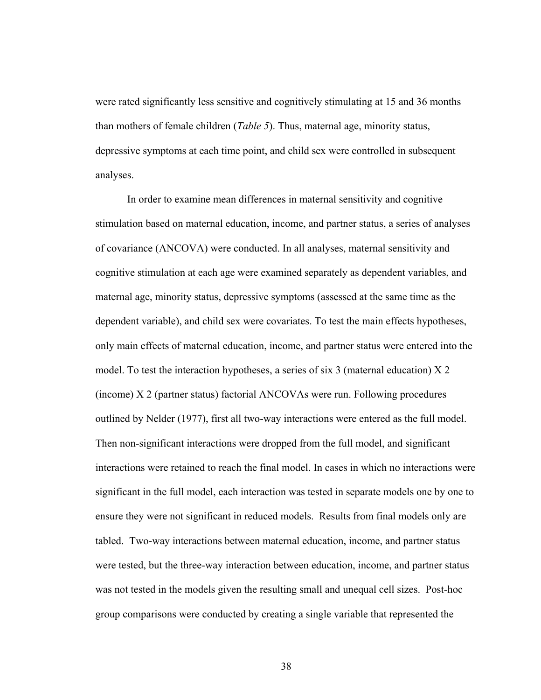were rated significantly less sensitive and cognitively stimulating at 15 and 36 months than mothers of female children (*Table 5*). Thus, maternal age, minority status, depressive symptoms at each time point, and child sex were controlled in subsequent analyses.

In order to examine mean differences in maternal sensitivity and cognitive stimulation based on maternal education, income, and partner status, a series of analyses of covariance (ANCOVA) were conducted. In all analyses, maternal sensitivity and cognitive stimulation at each age were examined separately as dependent variables, and maternal age, minority status, depressive symptoms (assessed at the same time as the dependent variable), and child sex were covariates. To test the main effects hypotheses, only main effects of maternal education, income, and partner status were entered into the model. To test the interaction hypotheses, a series of six 3 (maternal education) X 2 (income) X 2 (partner status) factorial ANCOVAs were run. Following procedures outlined by Nelder (1977), first all two-way interactions were entered as the full model. Then non-significant interactions were dropped from the full model, and significant interactions were retained to reach the final model. In cases in which no interactions were significant in the full model, each interaction was tested in separate models one by one to ensure they were not significant in reduced models. Results from final models only are tabled. Two-way interactions between maternal education, income, and partner status were tested, but the three-way interaction between education, income, and partner status was not tested in the models given the resulting small and unequal cell sizes. Post-hoc group comparisons were conducted by creating a single variable that represented the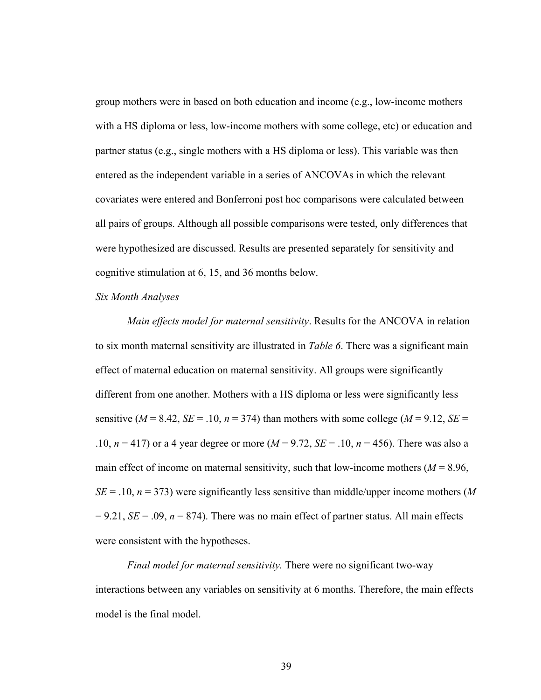group mothers were in based on both education and income (e.g., low-income mothers with a HS diploma or less, low-income mothers with some college, etc) or education and partner status (e.g., single mothers with a HS diploma or less). This variable was then entered as the independent variable in a series of ANCOVAs in which the relevant covariates were entered and Bonferroni post hoc comparisons were calculated between all pairs of groups. Although all possible comparisons were tested, only differences that were hypothesized are discussed. Results are presented separately for sensitivity and cognitive stimulation at 6, 15, and 36 months below.

## *Six Month Analyses*

*Main effects model for maternal sensitivity*. Results for the ANCOVA in relation to six month maternal sensitivity are illustrated in *Table 6*. There was a significant main effect of maternal education on maternal sensitivity. All groups were significantly different from one another. Mothers with a HS diploma or less were significantly less sensitive ( $M = 8.42$ ,  $SE = .10$ ,  $n = 374$ ) than mothers with some college ( $M = 9.12$ ,  $SE =$ .10, *n* = 417) or a 4 year degree or more (*M* = 9.72, *SE* = .10, *n* = 456). There was also a main effect of income on maternal sensitivity, such that low-income mothers  $(M = 8.96)$ ,  $SE = .10$ ,  $n = 373$ ) were significantly less sensitive than middle/upper income mothers (*M*  $= 9.21$ , *SE* = .09, *n* = 874). There was no main effect of partner status. All main effects were consistent with the hypotheses.

*Final model for maternal sensitivity.* There were no significant two-way interactions between any variables on sensitivity at 6 months. Therefore, the main effects model is the final model.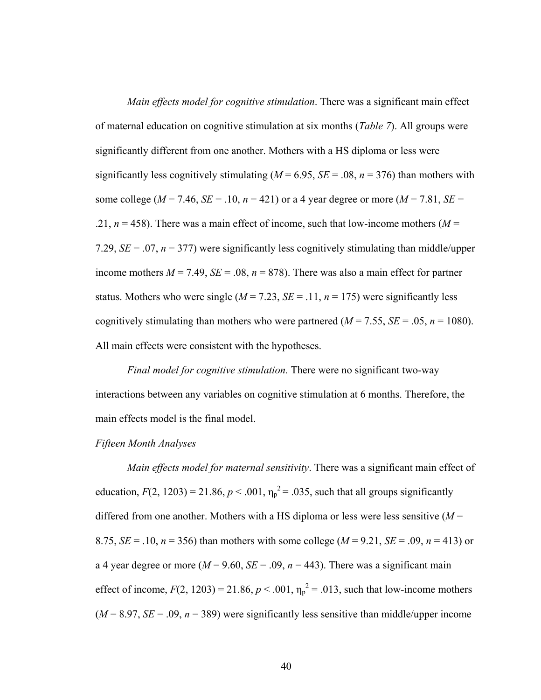*Main effects model for cognitive stimulation*. There was a significant main effect of maternal education on cognitive stimulation at six months (*Table 7*). All groups were significantly different from one another. Mothers with a HS diploma or less were significantly less cognitively stimulating ( $M = 6.95$ ,  $SE = .08$ ,  $n = 376$ ) than mothers with some college ( $M = 7.46$ ,  $SE = .10$ ,  $n = 421$ ) or a 4 year degree or more ( $M = 7.81$ ,  $SE =$ .21,  $n = 458$ ). There was a main effect of income, such that low-income mothers ( $M =$ 7.29,  $SE = .07$ ,  $n = 377$ ) were significantly less cognitively stimulating than middle/upper income mothers  $M = 7.49$ ,  $SE = .08$ ,  $n = 878$ ). There was also a main effect for partner status. Mothers who were single  $(M = 7.23, SE = .11, n = 175)$  were significantly less cognitively stimulating than mothers who were partnered  $(M = 7.55, SE = .05, n = 1080)$ . All main effects were consistent with the hypotheses.

*Final model for cognitive stimulation.* There were no significant two-way interactions between any variables on cognitive stimulation at 6 months. Therefore, the main effects model is the final model.

#### *Fifteen Month Analyses*

*Main effects model for maternal sensitivity*. There was a significant main effect of education,  $F(2, 1203) = 21.86$ ,  $p < .001$ ,  $\eta_p^2 = .035$ , such that all groups significantly differed from one another. Mothers with a HS diploma or less were less sensitive (*M* = 8.75,  $SE = .10$ ,  $n = 356$ ) than mothers with some college ( $M = 9.21$ ,  $SE = .09$ ,  $n = 413$ ) or a 4 year degree or more ( $M = 9.60$ ,  $SE = .09$ ,  $n = 443$ ). There was a significant main effect of income,  $F(2, 1203) = 21.86$ ,  $p < .001$ ,  $\eta_p^2 = .013$ , such that low-income mothers  $(M = 8.97, SE = .09, n = 389)$  were significantly less sensitive than middle/upper income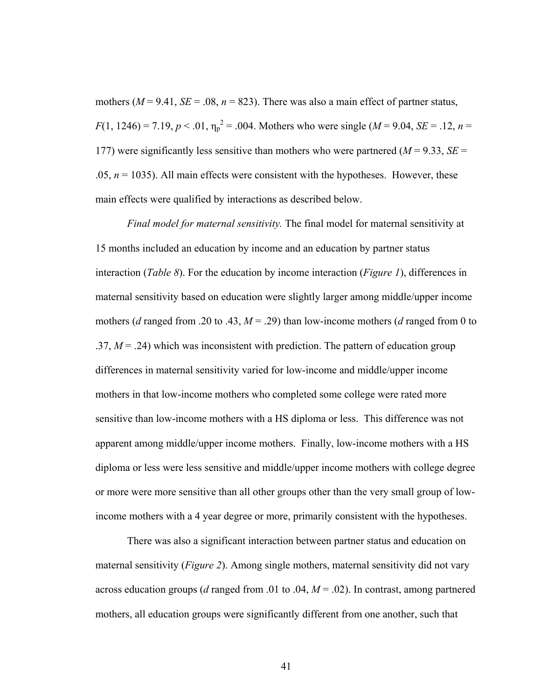mothers ( $M = 9.41$ ,  $SE = .08$ ,  $n = 823$ ). There was also a main effect of partner status,  $F(1, 1246) = 7.19, p < .01, \eta_p^2 = .004$ . Mothers who were single (*M* = 9.04, *SE* = .12, *n* = 177) were significantly less sensitive than mothers who were partnered ( $M = 9.33$ ,  $SE =$ .05,  $n = 1035$ ). All main effects were consistent with the hypotheses. However, these main effects were qualified by interactions as described below.

*Final model for maternal sensitivity.* The final model for maternal sensitivity at 15 months included an education by income and an education by partner status interaction (*Table 8*). For the education by income interaction (*Figure 1*), differences in maternal sensitivity based on education were slightly larger among middle/upper income mothers (*d* ranged from .20 to .43,  $M = .29$ ) than low-income mothers (*d* ranged from 0 to .37,  $M = 0.24$ ) which was inconsistent with prediction. The pattern of education group differences in maternal sensitivity varied for low-income and middle/upper income mothers in that low-income mothers who completed some college were rated more sensitive than low-income mothers with a HS diploma or less. This difference was not apparent among middle/upper income mothers. Finally, low-income mothers with a HS diploma or less were less sensitive and middle/upper income mothers with college degree or more were more sensitive than all other groups other than the very small group of lowincome mothers with a 4 year degree or more, primarily consistent with the hypotheses.

There was also a significant interaction between partner status and education on maternal sensitivity (*Figure 2*). Among single mothers, maternal sensitivity did not vary across education groups (*d* ranged from .01 to .04, *M* = .02). In contrast, among partnered mothers, all education groups were significantly different from one another, such that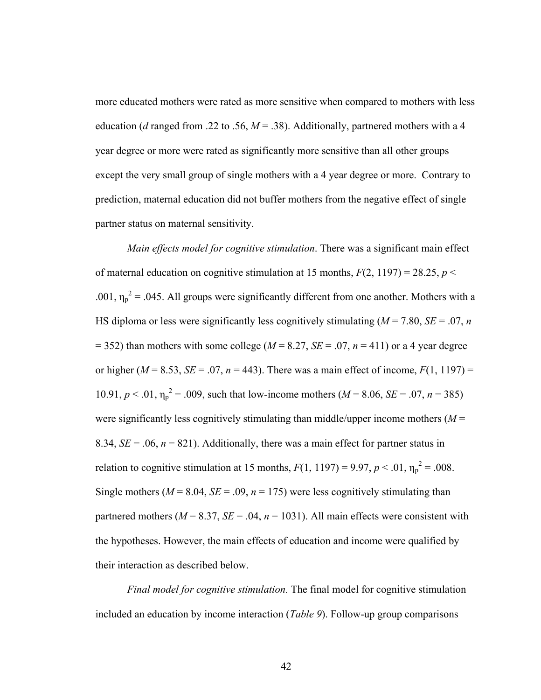more educated mothers were rated as more sensitive when compared to mothers with less education (*d* ranged from .22 to .56,  $M = .38$ ). Additionally, partnered mothers with a 4 year degree or more were rated as significantly more sensitive than all other groups except the very small group of single mothers with a 4 year degree or more. Contrary to prediction, maternal education did not buffer mothers from the negative effect of single partner status on maternal sensitivity.

*Main effects model for cognitive stimulation*. There was a significant main effect of maternal education on cognitive stimulation at 15 months,  $F(2, 1197) = 28.25$ ,  $p <$ .001,  $\eta_p^2$  = .045. All groups were significantly different from one another. Mothers with a HS diploma or less were significantly less cognitively stimulating ( $M = 7.80$ ,  $SE = .07$ , *n*  $=$  352) than mothers with some college ( $M = 8.27$ ,  $SE = .07$ ,  $n = 411$ ) or a 4 year degree or higher ( $M = 8.53$ ,  $SE = .07$ ,  $n = 443$ ). There was a main effect of income,  $F(1, 1197) =$ 10.91,  $p < 0.01$ ,  $\eta_p^2 = 0.009$ , such that low-income mothers ( $M = 8.06$ ,  $SE = 0.07$ ,  $n = 385$ ) were significantly less cognitively stimulating than middle/upper income mothers  $(M =$ 8.34,  $SE = .06$ ,  $n = 821$ ). Additionally, there was a main effect for partner status in relation to cognitive stimulation at 15 months,  $F(1, 1197) = 9.97$ ,  $p < .01$ ,  $\eta_p^2 = .008$ . Single mothers ( $M = 8.04$ ,  $SE = .09$ ,  $n = 175$ ) were less cognitively stimulating than partnered mothers ( $M = 8.37$ ,  $SE = .04$ ,  $n = 1031$ ). All main effects were consistent with the hypotheses. However, the main effects of education and income were qualified by their interaction as described below.

*Final model for cognitive stimulation.* The final model for cognitive stimulation included an education by income interaction (*Table 9*). Follow-up group comparisons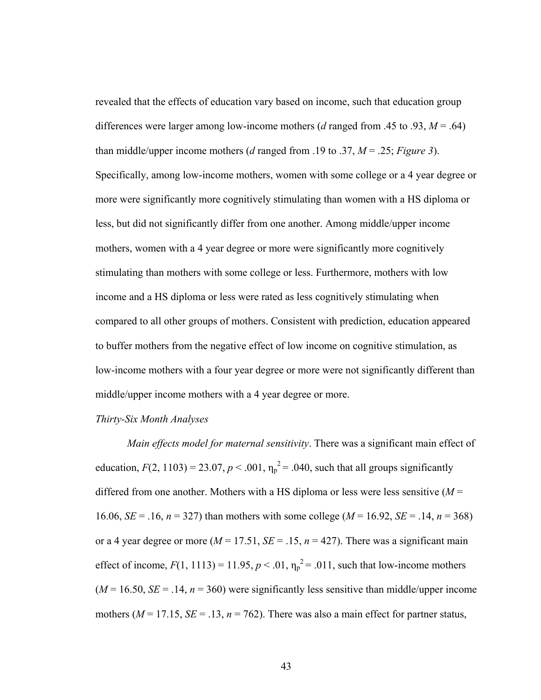revealed that the effects of education vary based on income, such that education group differences were larger among low-income mothers (*d* ranged from .45 to .93, *M* = .64) than middle/upper income mothers (*d* ranged from .19 to .37, *M* = .25; *Figure 3*). Specifically, among low-income mothers, women with some college or a 4 year degree or more were significantly more cognitively stimulating than women with a HS diploma or less, but did not significantly differ from one another. Among middle/upper income mothers, women with a 4 year degree or more were significantly more cognitively stimulating than mothers with some college or less. Furthermore, mothers with low income and a HS diploma or less were rated as less cognitively stimulating when compared to all other groups of mothers. Consistent with prediction, education appeared to buffer mothers from the negative effect of low income on cognitive stimulation, as low-income mothers with a four year degree or more were not significantly different than middle/upper income mothers with a 4 year degree or more.

### *Thirty-Six Month Analyses*

*Main effects model for maternal sensitivity*. There was a significant main effect of education,  $F(2, 1103) = 23.07$ ,  $p < .001$ ,  $\eta_p^2 = .040$ , such that all groups significantly differed from one another. Mothers with a HS diploma or less were less sensitive (*M* = 16.06, *SE* = .16, *n* = 327) than mothers with some college (*M* = 16.92, *SE* = .14, *n* = 368) or a 4 year degree or more  $(M = 17.51, SE = .15, n = 427)$ . There was a significant main effect of income,  $F(1, 1113) = 11.95$ ,  $p < .01$ ,  $\eta_p^2 = .011$ , such that low-income mothers  $(M = 16.50, SE = .14, n = 360)$  were significantly less sensitive than middle/upper income mothers ( $M = 17.15$ ,  $SE = .13$ ,  $n = 762$ ). There was also a main effect for partner status,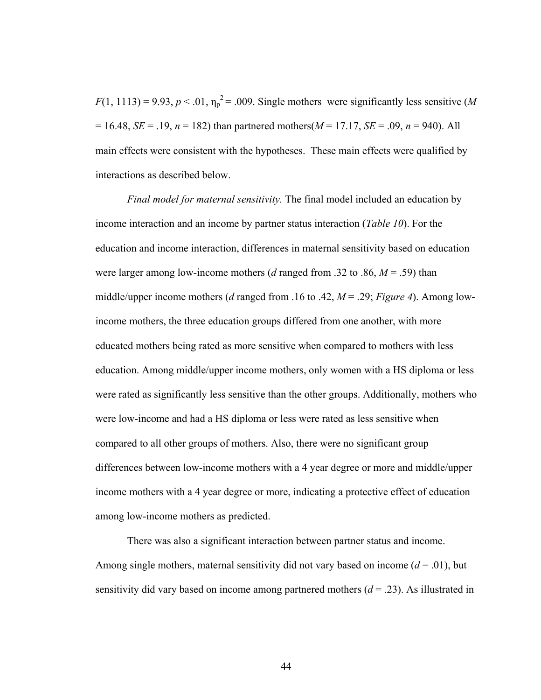$F(1, 1113) = 9.93, p < .01, \eta_p^2 = .009$ . Single mothers were significantly less sensitive (*M*  $= 16.48$ , *SE* = .19, *n* = 182) than partnered mothers(*M* = 17.17, *SE* = .09, *n* = 940). All main effects were consistent with the hypotheses. These main effects were qualified by interactions as described below.

*Final model for maternal sensitivity.* The final model included an education by income interaction and an income by partner status interaction (*Table 10*). For the education and income interaction, differences in maternal sensitivity based on education were larger among low-income mothers (*d* ranged from .32 to .86, *M* = .59) than middle/upper income mothers (*d* ranged from .16 to .42, *M* = .29; *Figure 4*). Among lowincome mothers, the three education groups differed from one another, with more educated mothers being rated as more sensitive when compared to mothers with less education. Among middle/upper income mothers, only women with a HS diploma or less were rated as significantly less sensitive than the other groups. Additionally, mothers who were low-income and had a HS diploma or less were rated as less sensitive when compared to all other groups of mothers. Also, there were no significant group differences between low-income mothers with a 4 year degree or more and middle/upper income mothers with a 4 year degree or more, indicating a protective effect of education among low-income mothers as predicted.

There was also a significant interaction between partner status and income. Among single mothers, maternal sensitivity did not vary based on income  $(d = .01)$ , but sensitivity did vary based on income among partnered mothers  $(d = .23)$ . As illustrated in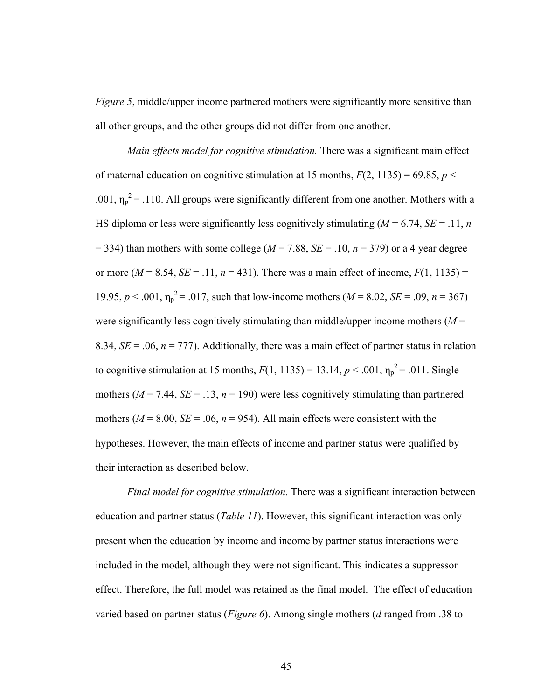*Figure 5*, middle/upper income partnered mothers were significantly more sensitive than all other groups, and the other groups did not differ from one another.

 *Main effects model for cognitive stimulation.* There was a significant main effect of maternal education on cognitive stimulation at 15 months,  $F(2, 1135) = 69.85$ ,  $p <$ .001,  $\eta_p^2$  = .110. All groups were significantly different from one another. Mothers with a HS diploma or less were significantly less cognitively stimulating  $(M = 6.74, SE = .11, n$  $=$  334) than mothers with some college ( $M = 7.88$ ,  $SE = .10$ ,  $n = 379$ ) or a 4 year degree or more ( $M = 8.54$ ,  $SE = .11$ ,  $n = 431$ ). There was a main effect of income,  $F(1, 1135) =$ 19.95,  $p < .001$ ,  $\eta_p^2 = .017$ , such that low-income mothers ( $M = 8.02$ ,  $SE = .09$ ,  $n = 367$ ) were significantly less cognitively stimulating than middle/upper income mothers  $(M =$ 8.34,  $SE = 0.06$ ,  $n = 777$ ). Additionally, there was a main effect of partner status in relation to cognitive stimulation at 15 months,  $F(1, 1135) = 13.14, p < .001, \eta_p^2 = .011$ . Single mothers ( $M = 7.44$ ,  $SE = .13$ ,  $n = 190$ ) were less cognitively stimulating than partnered mothers ( $M = 8.00$ ,  $SE = .06$ ,  $n = 954$ ). All main effects were consistent with the hypotheses. However, the main effects of income and partner status were qualified by their interaction as described below.

*Final model for cognitive stimulation.* There was a significant interaction between education and partner status (*Table 11*). However, this significant interaction was only present when the education by income and income by partner status interactions were included in the model, although they were not significant. This indicates a suppressor effect. Therefore, the full model was retained as the final model. The effect of education varied based on partner status (*Figure 6*). Among single mothers (*d* ranged from .38 to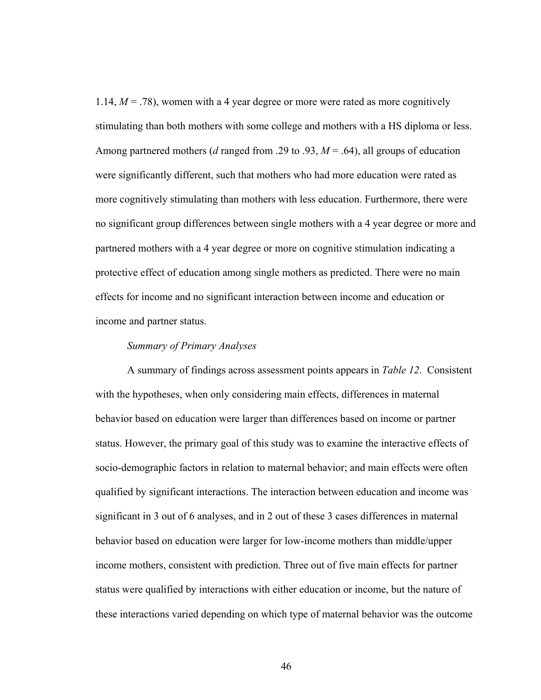1.14,  $M = 0.78$ , women with a 4 year degree or more were rated as more cognitively stimulating than both mothers with some college and mothers with a HS diploma or less. Among partnered mothers (*d* ranged from .29 to .93, *M* = .64), all groups of education were significantly different, such that mothers who had more education were rated as more cognitively stimulating than mothers with less education. Furthermore, there were no significant group differences between single mothers with a 4 year degree or more and partnered mothers with a 4 year degree or more on cognitive stimulation indicating a protective effect of education among single mothers as predicted. There were no main effects for income and no significant interaction between income and education or income and partner status.

## *Summary of Primary Analyses*

A summary of findings across assessment points appears in *Table 12*. Consistent with the hypotheses, when only considering main effects, differences in maternal behavior based on education were larger than differences based on income or partner status. However, the primary goal of this study was to examine the interactive effects of socio-demographic factors in relation to maternal behavior; and main effects were often qualified by significant interactions. The interaction between education and income was significant in 3 out of 6 analyses, and in 2 out of these 3 cases differences in maternal behavior based on education were larger for low-income mothers than middle/upper income mothers, consistent with prediction. Three out of five main effects for partner status were qualified by interactions with either education or income, but the nature of these interactions varied depending on which type of maternal behavior was the outcome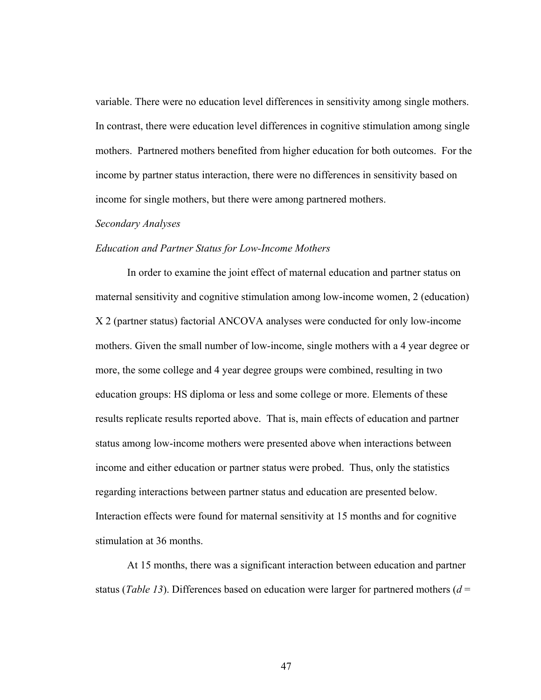variable. There were no education level differences in sensitivity among single mothers. In contrast, there were education level differences in cognitive stimulation among single mothers. Partnered mothers benefited from higher education for both outcomes. For the income by partner status interaction, there were no differences in sensitivity based on income for single mothers, but there were among partnered mothers.

#### *Secondary Analyses*

## *Education and Partner Status for Low-Income Mothers*

In order to examine the joint effect of maternal education and partner status on maternal sensitivity and cognitive stimulation among low-income women, 2 (education) X 2 (partner status) factorial ANCOVA analyses were conducted for only low-income mothers. Given the small number of low-income, single mothers with a 4 year degree or more, the some college and 4 year degree groups were combined, resulting in two education groups: HS diploma or less and some college or more. Elements of these results replicate results reported above. That is, main effects of education and partner status among low-income mothers were presented above when interactions between income and either education or partner status were probed. Thus, only the statistics regarding interactions between partner status and education are presented below. Interaction effects were found for maternal sensitivity at 15 months and for cognitive stimulation at 36 months.

At 15 months, there was a significant interaction between education and partner status (*Table 13*). Differences based on education were larger for partnered mothers (*d* =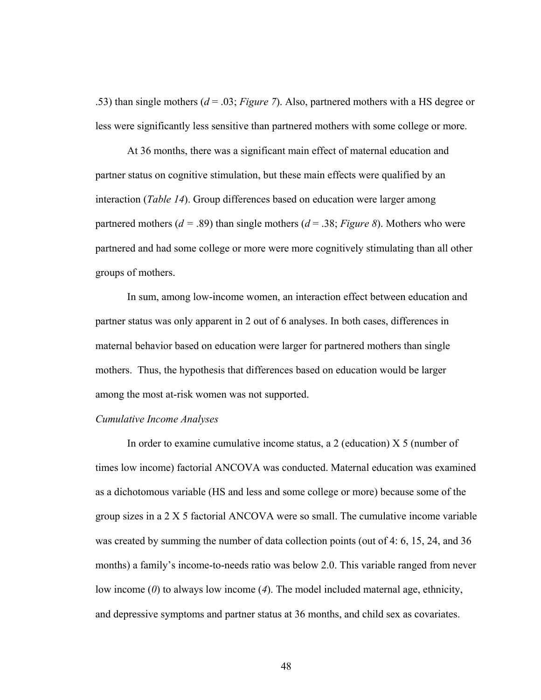.53) than single mothers (*d* = .03; *Figure 7*). Also, partnered mothers with a HS degree or less were significantly less sensitive than partnered mothers with some college or more.

At 36 months, there was a significant main effect of maternal education and partner status on cognitive stimulation, but these main effects were qualified by an interaction (*Table 14*). Group differences based on education were larger among partnered mothers ( $d = .89$ ) than single mothers ( $d = .38$ ; *Figure 8*). Mothers who were partnered and had some college or more were more cognitively stimulating than all other groups of mothers.

In sum, among low-income women, an interaction effect between education and partner status was only apparent in 2 out of 6 analyses. In both cases, differences in maternal behavior based on education were larger for partnered mothers than single mothers. Thus, the hypothesis that differences based on education would be larger among the most at-risk women was not supported.

#### *Cumulative Income Analyses*

 In order to examine cumulative income status, a 2 (education) X 5 (number of times low income) factorial ANCOVA was conducted. Maternal education was examined as a dichotomous variable (HS and less and some college or more) because some of the group sizes in a 2 X 5 factorial ANCOVA were so small. The cumulative income variable was created by summing the number of data collection points (out of 4: 6, 15, 24, and 36 months) a family's income-to-needs ratio was below 2.0. This variable ranged from never low income (*0*) to always low income (*4*). The model included maternal age, ethnicity, and depressive symptoms and partner status at 36 months, and child sex as covariates.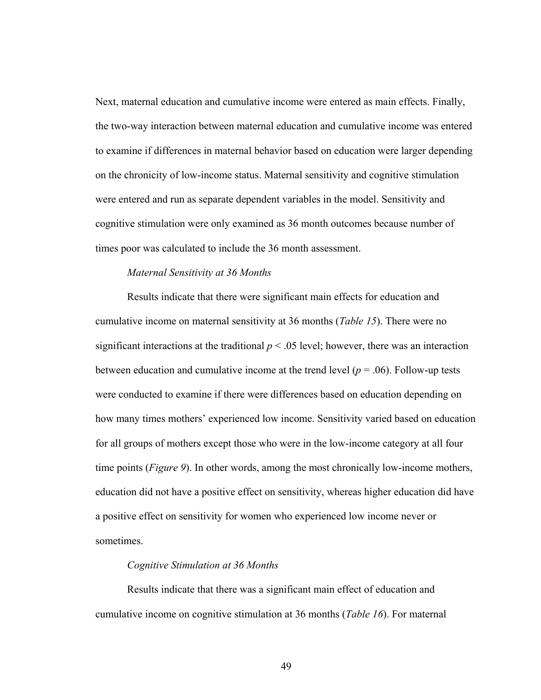Next, maternal education and cumulative income were entered as main effects. Finally, the two-way interaction between maternal education and cumulative income was entered to examine if differences in maternal behavior based on education were larger depending on the chronicity of low-income status. Maternal sensitivity and cognitive stimulation were entered and run as separate dependent variables in the model. Sensitivity and cognitive stimulation were only examined as 36 month outcomes because number of times poor was calculated to include the 36 month assessment.

## *Maternal Sensitivity at 36 Months*

Results indicate that there were significant main effects for education and cumulative income on maternal sensitivity at 36 months (*Table 15*). There were no significant interactions at the traditional  $p < .05$  level; however, there was an interaction between education and cumulative income at the trend level ( $p = .06$ ). Follow-up tests were conducted to examine if there were differences based on education depending on how many times mothers' experienced low income. Sensitivity varied based on education for all groups of mothers except those who were in the low-income category at all four time points (*Figure 9*). In other words, among the most chronically low-income mothers, education did not have a positive effect on sensitivity, whereas higher education did have a positive effect on sensitivity for women who experienced low income never or sometimes.

#### *Cognitive Stimulation at 36 Months*

Results indicate that there was a significant main effect of education and cumulative income on cognitive stimulation at 36 months (*Table 16*). For maternal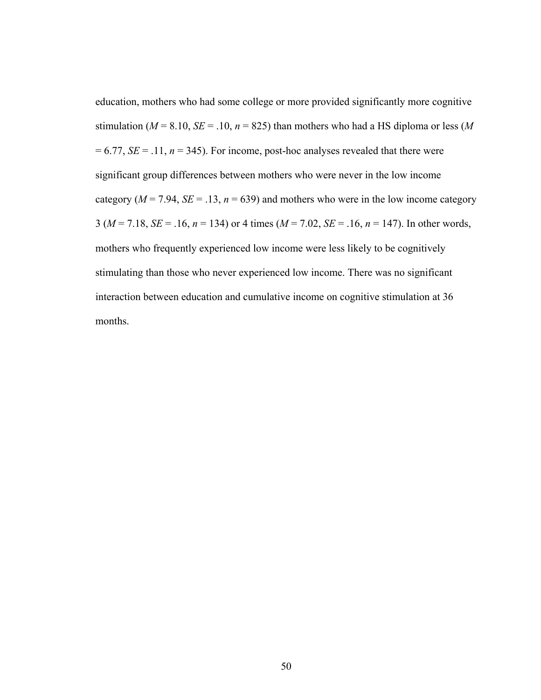education, mothers who had some college or more provided significantly more cognitive stimulation ( $M = 8.10$ ,  $SE = .10$ ,  $n = 825$ ) than mothers who had a HS diploma or less ( $M$  $= 6.77$ , *SE* = .11, *n* = 345). For income, post-hoc analyses revealed that there were significant group differences between mothers who were never in the low income category ( $M = 7.94$ ,  $SE = .13$ ,  $n = 639$ ) and mothers who were in the low income category 3 (*M* = 7.18, *SE* = .16, *n* = 134) or 4 times (*M* = 7.02, *SE* = .16, *n* = 147). In other words, mothers who frequently experienced low income were less likely to be cognitively stimulating than those who never experienced low income. There was no significant interaction between education and cumulative income on cognitive stimulation at 36 months.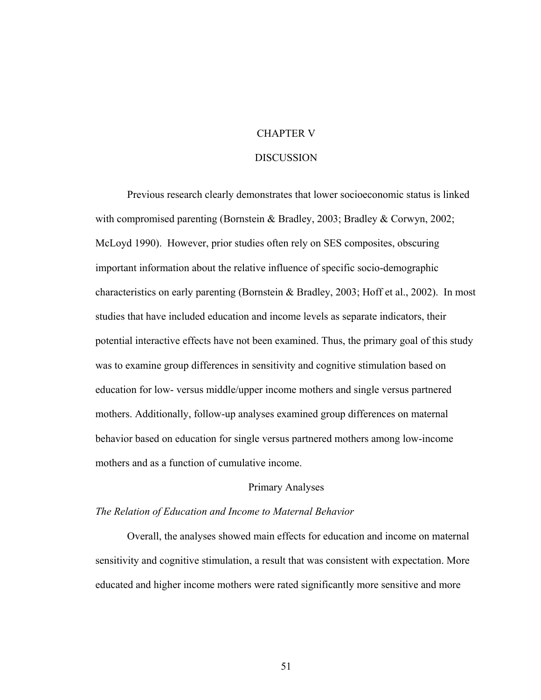## CHAPTER V

#### **DISCUSSION**

 Previous research clearly demonstrates that lower socioeconomic status is linked with compromised parenting (Bornstein & Bradley, 2003; Bradley & Corwyn, 2002; McLoyd 1990). However, prior studies often rely on SES composites, obscuring important information about the relative influence of specific socio-demographic characteristics on early parenting (Bornstein & Bradley, 2003; Hoff et al., 2002). In most studies that have included education and income levels as separate indicators, their potential interactive effects have not been examined. Thus, the primary goal of this study was to examine group differences in sensitivity and cognitive stimulation based on education for low- versus middle/upper income mothers and single versus partnered mothers. Additionally, follow-up analyses examined group differences on maternal behavior based on education for single versus partnered mothers among low-income mothers and as a function of cumulative income.

## Primary Analyses

## *The Relation of Education and Income to Maternal Behavior*

Overall, the analyses showed main effects for education and income on maternal sensitivity and cognitive stimulation, a result that was consistent with expectation. More educated and higher income mothers were rated significantly more sensitive and more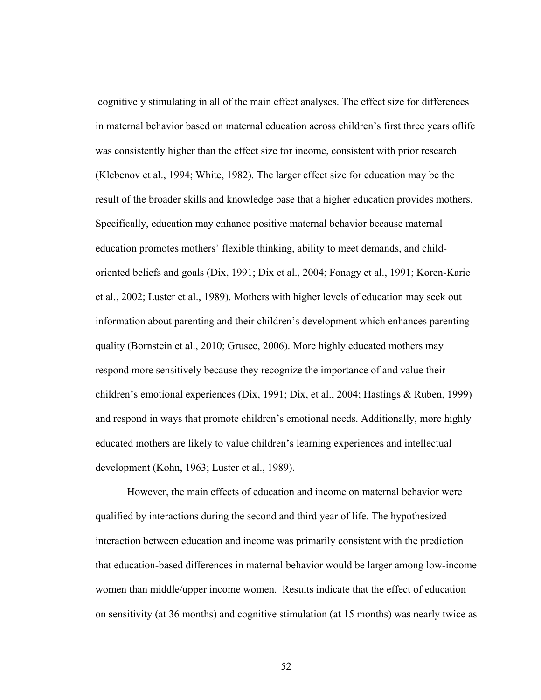cognitively stimulating in all of the main effect analyses. The effect size for differences in maternal behavior based on maternal education across children's first three years oflife was consistently higher than the effect size for income, consistent with prior research (Klebenov et al., 1994; White, 1982). The larger effect size for education may be the result of the broader skills and knowledge base that a higher education provides mothers. Specifically, education may enhance positive maternal behavior because maternal education promotes mothers' flexible thinking, ability to meet demands, and childoriented beliefs and goals (Dix, 1991; Dix et al., 2004; Fonagy et al., 1991; Koren-Karie et al., 2002; Luster et al., 1989). Mothers with higher levels of education may seek out information about parenting and their children's development which enhances parenting quality (Bornstein et al., 2010; Grusec, 2006). More highly educated mothers may respond more sensitively because they recognize the importance of and value their children's emotional experiences (Dix, 1991; Dix, et al., 2004; Hastings & Ruben, 1999) and respond in ways that promote children's emotional needs. Additionally, more highly educated mothers are likely to value children's learning experiences and intellectual development (Kohn, 1963; Luster et al., 1989).

However, the main effects of education and income on maternal behavior were qualified by interactions during the second and third year of life. The hypothesized interaction between education and income was primarily consistent with the prediction that education-based differences in maternal behavior would be larger among low-income women than middle/upper income women. Results indicate that the effect of education on sensitivity (at 36 months) and cognitive stimulation (at 15 months) was nearly twice as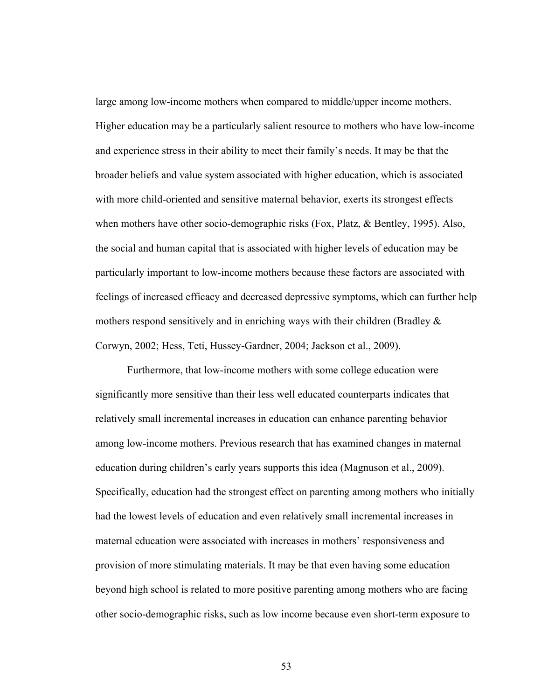large among low-income mothers when compared to middle/upper income mothers. Higher education may be a particularly salient resource to mothers who have low-income and experience stress in their ability to meet their family's needs. It may be that the broader beliefs and value system associated with higher education, which is associated with more child-oriented and sensitive maternal behavior, exerts its strongest effects when mothers have other socio-demographic risks (Fox, Platz, & Bentley, 1995). Also, the social and human capital that is associated with higher levels of education may be particularly important to low-income mothers because these factors are associated with feelings of increased efficacy and decreased depressive symptoms, which can further help mothers respond sensitively and in enriching ways with their children (Bradley  $\&$ Corwyn, 2002; Hess, Teti, Hussey-Gardner, 2004; Jackson et al., 2009).

Furthermore, that low-income mothers with some college education were significantly more sensitive than their less well educated counterparts indicates that relatively small incremental increases in education can enhance parenting behavior among low-income mothers. Previous research that has examined changes in maternal education during children's early years supports this idea (Magnuson et al., 2009). Specifically, education had the strongest effect on parenting among mothers who initially had the lowest levels of education and even relatively small incremental increases in maternal education were associated with increases in mothers' responsiveness and provision of more stimulating materials. It may be that even having some education beyond high school is related to more positive parenting among mothers who are facing other socio-demographic risks, such as low income because even short-term exposure to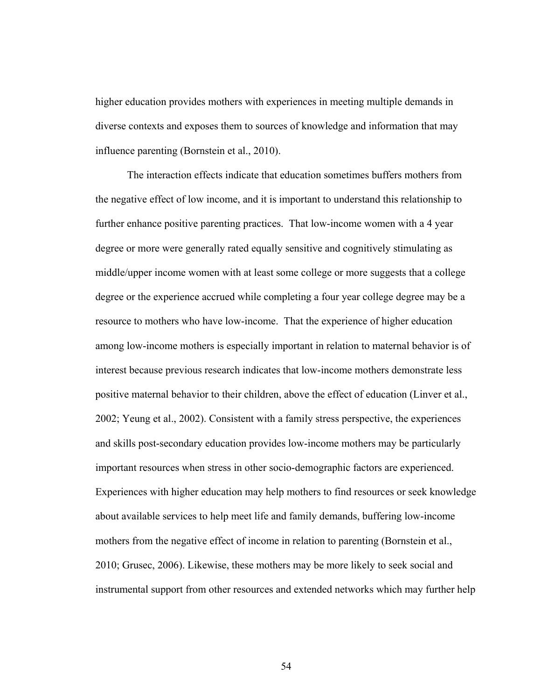higher education provides mothers with experiences in meeting multiple demands in diverse contexts and exposes them to sources of knowledge and information that may influence parenting (Bornstein et al., 2010).

The interaction effects indicate that education sometimes buffers mothers from the negative effect of low income, and it is important to understand this relationship to further enhance positive parenting practices. That low-income women with a 4 year degree or more were generally rated equally sensitive and cognitively stimulating as middle/upper income women with at least some college or more suggests that a college degree or the experience accrued while completing a four year college degree may be a resource to mothers who have low-income. That the experience of higher education among low-income mothers is especially important in relation to maternal behavior is of interest because previous research indicates that low-income mothers demonstrate less positive maternal behavior to their children, above the effect of education (Linver et al., 2002; Yeung et al., 2002). Consistent with a family stress perspective, the experiences and skills post-secondary education provides low-income mothers may be particularly important resources when stress in other socio-demographic factors are experienced. Experiences with higher education may help mothers to find resources or seek knowledge about available services to help meet life and family demands, buffering low-income mothers from the negative effect of income in relation to parenting (Bornstein et al., 2010; Grusec, 2006). Likewise, these mothers may be more likely to seek social and instrumental support from other resources and extended networks which may further help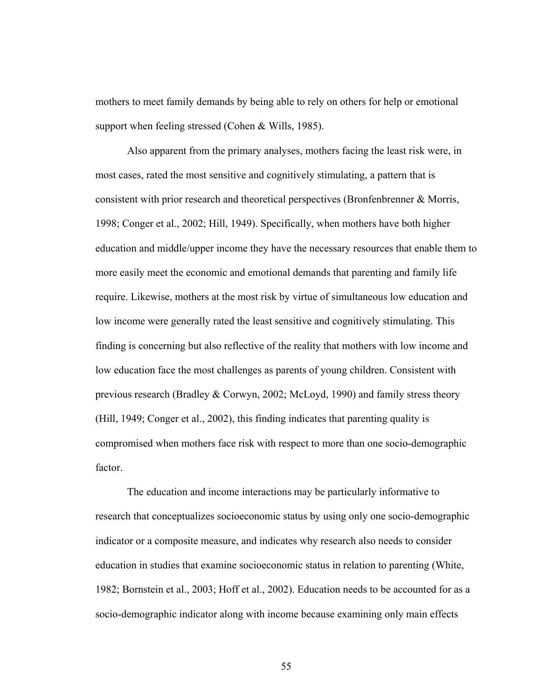mothers to meet family demands by being able to rely on others for help or emotional support when feeling stressed (Cohen & Wills, 1985).

Also apparent from the primary analyses, mothers facing the least risk were, in most cases, rated the most sensitive and cognitively stimulating, a pattern that is consistent with prior research and theoretical perspectives (Bronfenbrenner & Morris, 1998; Conger et al., 2002; Hill, 1949). Specifically, when mothers have both higher education and middle/upper income they have the necessary resources that enable them to more easily meet the economic and emotional demands that parenting and family life require. Likewise, mothers at the most risk by virtue of simultaneous low education and low income were generally rated the least sensitive and cognitively stimulating. This finding is concerning but also reflective of the reality that mothers with low income and low education face the most challenges as parents of young children. Consistent with previous research (Bradley & Corwyn, 2002; McLoyd, 1990) and family stress theory (Hill, 1949; Conger et al., 2002), this finding indicates that parenting quality is compromised when mothers face risk with respect to more than one socio-demographic factor.

The education and income interactions may be particularly informative to research that conceptualizes socioeconomic status by using only one socio-demographic indicator or a composite measure, and indicates why research also needs to consider education in studies that examine socioeconomic status in relation to parenting (White, 1982; Bornstein et al., 2003; Hoff et al., 2002). Education needs to be accounted for as a socio-demographic indicator along with income because examining only main effects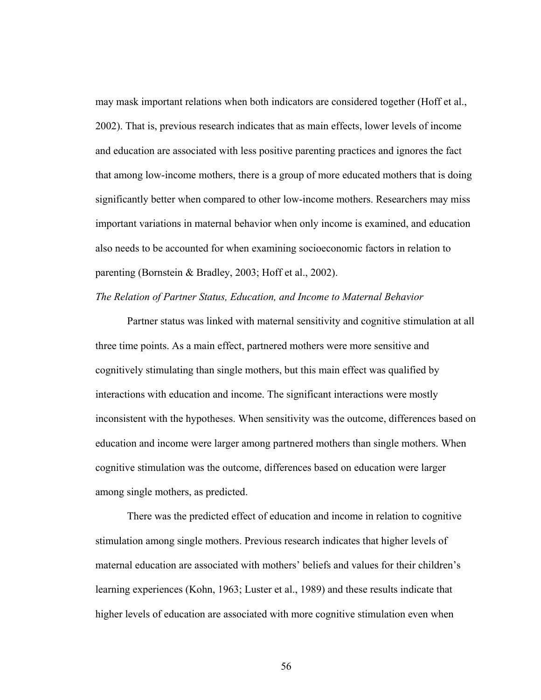may mask important relations when both indicators are considered together (Hoff et al., 2002). That is, previous research indicates that as main effects, lower levels of income and education are associated with less positive parenting practices and ignores the fact that among low-income mothers, there is a group of more educated mothers that is doing significantly better when compared to other low-income mothers. Researchers may miss important variations in maternal behavior when only income is examined, and education also needs to be accounted for when examining socioeconomic factors in relation to parenting (Bornstein & Bradley, 2003; Hoff et al., 2002).

# *The Relation of Partner Status, Education, and Income to Maternal Behavior*

Partner status was linked with maternal sensitivity and cognitive stimulation at all three time points. As a main effect, partnered mothers were more sensitive and cognitively stimulating than single mothers, but this main effect was qualified by interactions with education and income. The significant interactions were mostly inconsistent with the hypotheses. When sensitivity was the outcome, differences based on education and income were larger among partnered mothers than single mothers. When cognitive stimulation was the outcome, differences based on education were larger among single mothers, as predicted.

There was the predicted effect of education and income in relation to cognitive stimulation among single mothers. Previous research indicates that higher levels of maternal education are associated with mothers' beliefs and values for their children's learning experiences (Kohn, 1963; Luster et al., 1989) and these results indicate that higher levels of education are associated with more cognitive stimulation even when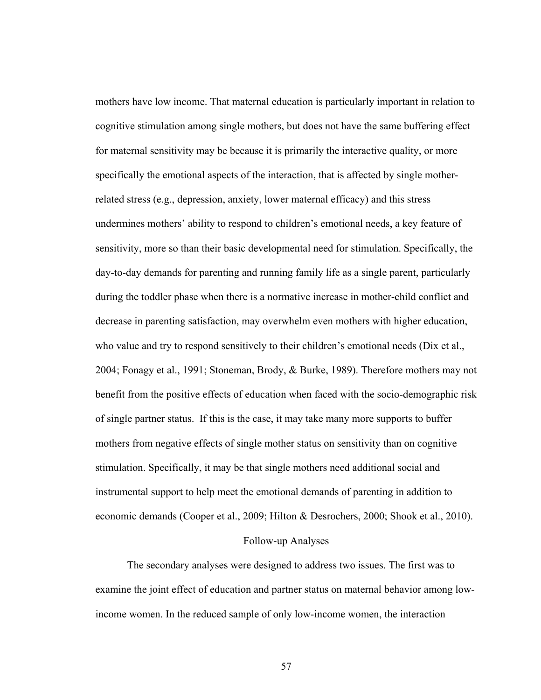mothers have low income. That maternal education is particularly important in relation to cognitive stimulation among single mothers, but does not have the same buffering effect for maternal sensitivity may be because it is primarily the interactive quality, or more specifically the emotional aspects of the interaction, that is affected by single motherrelated stress (e.g., depression, anxiety, lower maternal efficacy) and this stress undermines mothers' ability to respond to children's emotional needs, a key feature of sensitivity, more so than their basic developmental need for stimulation. Specifically, the day-to-day demands for parenting and running family life as a single parent, particularly during the toddler phase when there is a normative increase in mother-child conflict and decrease in parenting satisfaction, may overwhelm even mothers with higher education, who value and try to respond sensitively to their children's emotional needs (Dix et al., 2004; Fonagy et al., 1991; Stoneman, Brody, & Burke, 1989). Therefore mothers may not benefit from the positive effects of education when faced with the socio-demographic risk of single partner status. If this is the case, it may take many more supports to buffer mothers from negative effects of single mother status on sensitivity than on cognitive stimulation. Specifically, it may be that single mothers need additional social and instrumental support to help meet the emotional demands of parenting in addition to economic demands (Cooper et al., 2009; Hilton & Desrochers, 2000; Shook et al., 2010).

## Follow-up Analyses

The secondary analyses were designed to address two issues. The first was to examine the joint effect of education and partner status on maternal behavior among lowincome women. In the reduced sample of only low-income women, the interaction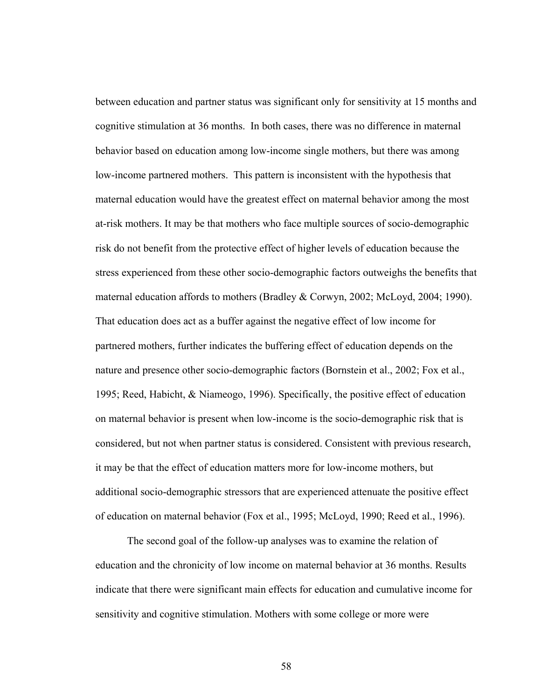between education and partner status was significant only for sensitivity at 15 months and cognitive stimulation at 36 months. In both cases, there was no difference in maternal behavior based on education among low-income single mothers, but there was among low-income partnered mothers. This pattern is inconsistent with the hypothesis that maternal education would have the greatest effect on maternal behavior among the most at-risk mothers. It may be that mothers who face multiple sources of socio-demographic risk do not benefit from the protective effect of higher levels of education because the stress experienced from these other socio-demographic factors outweighs the benefits that maternal education affords to mothers (Bradley & Corwyn, 2002; McLoyd, 2004; 1990). That education does act as a buffer against the negative effect of low income for partnered mothers, further indicates the buffering effect of education depends on the nature and presence other socio-demographic factors (Bornstein et al., 2002; Fox et al., 1995; Reed, Habicht, & Niameogo, 1996). Specifically, the positive effect of education on maternal behavior is present when low-income is the socio-demographic risk that is considered, but not when partner status is considered. Consistent with previous research, it may be that the effect of education matters more for low-income mothers, but additional socio-demographic stressors that are experienced attenuate the positive effect of education on maternal behavior (Fox et al., 1995; McLoyd, 1990; Reed et al., 1996).

The second goal of the follow-up analyses was to examine the relation of education and the chronicity of low income on maternal behavior at 36 months. Results indicate that there were significant main effects for education and cumulative income for sensitivity and cognitive stimulation. Mothers with some college or more were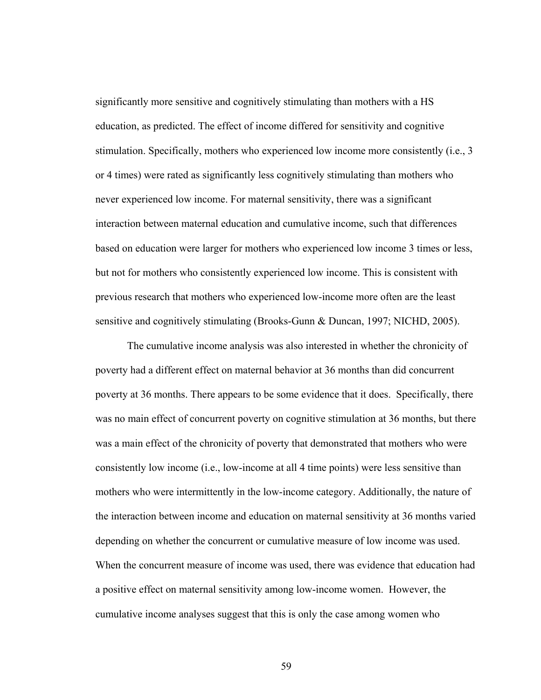significantly more sensitive and cognitively stimulating than mothers with a HS education, as predicted. The effect of income differed for sensitivity and cognitive stimulation. Specifically, mothers who experienced low income more consistently (i.e., 3 or 4 times) were rated as significantly less cognitively stimulating than mothers who never experienced low income. For maternal sensitivity, there was a significant interaction between maternal education and cumulative income, such that differences based on education were larger for mothers who experienced low income 3 times or less, but not for mothers who consistently experienced low income. This is consistent with previous research that mothers who experienced low-income more often are the least sensitive and cognitively stimulating (Brooks-Gunn & Duncan, 1997; NICHD, 2005).

The cumulative income analysis was also interested in whether the chronicity of poverty had a different effect on maternal behavior at 36 months than did concurrent poverty at 36 months. There appears to be some evidence that it does. Specifically, there was no main effect of concurrent poverty on cognitive stimulation at 36 months, but there was a main effect of the chronicity of poverty that demonstrated that mothers who were consistently low income (i.e., low-income at all 4 time points) were less sensitive than mothers who were intermittently in the low-income category. Additionally, the nature of the interaction between income and education on maternal sensitivity at 36 months varied depending on whether the concurrent or cumulative measure of low income was used. When the concurrent measure of income was used, there was evidence that education had a positive effect on maternal sensitivity among low-income women. However, the cumulative income analyses suggest that this is only the case among women who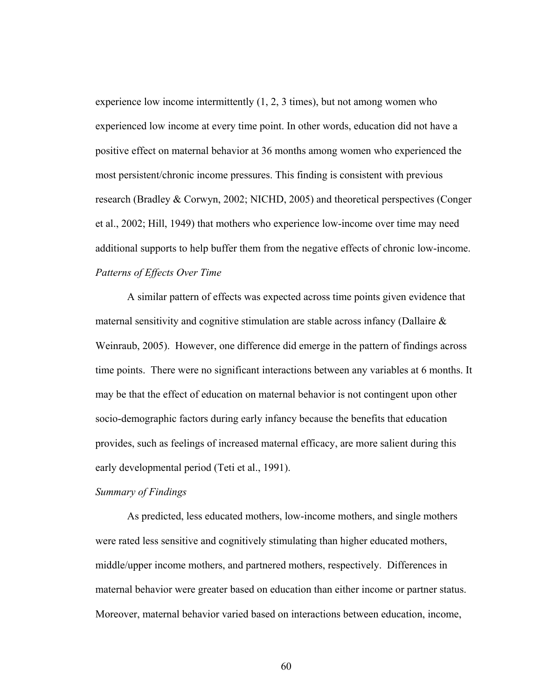experience low income intermittently  $(1, 2, 3$  times), but not among women who experienced low income at every time point. In other words, education did not have a positive effect on maternal behavior at 36 months among women who experienced the most persistent/chronic income pressures. This finding is consistent with previous research (Bradley & Corwyn, 2002; NICHD, 2005) and theoretical perspectives (Conger et al., 2002; Hill, 1949) that mothers who experience low-income over time may need additional supports to help buffer them from the negative effects of chronic low-income. *Patterns of Effects Over Time* 

A similar pattern of effects was expected across time points given evidence that maternal sensitivity and cognitive stimulation are stable across infancy (Dallaire  $\&$ Weinraub, 2005). However, one difference did emerge in the pattern of findings across time points. There were no significant interactions between any variables at 6 months. It may be that the effect of education on maternal behavior is not contingent upon other socio-demographic factors during early infancy because the benefits that education provides, such as feelings of increased maternal efficacy, are more salient during this early developmental period (Teti et al., 1991).

## *Summary of Findings*

As predicted, less educated mothers, low-income mothers, and single mothers were rated less sensitive and cognitively stimulating than higher educated mothers, middle/upper income mothers, and partnered mothers, respectively. Differences in maternal behavior were greater based on education than either income or partner status. Moreover, maternal behavior varied based on interactions between education, income,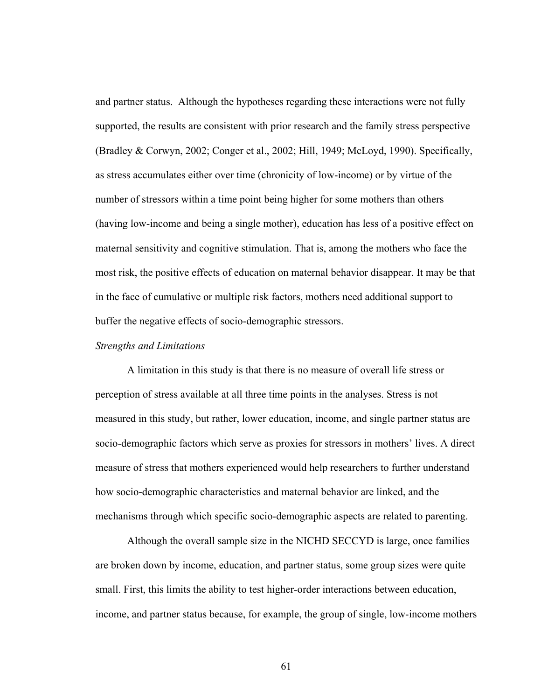and partner status. Although the hypotheses regarding these interactions were not fully supported, the results are consistent with prior research and the family stress perspective (Bradley & Corwyn, 2002; Conger et al., 2002; Hill, 1949; McLoyd, 1990). Specifically, as stress accumulates either over time (chronicity of low-income) or by virtue of the number of stressors within a time point being higher for some mothers than others (having low-income and being a single mother), education has less of a positive effect on maternal sensitivity and cognitive stimulation. That is, among the mothers who face the most risk, the positive effects of education on maternal behavior disappear. It may be that in the face of cumulative or multiple risk factors, mothers need additional support to buffer the negative effects of socio-demographic stressors.

#### *Strengths and Limitations*

A limitation in this study is that there is no measure of overall life stress or perception of stress available at all three time points in the analyses. Stress is not measured in this study, but rather, lower education, income, and single partner status are socio-demographic factors which serve as proxies for stressors in mothers' lives. A direct measure of stress that mothers experienced would help researchers to further understand how socio-demographic characteristics and maternal behavior are linked, and the mechanisms through which specific socio-demographic aspects are related to parenting.

Although the overall sample size in the NICHD SECCYD is large, once families are broken down by income, education, and partner status, some group sizes were quite small. First, this limits the ability to test higher-order interactions between education, income, and partner status because, for example, the group of single, low-income mothers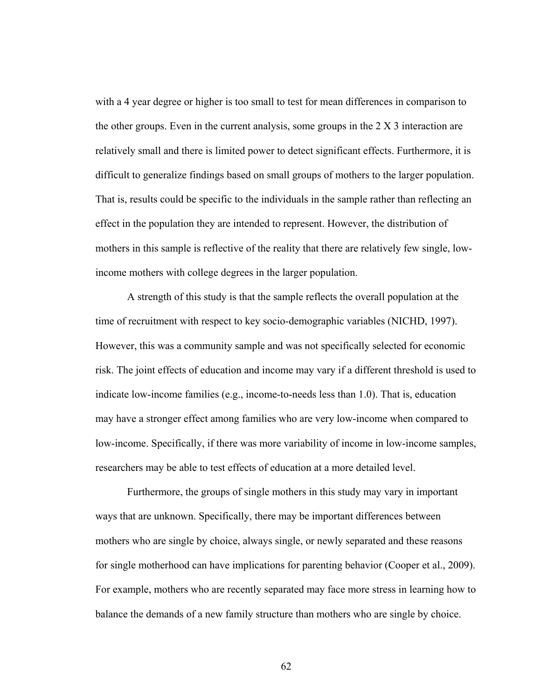with a 4 year degree or higher is too small to test for mean differences in comparison to the other groups. Even in the current analysis, some groups in the 2 X 3 interaction are relatively small and there is limited power to detect significant effects. Furthermore, it is difficult to generalize findings based on small groups of mothers to the larger population. That is, results could be specific to the individuals in the sample rather than reflecting an effect in the population they are intended to represent. However, the distribution of mothers in this sample is reflective of the reality that there are relatively few single, lowincome mothers with college degrees in the larger population.

A strength of this study is that the sample reflects the overall population at the time of recruitment with respect to key socio-demographic variables (NICHD, 1997). However, this was a community sample and was not specifically selected for economic risk. The joint effects of education and income may vary if a different threshold is used to indicate low-income families (e.g., income-to-needs less than 1.0). That is, education may have a stronger effect among families who are very low-income when compared to low-income. Specifically, if there was more variability of income in low-income samples, researchers may be able to test effects of education at a more detailed level.

Furthermore, the groups of single mothers in this study may vary in important ways that are unknown. Specifically, there may be important differences between mothers who are single by choice, always single, or newly separated and these reasons for single motherhood can have implications for parenting behavior (Cooper et al., 2009). For example, mothers who are recently separated may face more stress in learning how to balance the demands of a new family structure than mothers who are single by choice.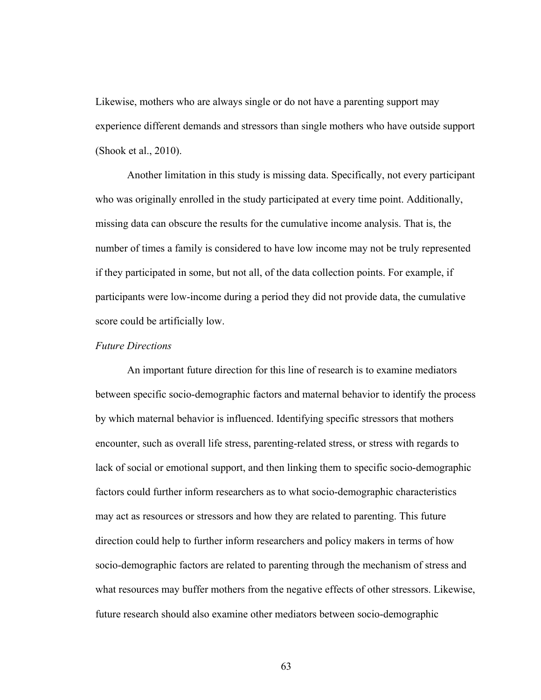Likewise, mothers who are always single or do not have a parenting support may experience different demands and stressors than single mothers who have outside support (Shook et al., 2010).

Another limitation in this study is missing data. Specifically, not every participant who was originally enrolled in the study participated at every time point. Additionally, missing data can obscure the results for the cumulative income analysis. That is, the number of times a family is considered to have low income may not be truly represented if they participated in some, but not all, of the data collection points. For example, if participants were low-income during a period they did not provide data, the cumulative score could be artificially low.

## *Future Directions*

An important future direction for this line of research is to examine mediators between specific socio-demographic factors and maternal behavior to identify the process by which maternal behavior is influenced. Identifying specific stressors that mothers encounter, such as overall life stress, parenting-related stress, or stress with regards to lack of social or emotional support, and then linking them to specific socio-demographic factors could further inform researchers as to what socio-demographic characteristics may act as resources or stressors and how they are related to parenting. This future direction could help to further inform researchers and policy makers in terms of how socio-demographic factors are related to parenting through the mechanism of stress and what resources may buffer mothers from the negative effects of other stressors. Likewise, future research should also examine other mediators between socio-demographic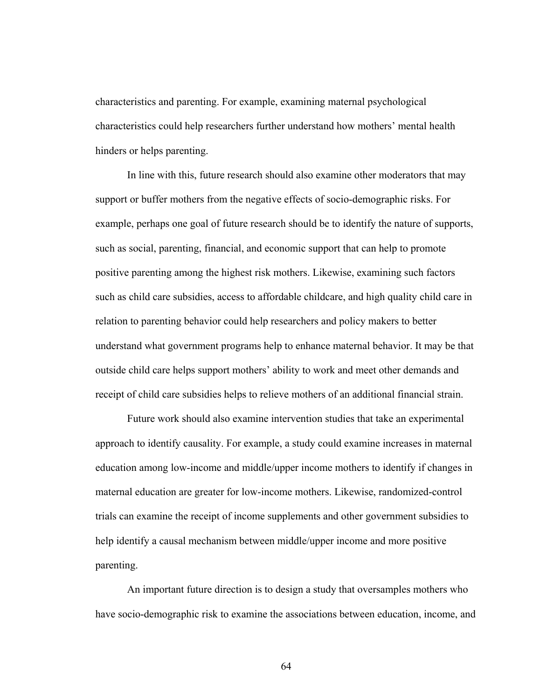characteristics and parenting. For example, examining maternal psychological characteristics could help researchers further understand how mothers' mental health hinders or helps parenting.

In line with this, future research should also examine other moderators that may support or buffer mothers from the negative effects of socio-demographic risks. For example, perhaps one goal of future research should be to identify the nature of supports, such as social, parenting, financial, and economic support that can help to promote positive parenting among the highest risk mothers. Likewise, examining such factors such as child care subsidies, access to affordable childcare, and high quality child care in relation to parenting behavior could help researchers and policy makers to better understand what government programs help to enhance maternal behavior. It may be that outside child care helps support mothers' ability to work and meet other demands and receipt of child care subsidies helps to relieve mothers of an additional financial strain.

Future work should also examine intervention studies that take an experimental approach to identify causality. For example, a study could examine increases in maternal education among low-income and middle/upper income mothers to identify if changes in maternal education are greater for low-income mothers. Likewise, randomized-control trials can examine the receipt of income supplements and other government subsidies to help identify a causal mechanism between middle/upper income and more positive parenting.

An important future direction is to design a study that oversamples mothers who have socio-demographic risk to examine the associations between education, income, and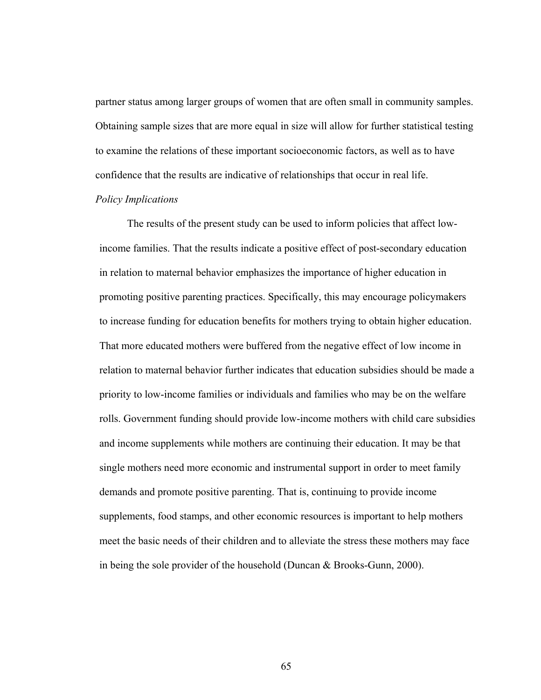partner status among larger groups of women that are often small in community samples. Obtaining sample sizes that are more equal in size will allow for further statistical testing to examine the relations of these important socioeconomic factors, as well as to have confidence that the results are indicative of relationships that occur in real life.

### *Policy Implications*

The results of the present study can be used to inform policies that affect lowincome families. That the results indicate a positive effect of post-secondary education in relation to maternal behavior emphasizes the importance of higher education in promoting positive parenting practices. Specifically, this may encourage policymakers to increase funding for education benefits for mothers trying to obtain higher education. That more educated mothers were buffered from the negative effect of low income in relation to maternal behavior further indicates that education subsidies should be made a priority to low-income families or individuals and families who may be on the welfare rolls. Government funding should provide low-income mothers with child care subsidies and income supplements while mothers are continuing their education. It may be that single mothers need more economic and instrumental support in order to meet family demands and promote positive parenting. That is, continuing to provide income supplements, food stamps, and other economic resources is important to help mothers meet the basic needs of their children and to alleviate the stress these mothers may face in being the sole provider of the household (Duncan & Brooks-Gunn, 2000).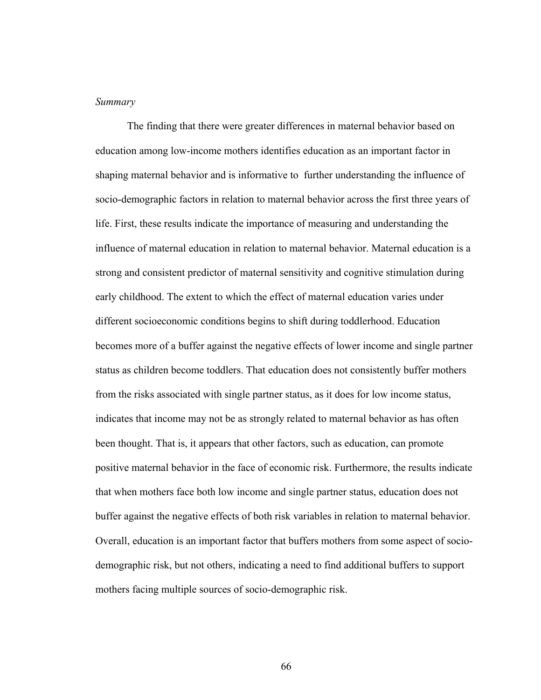#### *Summary*

The finding that there were greater differences in maternal behavior based on education among low-income mothers identifies education as an important factor in shaping maternal behavior and is informative to further understanding the influence of socio-demographic factors in relation to maternal behavior across the first three years of life. First, these results indicate the importance of measuring and understanding the influence of maternal education in relation to maternal behavior. Maternal education is a strong and consistent predictor of maternal sensitivity and cognitive stimulation during early childhood. The extent to which the effect of maternal education varies under different socioeconomic conditions begins to shift during toddlerhood. Education becomes more of a buffer against the negative effects of lower income and single partner status as children become toddlers. That education does not consistently buffer mothers from the risks associated with single partner status, as it does for low income status, indicates that income may not be as strongly related to maternal behavior as has often been thought. That is, it appears that other factors, such as education, can promote positive maternal behavior in the face of economic risk. Furthermore, the results indicate that when mothers face both low income and single partner status, education does not buffer against the negative effects of both risk variables in relation to maternal behavior. Overall, education is an important factor that buffers mothers from some aspect of sociodemographic risk, but not others, indicating a need to find additional buffers to support mothers facing multiple sources of socio-demographic risk.

66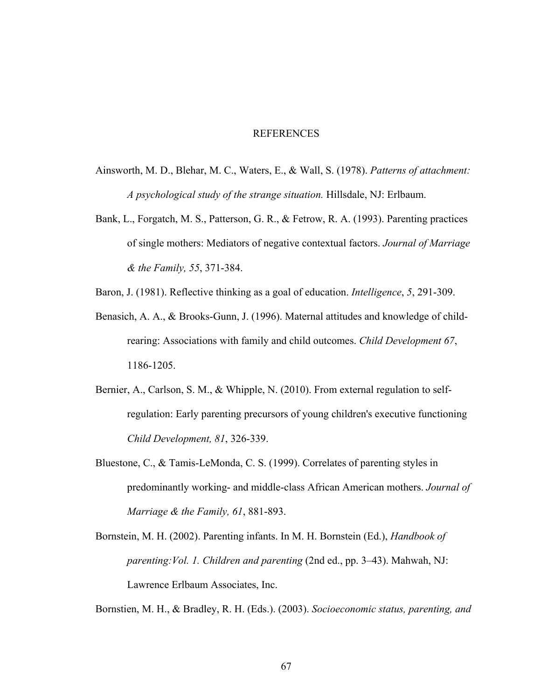#### REFERENCES

- Ainsworth, M. D., Blehar, M. C., Waters, E., & Wall, S. (1978). *Patterns of attachment: A psychological study of the strange situation.* Hillsdale, NJ: Erlbaum.
- Bank, L., Forgatch, M. S., Patterson, G. R., & Fetrow, R. A. (1993). Parenting practices of single mothers: Mediators of negative contextual factors. *Journal of Marriage & the Family, 55*, 371-384.
- Baron, J. (1981). Reflective thinking as a goal of education. *Intelligence*, *5*, 291-309.
- Benasich, A. A., & Brooks-Gunn, J. (1996). Maternal attitudes and knowledge of child rearing: Associations with family and child outcomes. *Child Development 67*, 1186-1205.
- Bernier, A., Carlson, S. M., & Whipple, N. (2010). From external regulation to self regulation: Early parenting precursors of young children's executive functioning  *Child Development, 81*, 326-339.
- Bluestone, C., & Tamis-LeMonda, C. S. (1999). Correlates of parenting styles in predominantly working- and middle-class African American mothers. *Journal of Marriage & the Family, 61*, 881-893.
- Bornstein, M. H. (2002). Parenting infants. In M. H. Bornstein (Ed.), *Handbook of parenting:Vol. 1. Children and parenting* (2nd ed., pp. 3–43). Mahwah, NJ: Lawrence Erlbaum Associates, Inc.

Bornstien, M. H., & Bradley, R. H. (Eds.). (2003). *Socioeconomic status, parenting, and*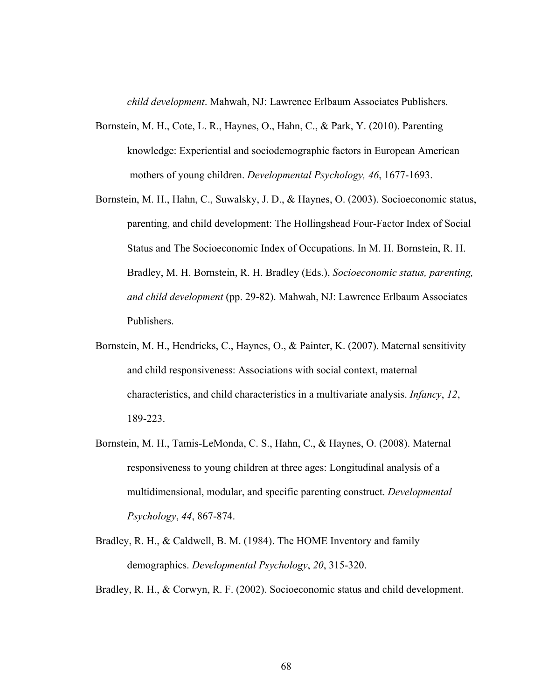*child development*. Mahwah, NJ: Lawrence Erlbaum Associates Publishers.

- Bornstein, M. H., Cote, L. R., Haynes, O., Hahn, C., & Park, Y. (2010). Parenting knowledge: Experiential and sociodemographic factors in European American mothers of young children. *Developmental Psychology, 46*, 1677-1693.
- Bornstein, M. H., Hahn, C., Suwalsky, J. D., & Haynes, O. (2003). Socioeconomic status, parenting, and child development: The Hollingshead Four-Factor Index of Social Status and The Socioeconomic Index of Occupations. In M. H. Bornstein, R. H. Bradley, M. H. Bornstein, R. H. Bradley (Eds.), *Socioeconomic status, parenting, and child development* (pp. 29-82). Mahwah, NJ: Lawrence Erlbaum Associates Publishers.
- Bornstein, M. H., Hendricks, C., Haynes, O., & Painter, K. (2007). Maternal sensitivity and child responsiveness: Associations with social context, maternal characteristics, and child characteristics in a multivariate analysis. *Infancy*, *12*, 189-223.
- Bornstein, M. H., Tamis-LeMonda, C. S., Hahn, C., & Haynes, O. (2008). Maternal responsiveness to young children at three ages: Longitudinal analysis of a multidimensional, modular, and specific parenting construct. *Developmental Psychology*, *44*, 867-874.
- Bradley, R. H., & Caldwell, B. M. (1984). The HOME Inventory and family demographics. *Developmental Psychology*, *20*, 315-320.

Bradley, R. H., & Corwyn, R. F. (2002). Socioeconomic status and child development.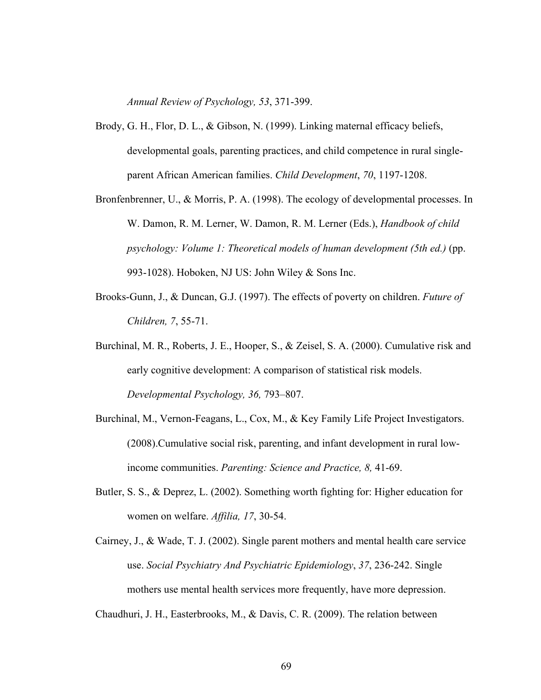*Annual Review of Psychology, 53*, 371-399.

- Brody, G. H., Flor, D. L., & Gibson, N. (1999). Linking maternal efficacy beliefs, developmental goals, parenting practices, and child competence in rural single parent African American families. *Child Development*, *70*, 1197-1208.
- Bronfenbrenner, U., & Morris, P. A. (1998). The ecology of developmental processes. In W. Damon, R. M. Lerner, W. Damon, R. M. Lerner (Eds.), *Handbook of child psychology: Volume 1: Theoretical models of human development (5th ed.)* (pp. 993-1028). Hoboken, NJ US: John Wiley & Sons Inc.
- Brooks-Gunn, J., & Duncan, G.J. (1997). The effects of poverty on children. *Future of Children, 7*, 55-71.
- Burchinal, M. R., Roberts, J. E., Hooper, S., & Zeisel, S. A. (2000). Cumulative risk and early cognitive development: A comparison of statistical risk models. *Developmental Psychology, 36,* 793–807.
- Burchinal, M., Vernon-Feagans, L., Cox, M., & Key Family Life Project Investigators. (2008).Cumulative social risk, parenting, and infant development in rural low income communities. *Parenting: Science and Practice, 8,* 41-69.
- Butler, S. S., & Deprez, L. (2002). Something worth fighting for: Higher education for women on welfare. *Affilia, 17*, 30-54.
- Cairney, J., & Wade, T. J. (2002). Single parent mothers and mental health care service use. *Social Psychiatry And Psychiatric Epidemiology*, *37*, 236-242. Single mothers use mental health services more frequently, have more depression.

Chaudhuri, J. H., Easterbrooks, M., & Davis, C. R. (2009). The relation between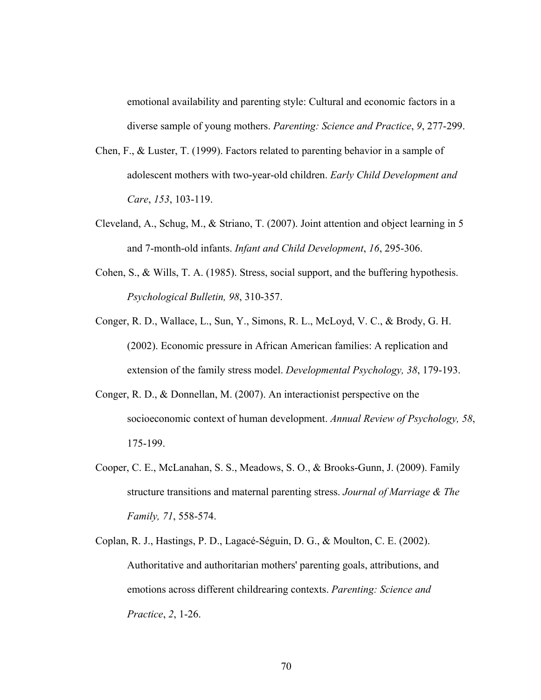emotional availability and parenting style: Cultural and economic factors in a diverse sample of young mothers. *Parenting: Science and Practice*, *9*, 277-299.

- Chen, F., & Luster, T. (1999). Factors related to parenting behavior in a sample of adolescent mothers with two-year-old children. *Early Child Development and Care*, *153*, 103-119.
- Cleveland, A., Schug, M., & Striano, T. (2007). Joint attention and object learning in 5 and 7-month-old infants. *Infant and Child Development*, *16*, 295-306.
- Cohen, S., & Wills, T. A. (1985). Stress, social support, and the buffering hypothesis. *Psychological Bulletin, 98*, 310-357.
- Conger, R. D., Wallace, L., Sun, Y., Simons, R. L., McLoyd, V. C., & Brody, G. H. (2002). Economic pressure in African American families: A replication and extension of the family stress model. *Developmental Psychology, 38*, 179-193.
- Conger, R. D., & Donnellan, M. (2007). An interactionist perspective on the socioeconomic context of human development. *Annual Review of Psychology, 58*, 175-199.
- Cooper, C. E., McLanahan, S. S., Meadows, S. O., & Brooks-Gunn, J. (2009). Family structure transitions and maternal parenting stress. *Journal of Marriage & The Family, 71*, 558-574.
- Coplan, R. J., Hastings, P. D., Lagacé-Séguin, D. G., & Moulton, C. E. (2002). Authoritative and authoritarian mothers' parenting goals, attributions, and emotions across different childrearing contexts. *Parenting: Science and Practice*, *2*, 1-26.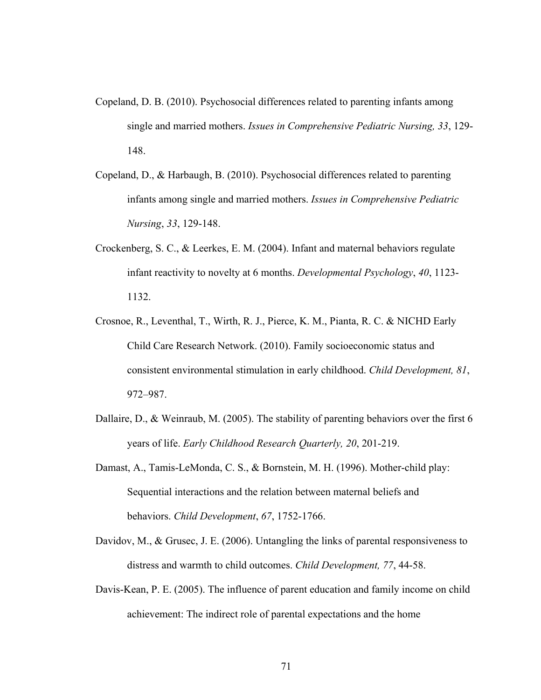- Copeland, D. B. (2010). Psychosocial differences related to parenting infants among single and married mothers. *Issues in Comprehensive Pediatric Nursing, 33*, 129- 148.
- Copeland, D., & Harbaugh, B. (2010). Psychosocial differences related to parenting infants among single and married mothers. *Issues in Comprehensive Pediatric Nursing*, *33*, 129-148.
- Crockenberg, S. C., & Leerkes, E. M. (2004). Infant and maternal behaviors regulate infant reactivity to novelty at 6 months. *Developmental Psychology*, *40*, 1123- 1132.
- Crosnoe, R., Leventhal, T., Wirth, R. J., Pierce, K. M., Pianta, R. C. & NICHD Early Child Care Research Network. (2010). Family socioeconomic status and consistent environmental stimulation in early childhood. *Child Development, 81*, 972–987.
- Dallaire, D., & Weinraub, M. (2005). The stability of parenting behaviors over the first 6 years of life. *Early Childhood Research Quarterly, 20*, 201-219.
- Damast, A., Tamis-LeMonda, C. S., & Bornstein, M. H. (1996). Mother-child play: Sequential interactions and the relation between maternal beliefs and behaviors. *Child Development*, *67*, 1752-1766.
- Davidov, M., & Grusec, J. E. (2006). Untangling the links of parental responsiveness to distress and warmth to child outcomes. *Child Development, 77*, 44-58.
- Davis-Kean, P. E. (2005). The influence of parent education and family income on child achievement: The indirect role of parental expectations and the home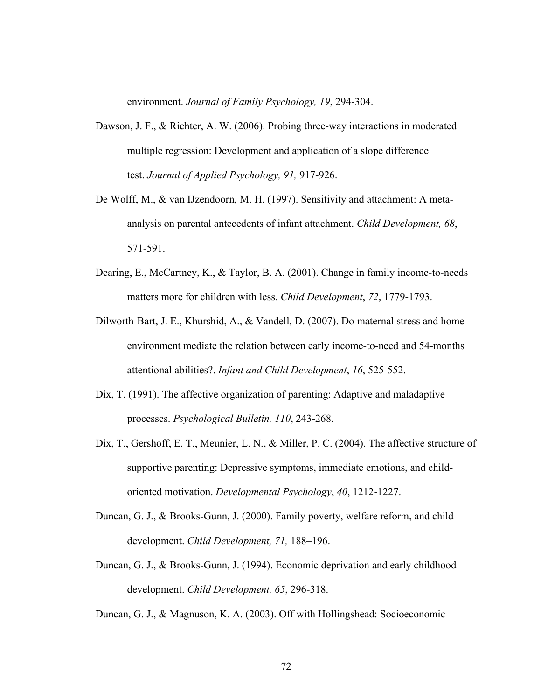environment. *Journal of Family Psychology, 19*, 294-304.

- Dawson, J. F., & Richter, A. W. (2006). Probing three-way interactions in moderated multiple regression: Development and application of a slope difference test. *Journal of Applied Psychology, 91,* 917-926.
- De Wolff, M., & van IJzendoorn, M. H. (1997). Sensitivity and attachment: A meta analysis on parental antecedents of infant attachment. *Child Development, 68*, 571-591.
- Dearing, E., McCartney, K., & Taylor, B. A. (2001). Change in family income-to-needs matters more for children with less. *Child Development*, *72*, 1779-1793.
- Dilworth-Bart, J. E., Khurshid, A., & Vandell, D. (2007). Do maternal stress and home environment mediate the relation between early income-to-need and 54-months attentional abilities?. *Infant and Child Development*, *16*, 525-552.
- Dix, T. (1991). The affective organization of parenting: Adaptive and maladaptive processes. *Psychological Bulletin, 110*, 243-268.
- Dix, T., Gershoff, E. T., Meunier, L. N., & Miller, P. C. (2004). The affective structure of supportive parenting: Depressive symptoms, immediate emotions, and child oriented motivation. *Developmental Psychology*, *40*, 1212-1227.
- Duncan, G. J., & Brooks-Gunn, J. (2000). Family poverty, welfare reform, and child development. *Child Development, 71,* 188–196.
- Duncan, G. J., & Brooks-Gunn, J. (1994). Economic deprivation and early childhood development. *Child Development, 65*, 296-318.
- Duncan, G. J., & Magnuson, K. A. (2003). Off with Hollingshead: Socioeconomic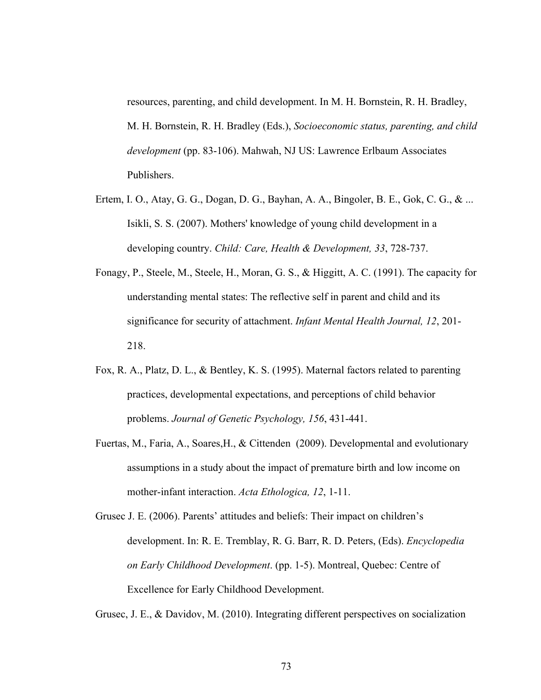resources, parenting, and child development. In M. H. Bornstein, R. H. Bradley, M. H. Bornstein, R. H. Bradley (Eds.), *Socioeconomic status, parenting, and child development* (pp. 83-106). Mahwah, NJ US: Lawrence Erlbaum Associates Publishers.

- Ertem, I. O., Atay, G. G., Dogan, D. G., Bayhan, A. A., Bingoler, B. E., Gok, C. G., & ... Isikli, S. S. (2007). Mothers' knowledge of young child development in a developing country. *Child: Care, Health & Development, 33*, 728-737.
- Fonagy, P., Steele, M., Steele, H., Moran, G. S., & Higgitt, A. C. (1991). The capacity for understanding mental states: The reflective self in parent and child and its significance for security of attachment. *Infant Mental Health Journal, 12*, 201- 218.
- Fox, R. A., Platz, D. L., & Bentley, K. S. (1995). Maternal factors related to parenting practices, developmental expectations, and perceptions of child behavior problems. *Journal of Genetic Psychology, 156*, 431-441.
- Fuertas, M., Faria, A., Soares,H., & Cittenden (2009). Developmental and evolutionary assumptions in a study about the impact of premature birth and low income on mother-infant interaction. *Acta Ethologica, 12*, 1-11.
- Grusec J. E. (2006). Parents' attitudes and beliefs: Their impact on children's development. In: R. E. Tremblay, R. G. Barr, R. D. Peters, (Eds). *Encyclopedia on Early Childhood Development*. (pp. 1-5). Montreal, Quebec: Centre of Excellence for Early Childhood Development.

Grusec, J. E., & Davidov, M. (2010). Integrating different perspectives on socialization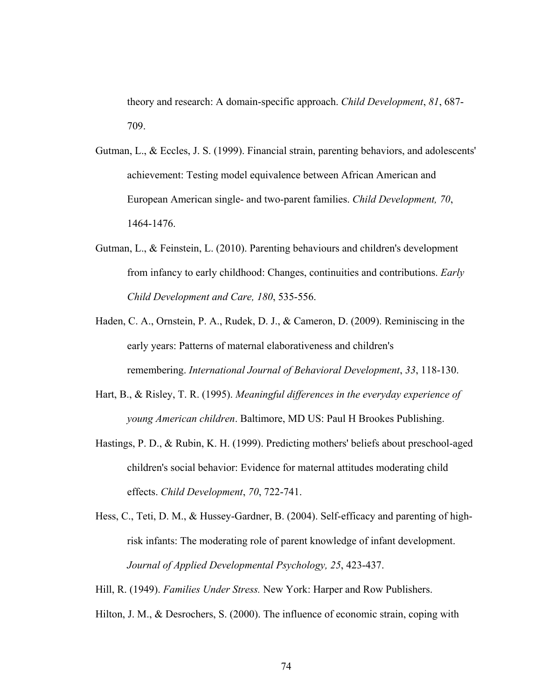theory and research: A domain-specific approach. *Child Development*, *81*, 687- 709.

- Gutman, L., & Eccles, J. S. (1999). Financial strain, parenting behaviors, and adolescents' achievement: Testing model equivalence between African American and European American single- and two-parent families. *Child Development, 70*, 1464-1476.
- Gutman, L., & Feinstein, L. (2010). Parenting behaviours and children's development from infancy to early childhood: Changes, continuities and contributions. *Early Child Development and Care, 180*, 535-556.
- Haden, C. A., Ornstein, P. A., Rudek, D. J., & Cameron, D. (2009). Reminiscing in the early years: Patterns of maternal elaborativeness and children's remembering. *International Journal of Behavioral Development*, *33*, 118-130.
- Hart, B., & Risley, T. R. (1995). *Meaningful differences in the everyday experience of young American children*. Baltimore, MD US: Paul H Brookes Publishing.
- Hastings, P. D., & Rubin, K. H. (1999). Predicting mothers' beliefs about preschool-aged children's social behavior: Evidence for maternal attitudes moderating child effects. *Child Development*, *70*, 722-741.
- Hess, C., Teti, D. M., & Hussey-Gardner, B. (2004). Self-efficacy and parenting of high risk infants: The moderating role of parent knowledge of infant development. *Journal of Applied Developmental Psychology, 25*, 423-437.
- Hill, R. (1949). *Families Under Stress.* New York: Harper and Row Publishers.
- Hilton, J. M., & Desrochers, S. (2000). The influence of economic strain, coping with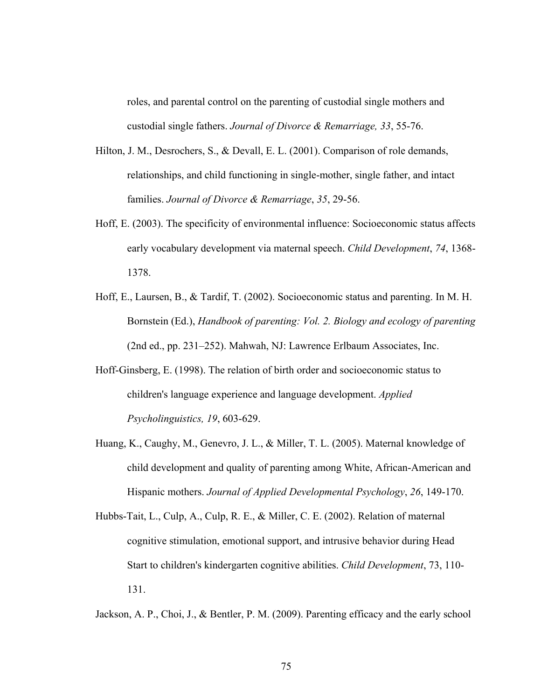roles, and parental control on the parenting of custodial single mothers and custodial single fathers. *Journal of Divorce & Remarriage, 33*, 55-76.

- Hilton, J. M., Desrochers, S., & Devall, E. L. (2001). Comparison of role demands, relationships, and child functioning in single-mother, single father, and intact families. *Journal of Divorce & Remarriage*, *35*, 29-56.
- Hoff, E. (2003). The specificity of environmental influence: Socioeconomic status affects early vocabulary development via maternal speech. *Child Development*, *74*, 1368- 1378.
- Hoff, E., Laursen, B., & Tardif, T. (2002). Socioeconomic status and parenting. In M. H. Bornstein (Ed.), *Handbook of parenting: Vol. 2. Biology and ecology of parenting* (2nd ed., pp. 231–252). Mahwah, NJ: Lawrence Erlbaum Associates, Inc.
- Hoff-Ginsberg, E. (1998). The relation of birth order and socioeconomic status to children's language experience and language development. *Applied Psycholinguistics, 19*, 603-629.
- Huang, K., Caughy, M., Genevro, J. L., & Miller, T. L. (2005). Maternal knowledge of child development and quality of parenting among White, African-American and Hispanic mothers. *Journal of Applied Developmental Psychology*, *26*, 149-170.
- Hubbs-Tait, L., Culp, A., Culp, R. E., & Miller, C. E. (2002). Relation of maternal cognitive stimulation, emotional support, and intrusive behavior during Head Start to children's kindergarten cognitive abilities. *Child Development*, 73, 110- 131.

Jackson, A. P., Choi, J., & Bentler, P. M. (2009). Parenting efficacy and the early school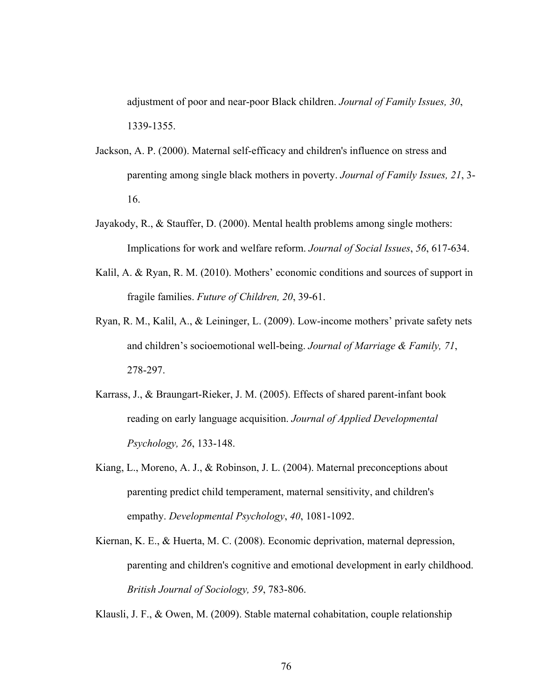adjustment of poor and near-poor Black children. *Journal of Family Issues, 30*, 1339-1355.

- Jackson, A. P. (2000). Maternal self-efficacy and children's influence on stress and parenting among single black mothers in poverty. *Journal of Family Issues, 21*, 3- 16.
- Jayakody, R., & Stauffer, D. (2000). Mental health problems among single mothers: Implications for work and welfare reform. *Journal of Social Issues*, *56*, 617-634.
- Kalil, A. & Ryan, R. M. (2010). Mothers' economic conditions and sources of support in fragile families. *Future of Children, 20*, 39-61.
- Ryan, R. M., Kalil, A., & Leininger, L. (2009). Low-income mothers' private safety nets and children's socioemotional well-being. *Journal of Marriage & Family, 71*, 278-297.
- Karrass, J., & Braungart-Rieker, J. M. (2005). Effects of shared parent-infant book reading on early language acquisition. *Journal of Applied Developmental Psychology, 26*, 133-148.
- Kiang, L., Moreno, A. J., & Robinson, J. L. (2004). Maternal preconceptions about parenting predict child temperament, maternal sensitivity, and children's empathy. *Developmental Psychology*, *40*, 1081-1092.
- Kiernan, K. E., & Huerta, M. C. (2008). Economic deprivation, maternal depression, parenting and children's cognitive and emotional development in early childhood. *British Journal of Sociology, 59*, 783-806.

Klausli, J. F., & Owen, M. (2009). Stable maternal cohabitation, couple relationship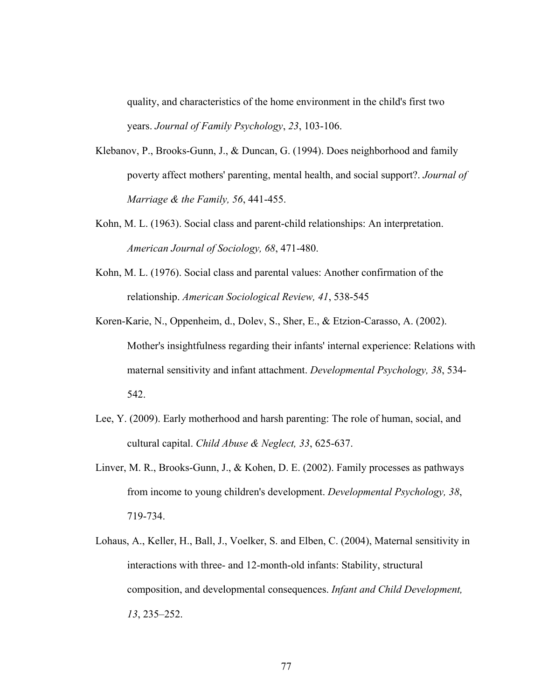quality, and characteristics of the home environment in the child's first two years. *Journal of Family Psychology*, *23*, 103-106.

- Klebanov, P., Brooks-Gunn, J., & Duncan, G. (1994). Does neighborhood and family poverty affect mothers' parenting, mental health, and social support?. *Journal of Marriage & the Family, 56*, 441-455.
- Kohn, M. L. (1963). Social class and parent-child relationships: An interpretation. *American Journal of Sociology, 68*, 471-480.
- Kohn, M. L. (1976). Social class and parental values: Another confirmation of the relationship. *American Sociological Review, 41*, 538-545
- Koren-Karie, N., Oppenheim, d., Dolev, S., Sher, E., & Etzion-Carasso, A. (2002). Mother's insightfulness regarding their infants' internal experience: Relations with maternal sensitivity and infant attachment. *Developmental Psychology, 38*, 534- 542.
- Lee, Y. (2009). Early motherhood and harsh parenting: The role of human, social, and cultural capital. *Child Abuse & Neglect, 33*, 625-637.
- Linver, M. R., Brooks-Gunn, J., & Kohen, D. E. (2002). Family processes as pathways from income to young children's development. *Developmental Psychology, 38*, 719-734.
- Lohaus, A., Keller, H., Ball, J., Voelker, S. and Elben, C. (2004), Maternal sensitivity in interactions with three- and 12-month-old infants: Stability, structural composition, and developmental consequences. *Infant and Child Development, 13*, 235–252.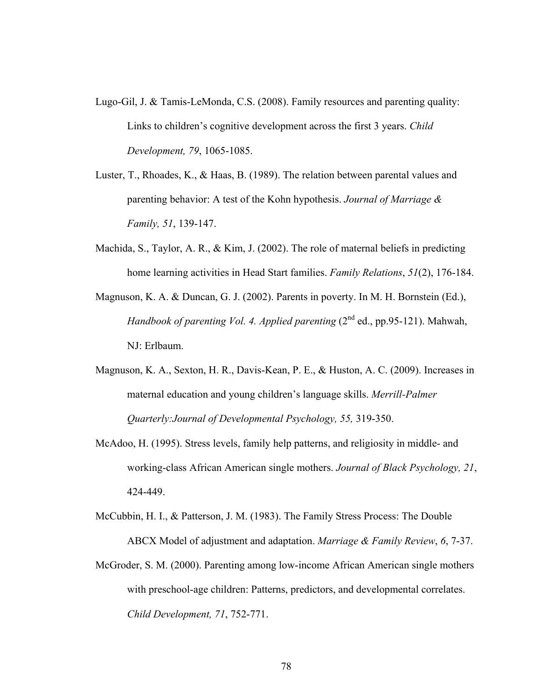- Lugo-Gil, J. & Tamis-LeMonda, C.S. (2008). Family resources and parenting quality: Links to children's cognitive development across the first 3 years. *Child Development, 79*, 1065-1085.
- Luster, T., Rhoades, K., & Haas, B. (1989). The relation between parental values and parenting behavior: A test of the Kohn hypothesis. *Journal of Marriage & Family, 51*, 139-147.
- Machida, S., Taylor, A. R., & Kim, J. (2002). The role of maternal beliefs in predicting home learning activities in Head Start families. *Family Relations*, *51*(2), 176-184.
- Magnuson, K. A. & Duncan, G. J. (2002). Parents in poverty. In M. H. Bornstein (Ed.), *Handbook of parenting Vol. 4. Applied parenting (2<sup>nd</sup> ed., pp.95-121). Mahwah,* NJ: Erlbaum.
- Magnuson, K. A., Sexton, H. R., Davis-Kean, P. E., & Huston, A. C. (2009). Increases in maternal education and young children's language skills. *Merrill-Palmer Quarterly:Journal of Developmental Psychology, 55,* 319-350.
- McAdoo, H. (1995). Stress levels, family help patterns, and religiosity in middle- and working-class African American single mothers. *Journal of Black Psychology, 21*, 424-449.
- McCubbin, H. I., & Patterson, J. M. (1983). The Family Stress Process: The Double ABCX Model of adjustment and adaptation. *Marriage & Family Review*, *6*, 7-37.
- McGroder, S. M. (2000). Parenting among low-income African American single mothers with preschool-age children: Patterns, predictors, and developmental correlates. *Child Development, 71*, 752-771.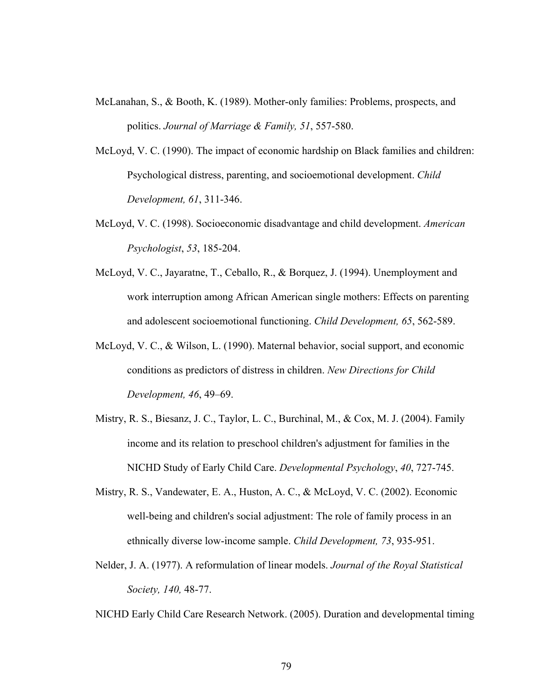- McLanahan, S., & Booth, K. (1989). Mother-only families: Problems, prospects, and politics. *Journal of Marriage & Family, 51*, 557-580.
- McLoyd, V. C. (1990). The impact of economic hardship on Black families and children: Psychological distress, parenting, and socioemotional development. *Child Development, 61*, 311-346.
- McLoyd, V. C. (1998). Socioeconomic disadvantage and child development. *American Psychologist*, *53*, 185-204.
- McLoyd, V. C., Jayaratne, T., Ceballo, R., & Borquez, J. (1994). Unemployment and work interruption among African American single mothers: Effects on parenting and adolescent socioemotional functioning. *Child Development, 65*, 562-589.
- McLoyd, V. C., & Wilson, L. (1990). Maternal behavior, social support, and economic conditions as predictors of distress in children. *New Directions for Child Development, 46*, 49–69.
- Mistry, R. S., Biesanz, J. C., Taylor, L. C., Burchinal, M., & Cox, M. J. (2004). Family income and its relation to preschool children's adjustment for families in the NICHD Study of Early Child Care. *Developmental Psychology*, *40*, 727-745.
- Mistry, R. S., Vandewater, E. A., Huston, A. C., & McLoyd, V. C. (2002). Economic well-being and children's social adjustment: The role of family process in an ethnically diverse low-income sample. *Child Development, 73*, 935-951.
- Nelder, J. A. (1977). A reformulation of linear models. *Journal of the Royal Statistical Society, 140,* 48-77.
- NICHD Early Child Care Research Network. (2005). Duration and developmental timing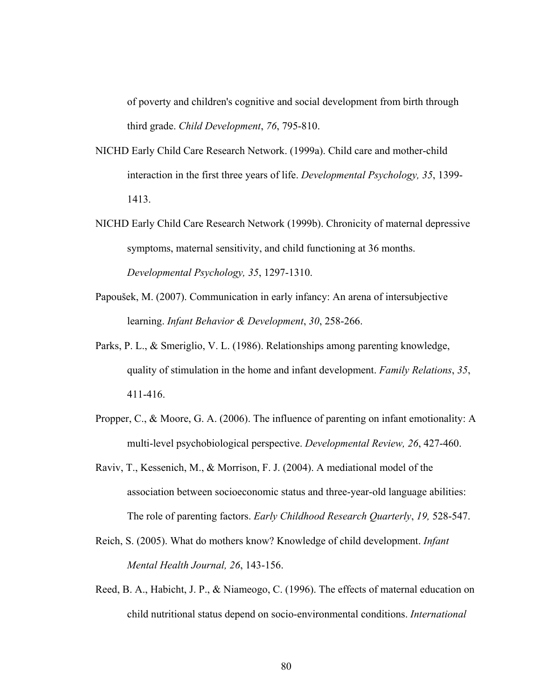of poverty and children's cognitive and social development from birth through third grade. *Child Development*, *76*, 795-810.

- NICHD Early Child Care Research Network. (1999a). Child care and mother-child interaction in the first three years of life. *Developmental Psychology, 35*, 1399- 1413.
- NICHD Early Child Care Research Network (1999b). Chronicity of maternal depressive symptoms, maternal sensitivity, and child functioning at 36 months. *Developmental Psychology, 35*, 1297-1310.
- Papoušek, M. (2007). Communication in early infancy: An arena of intersubjective learning. *Infant Behavior & Development*, *30*, 258-266.
- Parks, P. L., & Smeriglio, V. L. (1986). Relationships among parenting knowledge, quality of stimulation in the home and infant development. *Family Relations*, *35*, 411-416.
- Propper, C., & Moore, G. A. (2006). The influence of parenting on infant emotionality: A multi-level psychobiological perspective. *Developmental Review, 26*, 427-460.
- Raviv, T., Kessenich, M., & Morrison, F. J. (2004). A mediational model of the association between socioeconomic status and three-year-old language abilities: The role of parenting factors. *Early Childhood Research Quarterly*, *19,* 528-547.
- Reich, S. (2005). What do mothers know? Knowledge of child development. *Infant Mental Health Journal, 26*, 143-156.
- Reed, B. A., Habicht, J. P., & Niameogo, C. (1996). The effects of maternal education on child nutritional status depend on socio-environmental conditions. *International*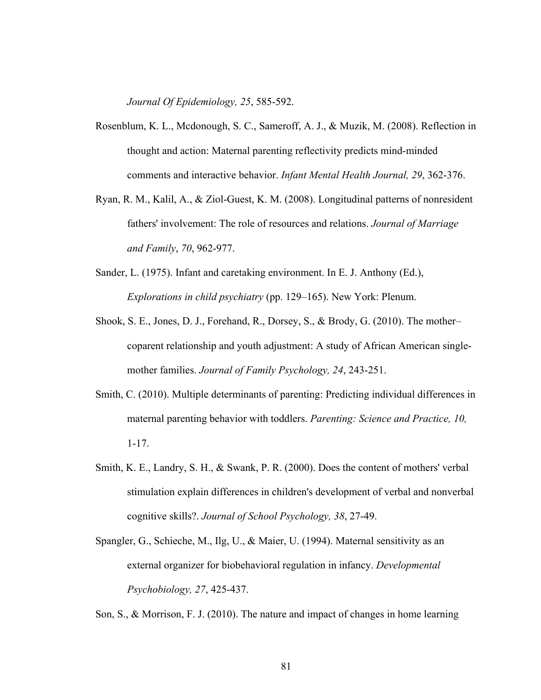*Journal Of Epidemiology, 25*, 585-592.

- Rosenblum, K. L., Mcdonough, S. C., Sameroff, A. J., & Muzik, M. (2008). Reflection in thought and action: Maternal parenting reflectivity predicts mind-minded comments and interactive behavior. *Infant Mental Health Journal, 29*, 362-376.
- Ryan, R. M., Kalil, A., & Ziol-Guest, K. M. (2008). Longitudinal patterns of nonresident fathers' involvement: The role of resources and relations. *Journal of Marriage and Family*, *70*, 962-977.
- Sander, L. (1975). Infant and caretaking environment. In E. J. Anthony (Ed.), *Explorations in child psychiatry* (pp. 129–165). New York: Plenum.
- Shook, S. E., Jones, D. J., Forehand, R., Dorsey, S., & Brody, G. (2010). The mother– coparent relationship and youth adjustment: A study of African American single mother families. *Journal of Family Psychology, 24*, 243-251.
- Smith, C. (2010). Multiple determinants of parenting: Predicting individual differences in maternal parenting behavior with toddlers. *Parenting: Science and Practice, 10,* 1-17.
- Smith, K. E., Landry, S. H., & Swank, P. R. (2000). Does the content of mothers' verbal stimulation explain differences in children's development of verbal and nonverbal cognitive skills?. *Journal of School Psychology, 38*, 27-49.
- Spangler, G., Schieche, M., Ilg, U., & Maier, U. (1994). Maternal sensitivity as an external organizer for biobehavioral regulation in infancy. *Developmental Psychobiology, 27*, 425-437.
- Son, S., & Morrison, F. J. (2010). The nature and impact of changes in home learning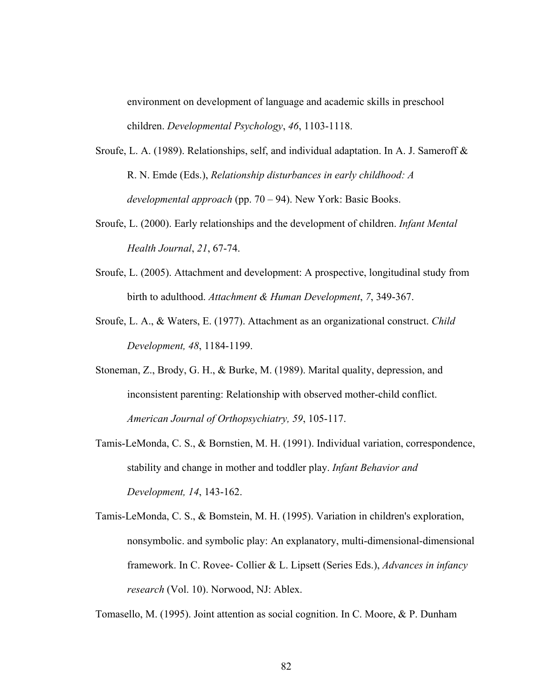environment on development of language and academic skills in preschool children. *Developmental Psychology*, *46*, 1103-1118.

- Sroufe, L. A. (1989). Relationships, self, and individual adaptation. In A. J. Sameroff & R. N. Emde (Eds.), *Relationship disturbances in early childhood: A developmental approach* (pp. 70 – 94). New York: Basic Books.
- Sroufe, L. (2000). Early relationships and the development of children. *Infant Mental Health Journal*, *21*, 67-74.
- Sroufe, L. (2005). Attachment and development: A prospective, longitudinal study from birth to adulthood. *Attachment & Human Development*, *7*, 349-367.
- Sroufe, L. A., & Waters, E. (1977). Attachment as an organizational construct. *Child Development, 48*, 1184-1199.
- Stoneman, Z., Brody, G. H., & Burke, M. (1989). Marital quality, depression, and inconsistent parenting: Relationship with observed mother-child conflict. *American Journal of Orthopsychiatry, 59*, 105-117.
- Tamis-LeMonda, C. S., & Bornstien, M. H. (1991). Individual variation, correspondence, stability and change in mother and toddler play. *Infant Behavior and Development, 14*, 143-162.
- Tamis-LeMonda, C. S., & Bomstein, M. H. (1995). Variation in children's exploration, nonsymbolic. and symbolic play: An explanatory, multi-dimensional-dimensional framework. In C. Rovee- Collier & L. Lipsett (Series Eds.), *Advances in infancy research* (Vol. 10). Norwood, NJ: Ablex.

Tomasello, M. (1995). Joint attention as social cognition. In C. Moore, & P. Dunham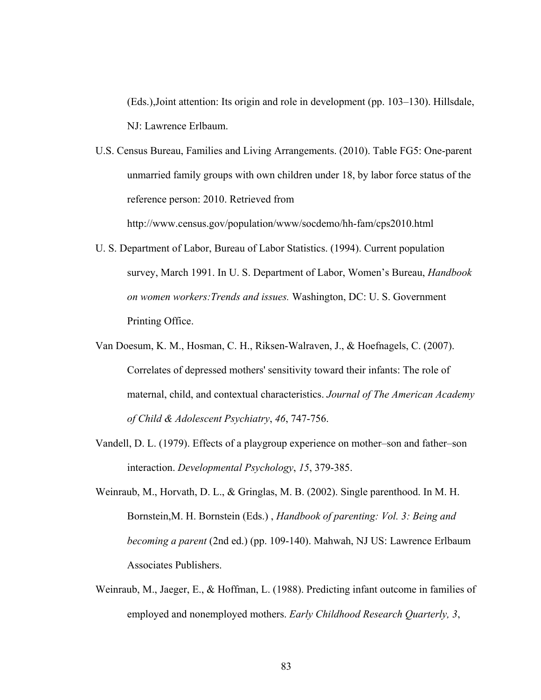(Eds.),Joint attention: Its origin and role in development (pp. 103–130). Hillsdale, NJ: Lawrence Erlbaum.

U.S. Census Bureau, Families and Living Arrangements. (2010). Table FG5: One-parent unmarried family groups with own children under 18, by labor force status of the reference person: 2010. Retrieved from

http://www.census.gov/population/www/socdemo/hh-fam/cps2010.html

- U. S. Department of Labor, Bureau of Labor Statistics. (1994). Current population survey, March 1991. In U. S. Department of Labor, Women's Bureau, *Handbook on women workers:Trends and issues.* Washington, DC: U. S. Government Printing Office.
- Van Doesum, K. M., Hosman, C. H., Riksen-Walraven, J., & Hoefnagels, C. (2007). Correlates of depressed mothers' sensitivity toward their infants: The role of maternal, child, and contextual characteristics. *Journal of The American Academy of Child & Adolescent Psychiatry*, *46*, 747-756.
- Vandell, D. L. (1979). Effects of a playgroup experience on mother–son and father–son interaction. *Developmental Psychology*, *15*, 379-385.
- Weinraub, M., Horvath, D. L., & Gringlas, M. B. (2002). Single parenthood. In M. H. Bornstein,M. H. Bornstein (Eds.) , *Handbook of parenting: Vol. 3: Being and becoming a parent* (2nd ed.) (pp. 109-140). Mahwah, NJ US: Lawrence Erlbaum Associates Publishers.
- Weinraub, M., Jaeger, E., & Hoffman, L. (1988). Predicting infant outcome in families of employed and nonemployed mothers. *Early Childhood Research Quarterly, 3*,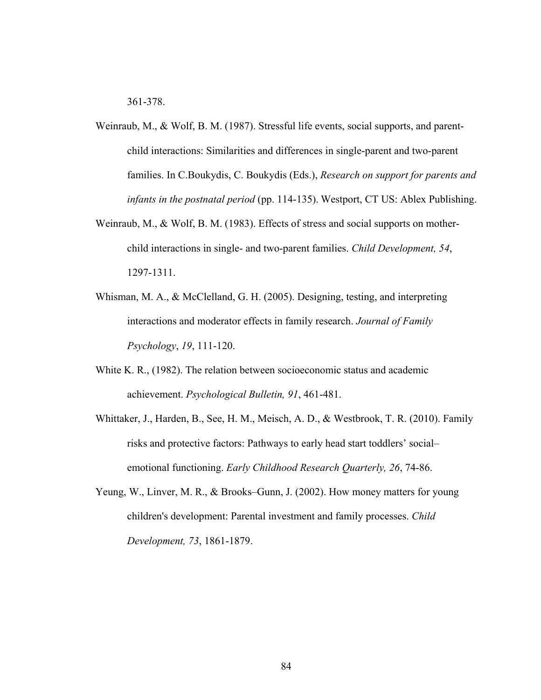361-378.

- Weinraub, M., & Wolf, B. M. (1987). Stressful life events, social supports, and parent child interactions: Similarities and differences in single-parent and two-parent families. In C.Boukydis, C. Boukydis (Eds.), *Research on support for parents and infants in the postnatal period* (pp. 114-135). Westport, CT US: Ablex Publishing.
- Weinraub, M., & Wolf, B. M. (1983). Effects of stress and social supports on mother child interactions in single- and two-parent families. *Child Development, 54*, 1297-1311.
- Whisman, M. A., & McClelland, G. H. (2005). Designing, testing, and interpreting interactions and moderator effects in family research. *Journal of Family Psychology*, *19*, 111-120.
- White K. R., (1982). The relation between socioeconomic status and academic achievement. *Psychological Bulletin, 91*, 461-481.
- Whittaker, J., Harden, B., See, H. M., Meisch, A. D., & Westbrook, T. R. (2010). Family risks and protective factors: Pathways to early head start toddlers' social– emotional functioning. *Early Childhood Research Quarterly, 26*, 74-86.
- Yeung, W., Linver, M. R., & Brooks–Gunn, J. (2002). How money matters for young children's development: Parental investment and family processes. *Child Development, 73*, 1861-1879.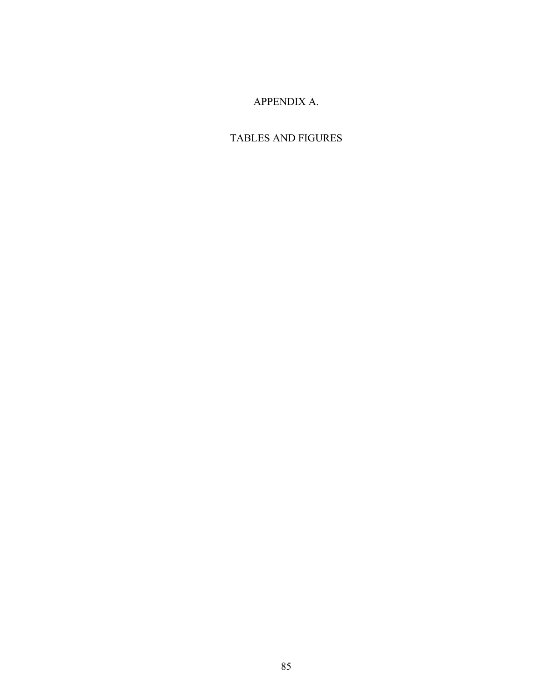## APPENDIX A.

# TABLES AND FIGURES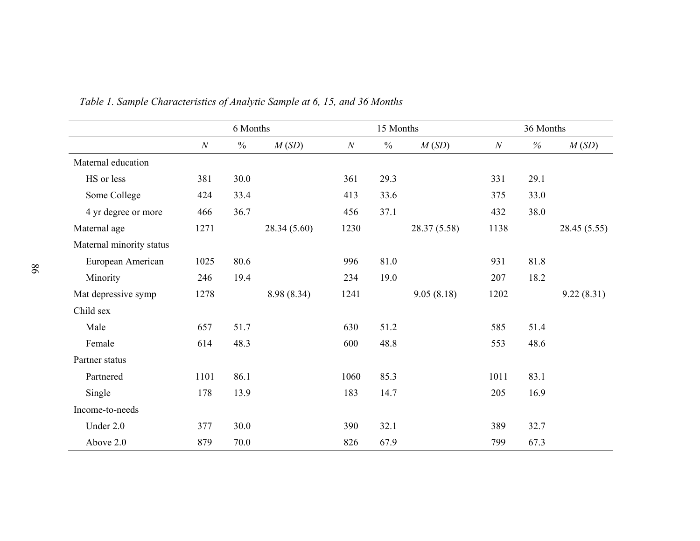|                          |      | 6 Months      |              |      | 15 Months     |             |                  | 36 Months |              |
|--------------------------|------|---------------|--------------|------|---------------|-------------|------------------|-----------|--------------|
|                          | N    | $\frac{0}{0}$ | M(SD)        | N    | $\frac{0}{0}$ | M(SD)       | $\boldsymbol{N}$ | $\%$      | M(SD)        |
| Maternal education       |      |               |              |      |               |             |                  |           |              |
| HS or less               | 381  | 30.0          |              | 361  | 29.3          |             | 331              | 29.1      |              |
| Some College             | 424  | 33.4          |              | 413  | 33.6          |             | 375              | 33.0      |              |
| 4 yr degree or more      | 466  | 36.7          |              | 456  | 37.1          |             | 432              | 38.0      |              |
| Maternal age             | 1271 |               | 28.34 (5.60) | 1230 |               | 28.37(5.58) | 1138             |           | 28.45 (5.55) |
| Maternal minority status |      |               |              |      |               |             |                  |           |              |
| European American        | 1025 | 80.6          |              | 996  | 81.0          |             | 931              | 81.8      |              |
| Minority                 | 246  | 19.4          |              | 234  | 19.0          |             | 207              | 18.2      |              |
| Mat depressive symp      | 1278 |               | 8.98 (8.34)  | 1241 |               | 9.05(8.18)  | 1202             |           | 9.22(8.31)   |
| Child sex                |      |               |              |      |               |             |                  |           |              |
| Male                     | 657  | 51.7          |              | 630  | 51.2          |             | 585              | 51.4      |              |
| Female                   | 614  | 48.3          |              | 600  | 48.8          |             | 553              | 48.6      |              |
| Partner status           |      |               |              |      |               |             |                  |           |              |
| Partnered                | 1101 | 86.1          |              | 1060 | 85.3          |             | 1011             | 83.1      |              |
| Single                   | 178  | 13.9          |              | 183  | 14.7          |             | 205              | 16.9      |              |
| Income-to-needs          |      |               |              |      |               |             |                  |           |              |
| Under 2.0                | 377  | 30.0          |              | 390  | 32.1          |             | 389              | 32.7      |              |
| Above 2.0                | 879  | 70.0          |              | 826  | 67.9          |             | 799              | 67.3      |              |

*Table 1. Sample Characteristics of Analytic Sample at 6, 15, and 36 Months*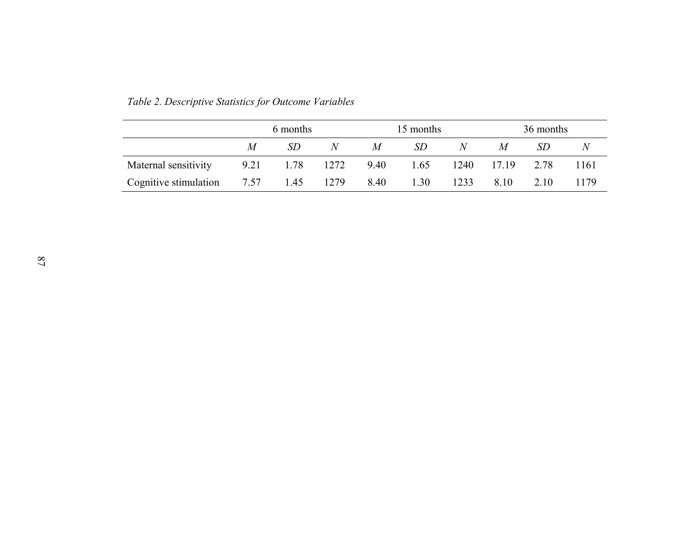|                       |      | 6 months<br>SD<br>N<br>$\boldsymbol{M}$<br>1.78<br>7.57 1.45 |      |      | 15 months |      |       | 36 months |      |  |
|-----------------------|------|--------------------------------------------------------------|------|------|-----------|------|-------|-----------|------|--|
|                       |      |                                                              |      | M    | SD        | N    | M     | SD        |      |  |
| Maternal sensitivity  | 9.21 |                                                              | 1272 | 9.40 | 1.65      | 1240 | 17.19 | 2.78      | 1161 |  |
| Cognitive stimulation |      |                                                              | 1279 | 8.40 | 1.30      | 1233 | 8.10  | 2.10      | 1179 |  |

*Table 2. Descriptive Statistics for Outcome Variables*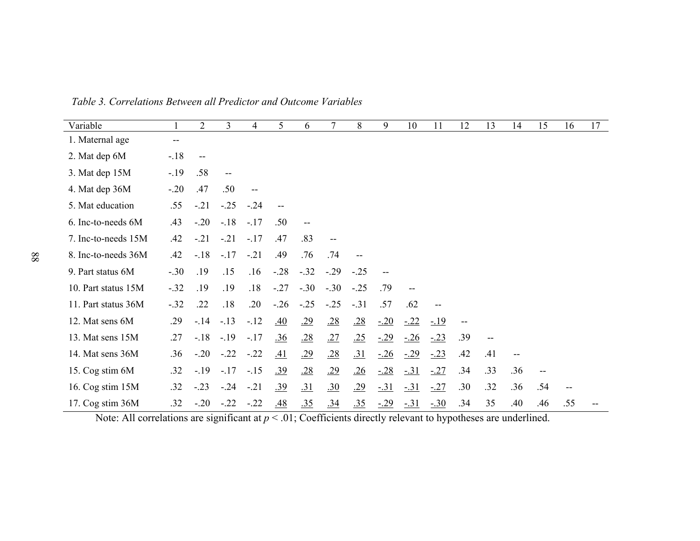| Variable            |        | $\overline{2}$ | $\overline{3}$                        | 4      | 5                 | 6      | 7      | 8          | 9     | 10    | 11          | 12  | 13  | 14  | 15                | 16  | 17 |
|---------------------|--------|----------------|---------------------------------------|--------|-------------------|--------|--------|------------|-------|-------|-------------|-----|-----|-----|-------------------|-----|----|
| 1. Maternal age     | --     |                |                                       |        |                   |        |        |            |       |       |             |     |     |     |                   |     |    |
| 2. Mat dep 6M       | $-18$  |                |                                       |        |                   |        |        |            |       |       |             |     |     |     |                   |     |    |
| 3. Mat dep 15M      | $-19$  | .58            | $\hspace{0.05cm}$ – $\hspace{0.05cm}$ |        |                   |        |        |            |       |       |             |     |     |     |                   |     |    |
| 4. Mat dep 36M      | $-.20$ | .47            | .50                                   | --     |                   |        |        |            |       |       |             |     |     |     |                   |     |    |
| 5. Mat education    | .55    | $-.21$         | $-.25$                                | $-.24$ |                   |        |        |            |       |       |             |     |     |     |                   |     |    |
| 6. Inc-to-needs 6M  | .43    | $-.20$         | $-.18$                                | $-.17$ | .50               |        |        |            |       |       |             |     |     |     |                   |     |    |
| 7. Inc-to-needs 15M | .42    | $-.21$         | $-.21$                                | $-.17$ | .47               | .83    |        |            |       |       |             |     |     |     |                   |     |    |
| 8. Inc-to-needs 36M | .42    | $-18$          | $-.17$                                | $-.21$ | .49               | .76    | .74    |            |       |       |             |     |     |     |                   |     |    |
| 9. Part status 6M   | $-.30$ | .19            | .15                                   | .16    | $-.28$            | $-.32$ | $-.29$ | $-.25$     | --    |       |             |     |     |     |                   |     |    |
| 10. Part status 15M | $-.32$ | .19            | .19                                   | .18    | $-.27$            | $-.30$ | $-.30$ | $-.25$     | .79   |       |             |     |     |     |                   |     |    |
| 11. Part status 36M | $-.32$ | .22            | .18                                   | .20    | $-.26$            | $-.25$ | $-.25$ | $-.31$     | .57   | .62   |             |     |     |     |                   |     |    |
| 12. Mat sens 6M     | .29    | $-14$          | $-.13$                                | $-12$  | .40               | .29    | .28    | .28        | $-20$ | $-22$ | <u>-.19</u> |     |     |     |                   |     |    |
| 13. Mat sens 15M    | .27    | $-.18$         | $-.19$                                | $-17$  | $\underline{.36}$ | .28    | .27    | .25        | $-29$ | $-26$ | $-23$       | .39 | $-$ |     |                   |     |    |
| 14. Mat sens 36M    | .36    | $-.20$         | $-.22$                                | $-.22$ | .41               | .29    | .28    | <u>.31</u> | $-26$ | $-29$ | $-23$       | .42 | .41 |     |                   |     |    |
| 15. Cog stim 6M     | .32    | $-.19$         | $-.17$                                | $-.15$ | .39               | .28    | .29    | .26        | $-28$ | $-31$ | $-27$       | .34 | .33 | .36 | $\qquad \qquad -$ |     |    |
| 16. Cog stim 15M    | .32    | $-.23$         | $-.24$                                | $-.21$ | .39               | .31    | .30    | .29        | $-31$ | $-31$ | $-.27$      | .30 | .32 | .36 | .54               |     |    |
| 17. Cog stim 36M    | .32    | $-.20$         | $-.22$                                | $-.22$ | .48               | .35    | .34    | .35        | $-29$ | $-31$ | $-30$       | .34 | 35  | .40 | .46               | .55 |    |

*Table 3. Correlations Between all Predictor and Outcome Variables* 

Note: All correlations are significant at  $p < .01$ ; Coefficients directly relevant to hypotheses are underlined.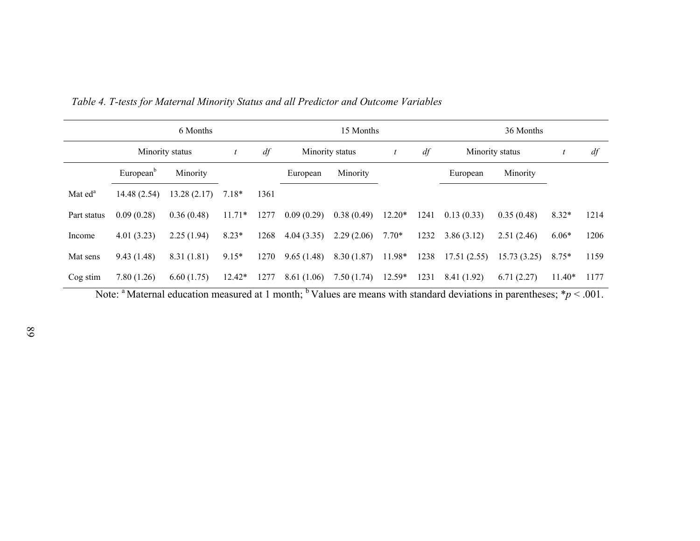|                     |                       | 6 Months        |                  |      |                 | 15 Months  |                  |      |             | 36 Months       |          |      |
|---------------------|-----------------------|-----------------|------------------|------|-----------------|------------|------------------|------|-------------|-----------------|----------|------|
|                     |                       | Minority status | $\boldsymbol{t}$ | df   | Minority status |            | $\boldsymbol{t}$ | df   |             | Minority status |          | df   |
|                     | European <sup>b</sup> | Minority        |                  |      | European        | Minority   |                  |      | European    | Minority        |          |      |
| Mat ed <sup>a</sup> | 14.48(2.54)           | 13.28(2.17)     | $7.18*$          | 1361 |                 |            |                  |      |             |                 |          |      |
| Part status         | 0.09(0.28)            | 0.36(0.48)      | $11.71*$         | 1277 | 0.09(0.29)      | 0.38(0.49) | $12.20*$         | 1241 | 0.13(0.33)  | 0.35(0.48)      | $8.32*$  | 1214 |
| Income              | 4.01(3.23)            | 2.25(1.94)      | $8.23*$          | 1268 | 4.04(3.35)      | 2.29(2.06) | $7.70*$          | 1232 | 3.86(3.12)  | 2.51(2.46)      | $6.06*$  | 1206 |
| Mat sens            | 9.43(1.48)            | 8.31(1.81)      | $9.15*$          | 1270 | 9.65(1.48)      | 8.30(1.87) | 11.98*           | 1238 | 17.51(2.55) | 15.73(3.25)     | $8.75*$  | 1159 |
| Cog stim            | 7.80(1.26)            | 6.60(1.75)      | $12.42*$         | 1277 | 8.61(1.06)      | 7.50(1.74) | $12.59*$         | 1231 | 8.41 (1.92) | 6.71(2.27)      | $11.40*$ | 1177 |

*Table 4. T-tests for Maternal Minority Status and all Predictor and Outcome Variables* 

Note: <sup>a</sup> Maternal education measured at 1 month; <sup>b</sup> Values are means with standard deviations in parentheses;  $*p < .001$ .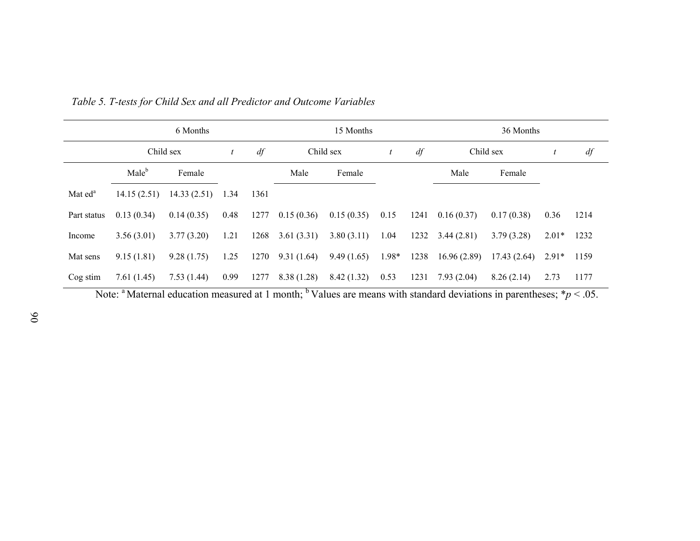|                     |                   | 6 Months           |                |      |            | 15 Months  |                  |      | 36 Months               |                            |         |      |
|---------------------|-------------------|--------------------|----------------|------|------------|------------|------------------|------|-------------------------|----------------------------|---------|------|
|                     | Child sex         |                    | $\mathfrak{t}$ | df   |            | Child sex  | $\boldsymbol{t}$ | df   | Child sex               |                            |         | df   |
|                     | Male <sup>b</sup> | Female             |                |      | Male       | Female     |                  |      | Male                    | Female                     |         |      |
| Mat ed <sup>a</sup> | 14.15(2.51)       | $14.33(2.51)$ 1.34 |                | 1361 |            |            |                  |      |                         |                            |         |      |
| Part status         | 0.13(0.34)        | 0.14(0.35)         | 0.48           | 1277 | 0.15(0.36) | 0.15(0.35) | 0.15             |      | $1241 \quad 0.16(0.37)$ | 0.17(0.38)                 | 0.36    | 1214 |
| Income              | 3.56(3.01)        | 3.77(3.20)         | 1.21           | 1268 | 3.61(3.31) | 3.80(3.11) | 1.04             | 1232 | 3.44(2.81)              | 3.79(3.28)                 | $2.01*$ | 1232 |
| Mat sens            | 9.15(1.81)        | 9.28(1.75)         | 1.25           | 1270 | 9.31(1.64) | 9.49(1.65) | 1.98*            | 1238 | 16.96(2.89)             | $17.43(2.64)$ $2.91*$ 1159 |         |      |
| Cog stim            | 7.61(1.45)        | 7.53 (1.44)        | 0.99           | 1277 | 8.38(1.28) | 8.42(1.32) | 0.53             | 1231 | 7.93(2.04)              | 8.26(2.14)                 | 2.73    | 1177 |

*Table 5. T-tests for Child Sex and all Predictor and Outcome Variables*

Note: <sup>a</sup> Maternal education measured at 1 month; <sup>b</sup> Values are means with standard deviations in parentheses;  $*p < .05$ .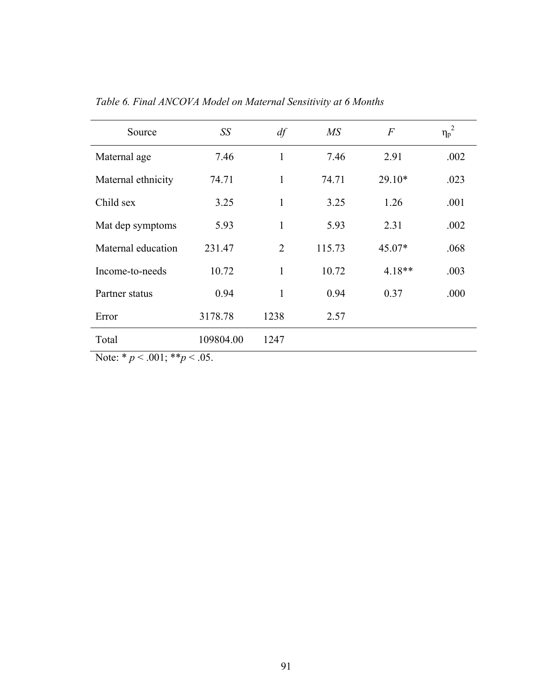| Source                                   | SS        | df             | $\overline{MS}$ | $\boldsymbol{F}$ | $\eta_p^2$ |
|------------------------------------------|-----------|----------------|-----------------|------------------|------------|
| Maternal age                             | 7.46      | 1              | 7.46            | 2.91             | .002       |
| Maternal ethnicity                       | 74.71     | 1              | 74.71           | $29.10*$         | .023       |
| Child sex                                | 3.25      | 1              | 3.25            | 1.26             | .001       |
| Mat dep symptoms                         | 5.93      | $\mathbf{1}$   | 5.93            | 2.31             | .002       |
| Maternal education                       | 231.47    | $\overline{2}$ | 115.73          | 45.07*           | .068       |
| Income-to-needs                          | 10.72     | 1              | 10.72           | $4.18**$         | .003       |
| Partner status                           | 0.94      | 1              | 0.94            | 0.37             | .000       |
| Error                                    | 3178.78   | 1238           | 2.57            |                  |            |
| Total                                    | 109804.00 | 1247           |                 |                  |            |
| $N_{0}t_{0}$ * $n < 0$ 01 · ** $n < 0$ 5 |           |                |                 |                  |            |

*Table 6. Final ANCOVA Model on Maternal Sensitivity at 6 Months*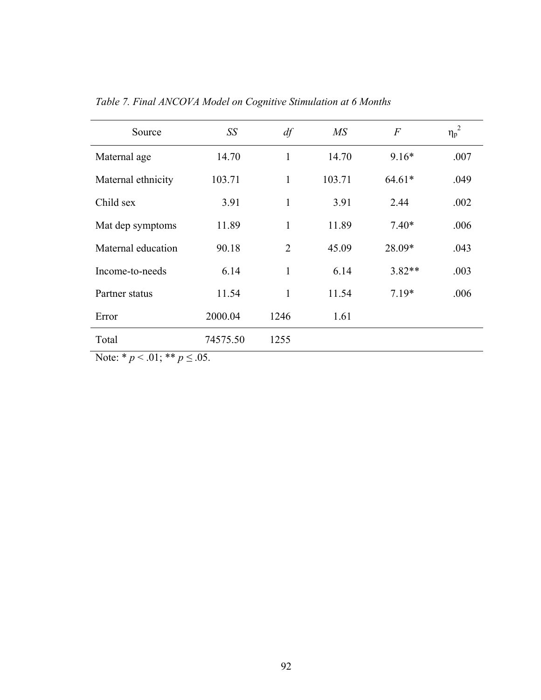| Source                                                                                                                                                                                                                                                                                                                             | SS         | df             | $\overline{MS}$ | $\overline{F}$ | $\eta_p^2$ |
|------------------------------------------------------------------------------------------------------------------------------------------------------------------------------------------------------------------------------------------------------------------------------------------------------------------------------------|------------|----------------|-----------------|----------------|------------|
| Maternal age                                                                                                                                                                                                                                                                                                                       | 14.70      | $\mathbf{1}$   | 14.70           | $9.16*$        | .007       |
| Maternal ethnicity                                                                                                                                                                                                                                                                                                                 | 103.71     | $\mathbf{1}$   | 103.71          | $64.61*$       | .049       |
| Child sex                                                                                                                                                                                                                                                                                                                          | 3.91       | $\mathbf{1}$   | 3.91            | 2.44           | .002       |
| Mat dep symptoms                                                                                                                                                                                                                                                                                                                   | 11.89      | $\mathbf{1}$   | 11.89           | $7.40*$        | .006       |
| Maternal education                                                                                                                                                                                                                                                                                                                 | 90.18      | $\overline{2}$ | 45.09           | 28.09*         | .043       |
| Income-to-needs                                                                                                                                                                                                                                                                                                                    | 6.14       | $\mathbf{1}$   | 6.14            | 3.82**         | .003       |
| Partner status                                                                                                                                                                                                                                                                                                                     | 11.54      | $\mathbf{1}$   | 11.54           | $7.19*$        | .006       |
| Error                                                                                                                                                                                                                                                                                                                              | 2000.04    | 1246           | 1.61            |                |            |
| Total                                                                                                                                                                                                                                                                                                                              | 74575.50   | 1255           |                 |                |            |
| $\mathbf{M}$ $\mathbf{A}$ $\mathbf{B}$ $\mathbf{B}$ $\mathbf{C}$ $\mathbf{A}$ $\mathbf{A}$ $\mathbf{C}$ $\mathbf{A}$ $\mathbf{C}$ $\mathbf{A}$ $\mathbf{A}$ $\mathbf{C}$ $\mathbf{A}$ $\mathbf{C}$ $\mathbf{A}$ $\mathbf{C}$ $\mathbf{A}$ $\mathbf{C}$ $\mathbf{A}$ $\mathbf{C}$ $\mathbf{A}$ $\mathbf{C}$ $\mathbf{A}$ $\mathbf{$ | $\sim$ 0.5 |                |                 |                |            |

*Table 7. Final ANCOVA Model on Cognitive Stimulation at 6 Months*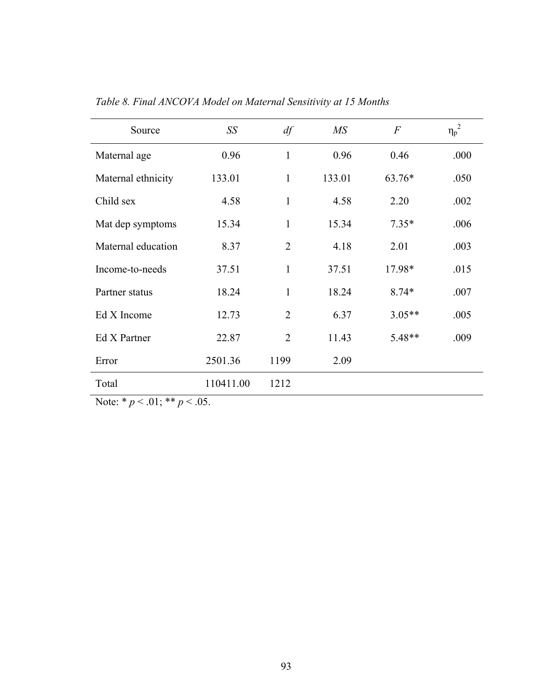| Source             | SS        | df             | $\overline{MS}$ | $\overline{F}$ | ${\eta_p}^2$ |
|--------------------|-----------|----------------|-----------------|----------------|--------------|
| Maternal age       | 0.96      | $\mathbf{1}$   | 0.96            | 0.46           | .000         |
| Maternal ethnicity | 133.01    | $\mathbf{1}$   | 133.01          | 63.76*         | .050         |
| Child sex          | 4.58      | $\mathbf{1}$   | 4.58            | 2.20           | .002         |
| Mat dep symptoms   | 15.34     | $\mathbf{1}$   | 15.34           | $7.35*$        | .006         |
| Maternal education | 8.37      | $\overline{2}$ | 4.18            | 2.01           | .003         |
| Income-to-needs    | 37.51     | $\mathbf{1}$   | 37.51           | 17.98*         | .015         |
| Partner status     | 18.24     | $\mathbf{1}$   | 18.24           | $8.74*$        | .007         |
| Ed X Income        | 12.73     | $\overline{2}$ | 6.37            | $3.05**$       | .005         |
| Ed X Partner       | 22.87     | $\overline{2}$ | 11.43           | 5.48**         | .009         |
| Error              | 2501.36   | 1199           | 2.09            |                |              |
| Total              | 110411.00 | 1212           |                 |                |              |

*Table 8. Final ANCOVA Model on Maternal Sensitivity at 15 Months*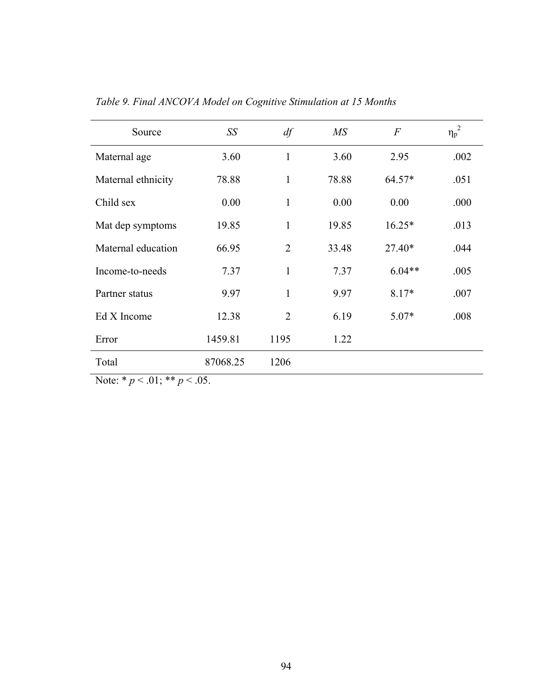| Source             | SS       | df             | MS    | $\overline{F}$ | $\eta_p^2$ |
|--------------------|----------|----------------|-------|----------------|------------|
| Maternal age       | 3.60     | $\mathbf{1}$   | 3.60  | 2.95           | .002       |
| Maternal ethnicity | 78.88    | 1              | 78.88 | $64.57*$       | .051       |
| Child sex          | 0.00     | $\mathbf{1}$   | 0.00  | 0.00           | .000       |
| Mat dep symptoms   | 19.85    | $\mathbf{1}$   | 19.85 | $16.25*$       | .013       |
| Maternal education | 66.95    | $\overline{2}$ | 33.48 | $27.40*$       | .044       |
| Income-to-needs    | 7.37     | $\mathbf{1}$   | 7.37  | $6.04**$       | .005       |
| Partner status     | 9.97     | $\mathbf{1}$   | 9.97  | 8.17*          | .007       |
| Ed X Income        | 12.38    | $\overline{2}$ | 6.19  | $5.07*$        | .008       |
| Error              | 1459.81  | 1195           | 1.22  |                |            |
| Total              | 87068.25 | 1206           |       |                |            |

*Table 9. Final ANCOVA Model on Cognitive Stimulation at 15 Months*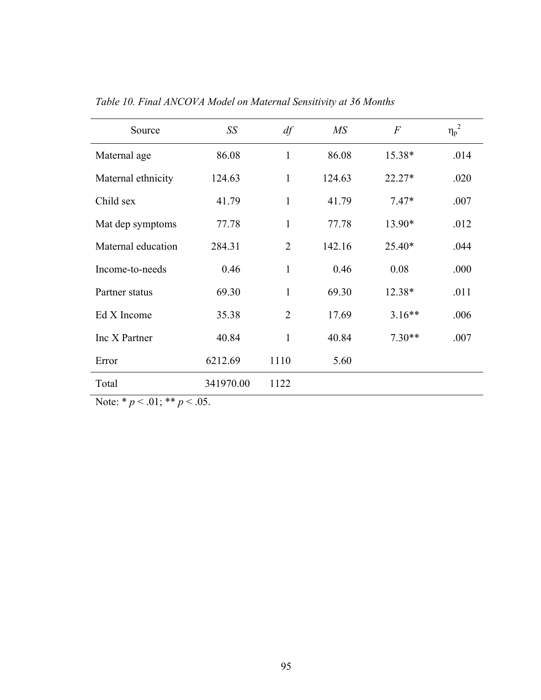| Source             | SS        | df             | $\overline{MS}$ | $\overline{F}$ | ${\eta_p}^2$ |
|--------------------|-----------|----------------|-----------------|----------------|--------------|
| Maternal age       | 86.08     | $\mathbf{1}$   | 86.08           | 15.38*         | .014         |
| Maternal ethnicity | 124.63    | $\mathbf{1}$   | 124.63          | $22.27*$       | .020         |
| Child sex          | 41.79     | $\mathbf{1}$   | 41.79           | $7.47*$        | .007         |
| Mat dep symptoms   | 77.78     | $\mathbf{1}$   | 77.78           | 13.90*         | .012         |
| Maternal education | 284.31    | $\overline{2}$ | 142.16          | $25.40*$       | .044         |
| Income-to-needs    | 0.46      | $\mathbf{1}$   | 0.46            | 0.08           | .000         |
| Partner status     | 69.30     | $\mathbf{1}$   | 69.30           | 12.38*         | .011         |
| Ed X Income        | 35.38     | $\overline{2}$ | 17.69           | $3.16**$       | .006         |
| Inc X Partner      | 40.84     | $\mathbf{1}$   | 40.84           | $7.30**$       | .007         |
| Error              | 6212.69   | 1110           | 5.60            |                |              |
| Total              | 341970.00 | 1122           |                 |                |              |

*Table 10. Final ANCOVA Model on Maternal Sensitivity at 36 Months*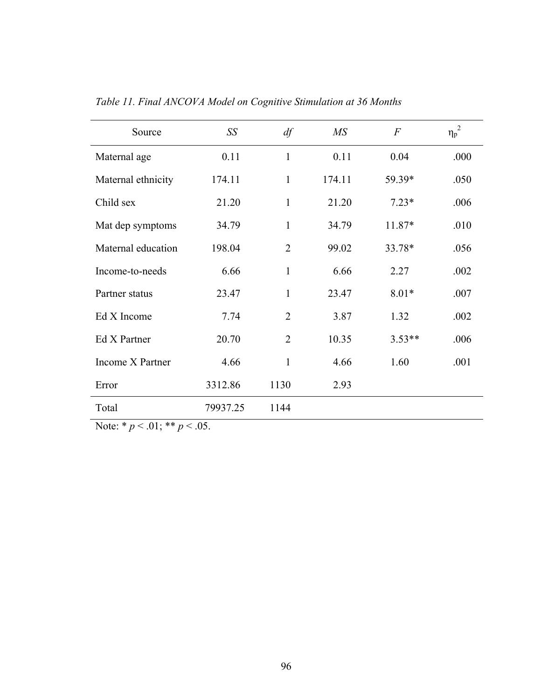| Source             | SS       | df             | MS     | $\boldsymbol{F}$ | ${\eta_p}^2$ |
|--------------------|----------|----------------|--------|------------------|--------------|
| Maternal age       | 0.11     | $\mathbf{1}$   | 0.11   | 0.04             | .000         |
| Maternal ethnicity | 174.11   | 1              | 174.11 | 59.39*           | .050         |
| Child sex          | 21.20    | $\mathbf{1}$   | 21.20  | $7.23*$          | .006         |
| Mat dep symptoms   | 34.79    | $\mathbf{1}$   | 34.79  | 11.87*           | .010         |
| Maternal education | 198.04   | $\overline{2}$ | 99.02  | 33.78*           | .056         |
| Income-to-needs    | 6.66     | $\mathbf{1}$   | 6.66   | 2.27             | .002         |
| Partner status     | 23.47    | $\mathbf{1}$   | 23.47  | $8.01*$          | .007         |
| Ed X Income        | 7.74     | $\overline{2}$ | 3.87   | 1.32             | .002         |
| Ed X Partner       | 20.70    | $\overline{2}$ | 10.35  | $3.53**$         | .006         |
| Income X Partner   | 4.66     | $\mathbf{1}$   | 4.66   | 1.60             | .001         |
| Error              | 3312.86  | 1130           | 2.93   |                  |              |
| Total              | 79937.25 | 1144           |        |                  |              |

*Table 11. Final ANCOVA Model on Cognitive Stimulation at 36 Months*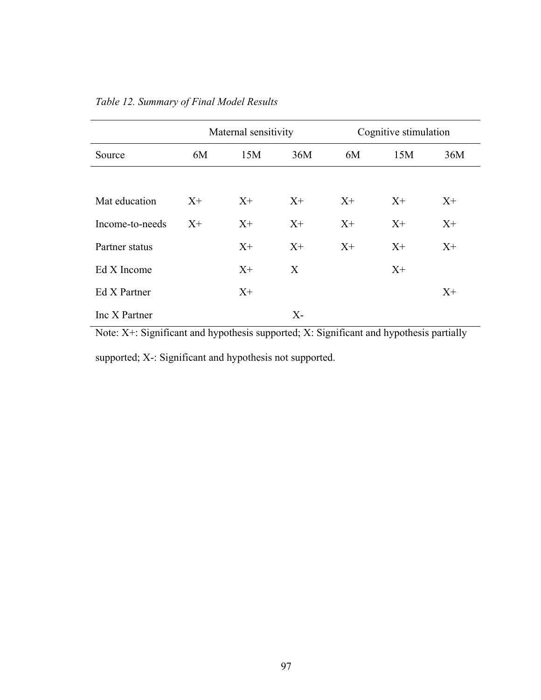|                 |       | Maternal sensitivity |       | Cognitive stimulation<br>15M<br>6M<br>$X^+$<br>$X^+$<br>$X^+$<br>$X+$<br>$X^+$<br>$X+$<br>$X^+$ |  |       |
|-----------------|-------|----------------------|-------|-------------------------------------------------------------------------------------------------|--|-------|
| Source          | 6M    | 15M                  | 36M   |                                                                                                 |  | 36M   |
|                 |       |                      |       |                                                                                                 |  |       |
| Mat education   | $X^+$ | $X^+$                | $X^+$ |                                                                                                 |  | $X^+$ |
| Income-to-needs | $X^+$ | $X^+$                | $X+$  |                                                                                                 |  | $X^+$ |
| Partner status  |       | $X^+$                | $X+$  |                                                                                                 |  | $X^+$ |
| Ed X Income     |       | $X^+$                | X     |                                                                                                 |  |       |
| Ed X Partner    |       | $X^+$                |       |                                                                                                 |  | $X^+$ |
| Inc X Partner   |       |                      | $X-$  |                                                                                                 |  |       |

*Table 12. Summary of Final Model Results*

Note: X+: Significant and hypothesis supported; X: Significant and hypothesis partially

supported; X-: Significant and hypothesis not supported.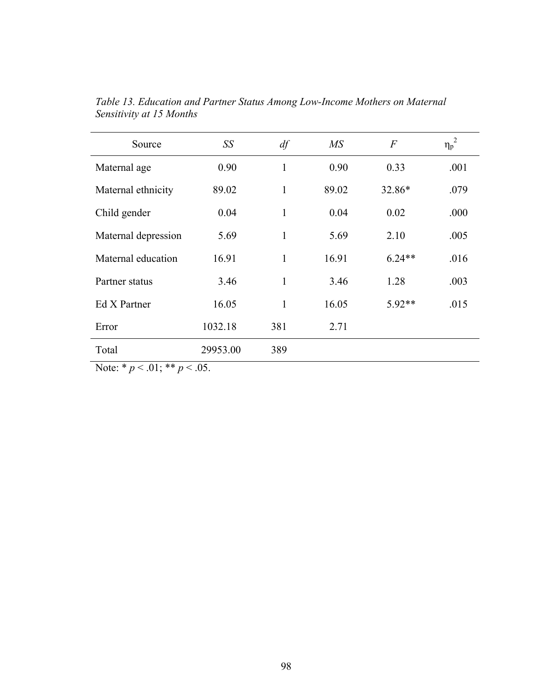| Source              | SS       | df  | $\overline{MS}$ | $\overline{F}$ | 2<br>$\eta_p$ <sup><math>\sim</math></sup> |
|---------------------|----------|-----|-----------------|----------------|--------------------------------------------|
| Maternal age        | 0.90     | 1   | 0.90            | 0.33           | .001                                       |
| Maternal ethnicity  | 89.02    | 1   | 89.02           | 32.86*         | .079                                       |
| Child gender        | 0.04     | 1   | 0.04            | 0.02           | .000                                       |
| Maternal depression | 5.69     | 1   | 5.69            | 2.10           | .005                                       |
| Maternal education  | 16.91    | 1   | 16.91           | $6.24**$       | .016                                       |
| Partner status      | 3.46     | 1   | 3.46            | 1.28           | .003                                       |
| Ed X Partner        | 16.05    | 1   | 16.05           | $5.92**$       | .015                                       |
| Error               | 1032.18  | 381 | 2.71            |                |                                            |
| Total               | 29953.00 | 389 |                 |                |                                            |

*Table 13. Education and Partner Status Among Low-Income Mothers on Maternal Sensitivity at 15 Months*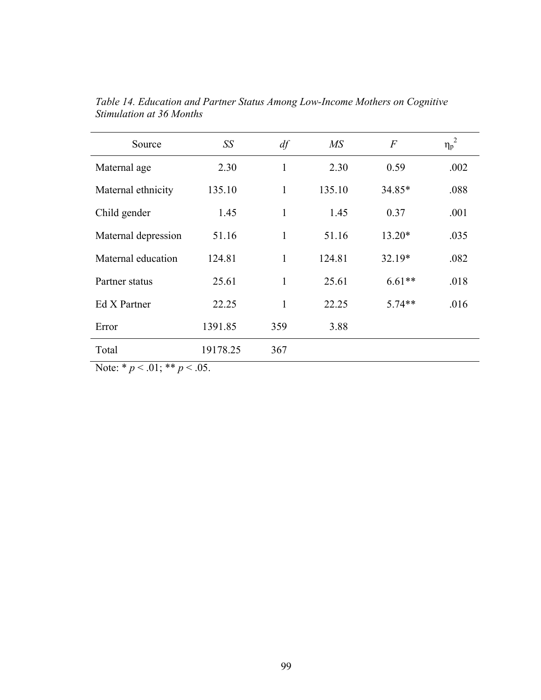| Source                             | SS       | df           | $\overline{MS}$ | $\overline{F}$ | ${\eta_p}^2$ |
|------------------------------------|----------|--------------|-----------------|----------------|--------------|
| Maternal age                       | 2.30     | $\mathbf{1}$ | 2.30            | 0.59           | .002         |
| Maternal ethnicity                 | 135.10   | $\mathbf{1}$ | 135.10          | 34.85*         | .088         |
| Child gender                       | 1.45     | $\mathbf{1}$ | 1.45            | 0.37           | .001         |
| Maternal depression                | 51.16    | $\mathbf{1}$ | 51.16           | $13.20*$       | .035         |
| Maternal education                 | 124.81   | 1            | 124.81          | $32.19*$       | .082         |
| Partner status                     | 25.61    | $\mathbf{1}$ | 25.61           | $6.61**$       | .018         |
| Ed X Partner                       | 22.25    | $\mathbf{1}$ | 22.25           | $5.74**$       | .016         |
| Error                              | 1391.85  | 359          | 3.88            |                |              |
| Total                              | 19178.25 | 367          |                 |                |              |
| Note: * $p < .01$ ; ** $p < .05$ . |          |              |                 |                |              |

*Table 14. Education and Partner Status Among Low-Income Mothers on Cognitive Stimulation at 36 Months*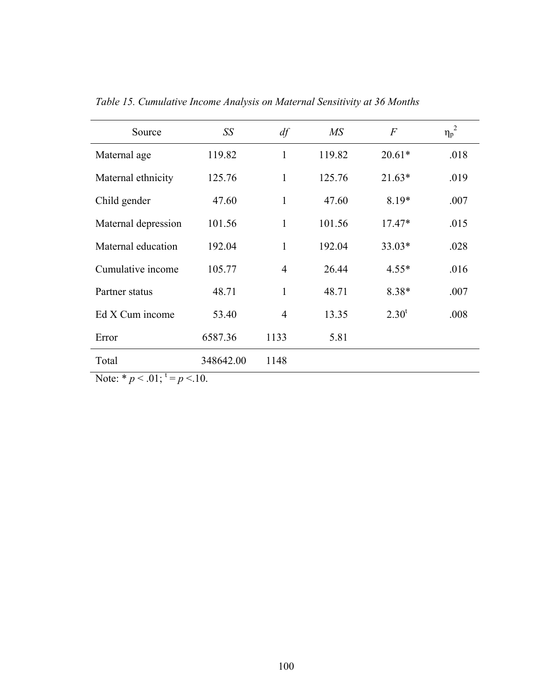| Source              | SS        | df             | $\overline{MS}$ | $\overline{F}$ | 2<br>$\eta_{\rm p}$ <sup>2</sup> |
|---------------------|-----------|----------------|-----------------|----------------|----------------------------------|
| Maternal age        | 119.82    | 1              | 119.82          | $20.61*$       | .018                             |
| Maternal ethnicity  | 125.76    | $\mathbf{1}$   | 125.76          | $21.63*$       | .019                             |
| Child gender        | 47.60     | $\mathbf{1}$   | 47.60           | $8.19*$        | .007                             |
| Maternal depression | 101.56    | $\mathbf{1}$   | 101.56          | $17.47*$       | .015                             |
| Maternal education  | 192.04    | 1              | 192.04          | $33.03*$       | .028                             |
| Cumulative income   | 105.77    | $\overline{4}$ | 26.44           | $4.55*$        | .016                             |
| Partner status      | 48.71     | $\mathbf{1}$   | 48.71           | $8.38*$        | .007                             |
| Ed X Cum income     | 53.40     | $\overline{4}$ | 13.35           | $2.30^t$       | .008                             |
| Error               | 6587.36   | 1133           | 5.81            |                |                                  |
| Total               | 348642.00 | 1148           |                 |                |                                  |

*Table 15. Cumulative Income Analysis on Maternal Sensitivity at 36 Months* 

Note:  $* p < .01$ ;  $t = p < .10$ .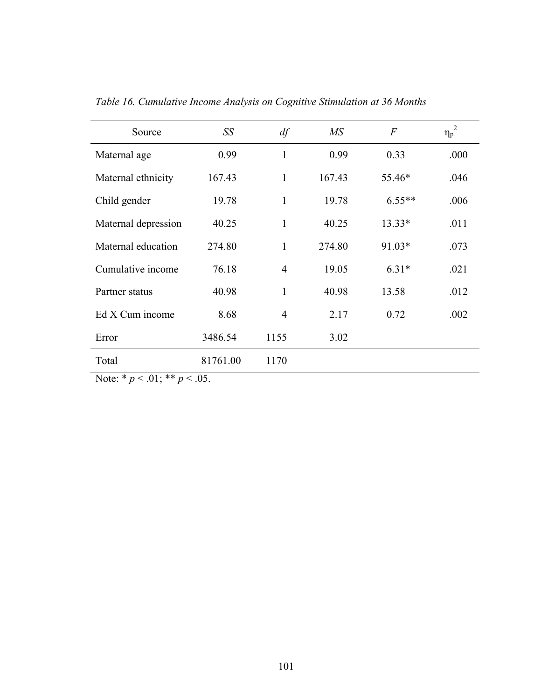| Source              | SS       | df             | $\overline{MS}$ | $\overline{F}$ | $\eta_p^2$ |
|---------------------|----------|----------------|-----------------|----------------|------------|
| Maternal age        | 0.99     | 1              | 0.99            | 0.33           | .000       |
| Maternal ethnicity  | 167.43   | $\mathbf{1}$   | 167.43          | 55.46*         | .046       |
| Child gender        | 19.78    | $\mathbf{1}$   | 19.78           | $6.55**$       | .006       |
| Maternal depression | 40.25    | $\mathbf{1}$   | 40.25           | $13.33*$       | .011       |
| Maternal education  | 274.80   | $\mathbf{1}$   | 274.80          | 91.03*         | .073       |
| Cumulative income   | 76.18    | $\overline{4}$ | 19.05           | $6.31*$        | .021       |
| Partner status      | 40.98    | $\mathbf{1}$   | 40.98           | 13.58          | .012       |
| Ed X Cum income     | 8.68     | $\overline{4}$ | 2.17            | 0.72           | .002       |
| Error               | 3486.54  | 1155           | 3.02            |                |            |
| Total               | 81761.00 | 1170           |                 |                |            |

*Table 16. Cumulative Income Analysis on Cognitive Stimulation at 36 Months* 

Note:  $* p < .01; ** p < .05$ .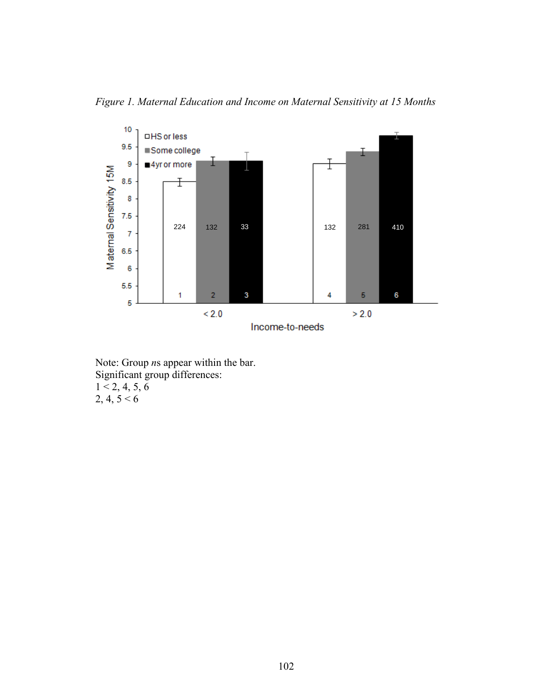



Note: Group *n*s appear within the bar. Significant group differences:  $1 < 2, 4, 5, 6$  $2, 4, 5 < 6$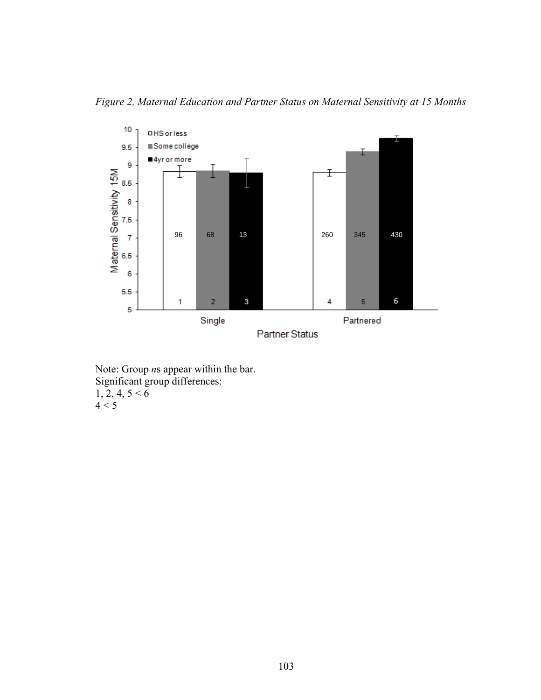*Figure 2. Maternal Education and Partner Status on Maternal Sensitivity at 15 Months* 



Note: Group *n*s appear within the bar. Significant group differences:  $1, 2, 4, 5 < 6$  $4 < 5$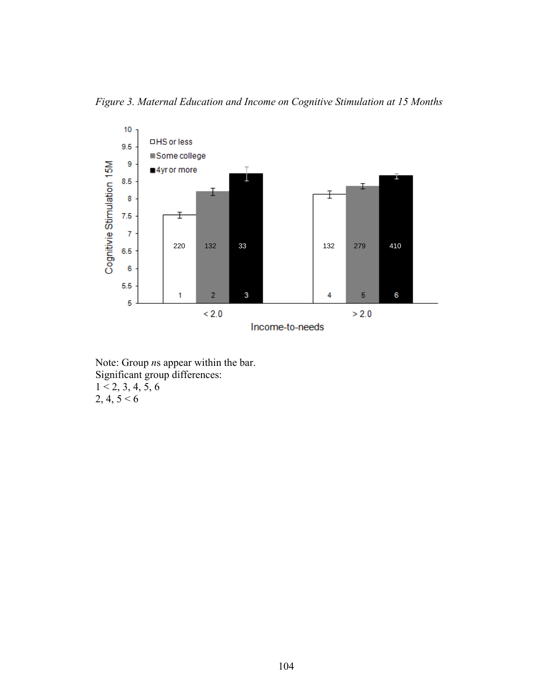*Figure 3. Maternal Education and Income on Cognitive Stimulation at 15 Months* 



Note: Group *n*s appear within the bar. Significant group differences:  $1 < 2, 3, 4, 5, 6$  $2, 4, 5 < 6$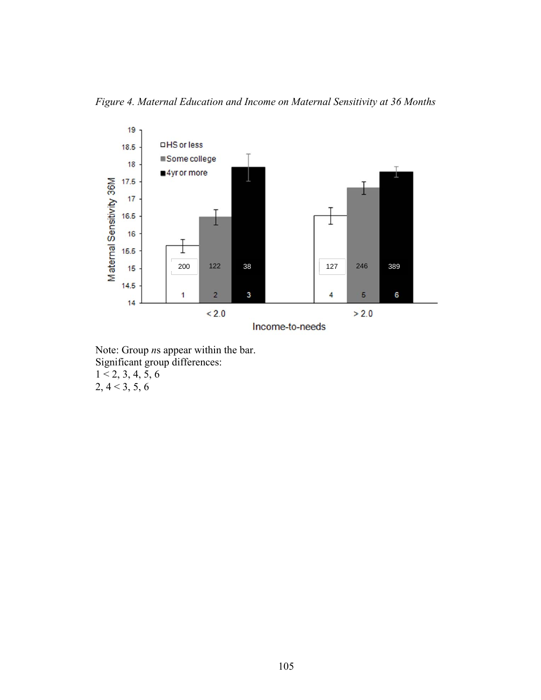*Figure 4. Maternal Education and Income on Maternal Sensitivity at 36 Months* 



Note: Group *n*s appear within the bar. Significant group differences:  $1 < 2, 3, 4, 5, 6$  $2, 4 < 3, 5, 6$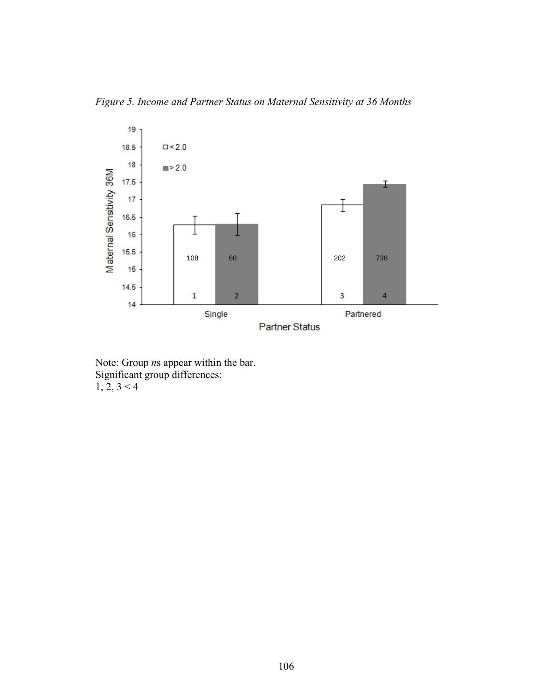*Figure 5. Income and Partner Status on Maternal Sensitivity at 36 Months* 



Note: Group *n*s appear within the bar. Significant group differences:  $1, 2, 3 < 4$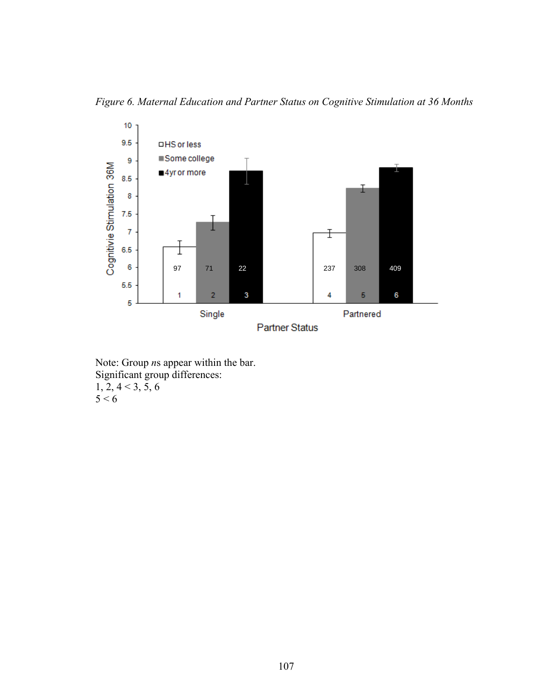*Figure 6. Maternal Education and Partner Status on Cognitive Stimulation at 36 Months* 



Note: Group *n*s appear within the bar. Significant group differences:  $1, 2, 4 < 3, 5, 6$  $5 < 6$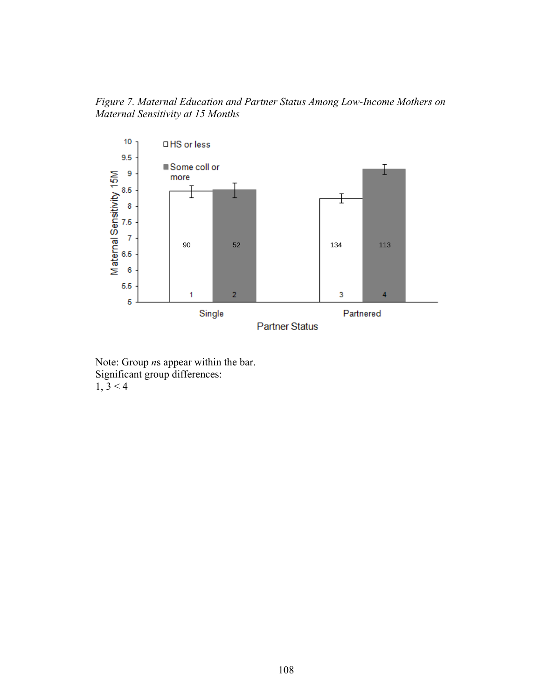*Figure 7. Maternal Education and Partner Status Among Low-Income Mothers on Maternal Sensitivity at 15 Months* 



Note: Group *n*s appear within the bar. Significant group differences:  $1, 3 < 4$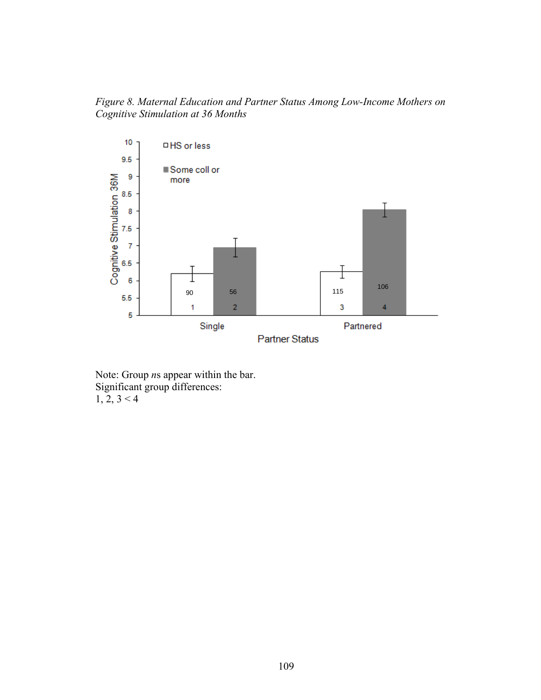*Figure 8. Maternal Education and Partner Status Among Low-Income Mothers on Cognitive Stimulation at 36 Months* 



Note: Group *n*s appear within the bar. Significant group differences:  $1, 2, 3 < 4$